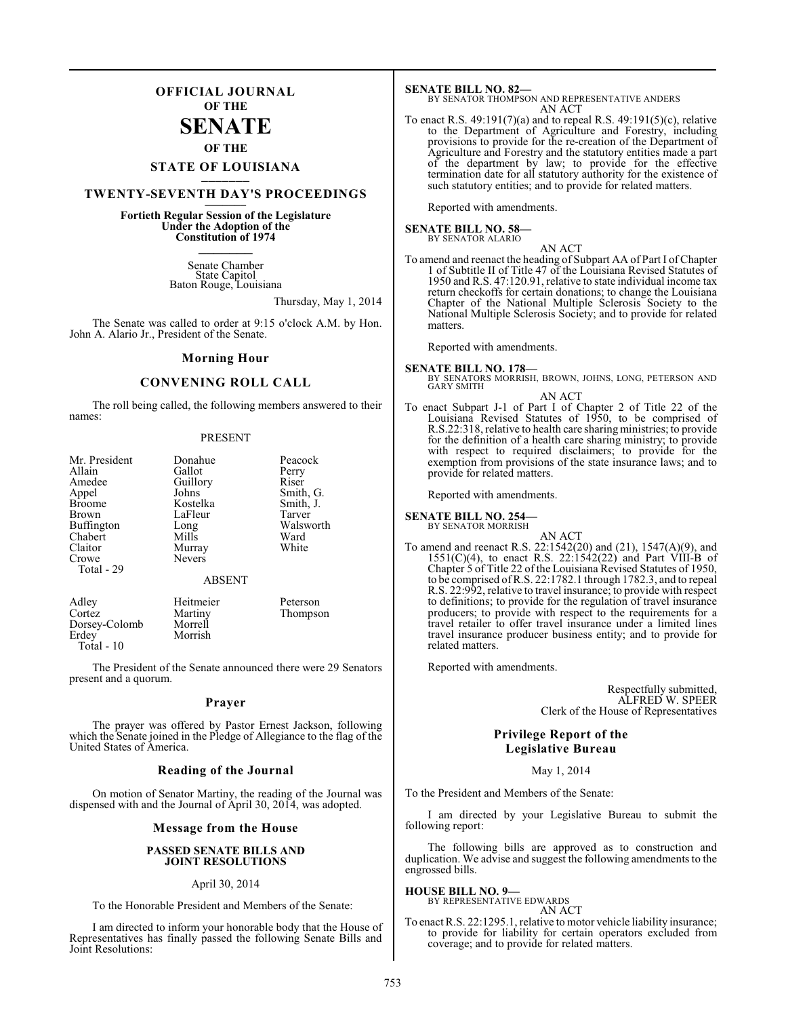### **OFFICIAL JOURNAL OF THE**

## **SENATE**

**OF THE**

#### **STATE OF LOUISIANA \_\_\_\_\_\_\_**

### **TWENTY-SEVENTH DAY'S PROCEEDINGS \_\_\_\_\_\_\_**

### **Fortieth Regular Session of the Legislature Under the Adoption of the Constitution of 1974 \_\_\_\_\_\_\_**

Senate Chamber State Capitol Baton Rouge, Louisiana

Thursday, May 1, 2014

The Senate was called to order at 9:15 o'clock A.M. by Hon. John A. Alario Jr., President of the Senate.

#### **Morning Hour**

#### **CONVENING ROLL CALL**

The roll being called, the following members answered to their names:

#### PRESENT

| Mr. President<br>Allain<br>Amedee<br>Appel                                               | Donahue<br>Gallot<br>Guillory<br>Johns                   | Peacock<br>Perry<br>Riser<br>Smith, G.            |
|------------------------------------------------------------------------------------------|----------------------------------------------------------|---------------------------------------------------|
| <b>Broome</b><br><b>Brown</b><br>Buffington<br>Chabert<br>Claitor<br>Crowe<br>Total - 29 | Kostelka<br>LaFleur<br>Long<br>Mills<br>Murray<br>Nevers | Smith, J.<br>Tarver<br>Walsworth<br>Ward<br>White |
|                                                                                          | <b>ABSENT</b>                                            |                                                   |
| Adley<br>Cortez<br>$D_{\text{max}} \sim \Omega_{\text{max}}$                             | Heitmeier<br>Martiny<br><b>M</b> f = …… 11               | Peterson<br>Thompson                              |

Dorsey-Colomb Morrell Morrish Total - 10

The President of the Senate announced there were 29 Senators present and a quorum.

#### **Prayer**

The prayer was offered by Pastor Ernest Jackson, following which the Senate joined in the Pledge of Allegiance to the flag of the United States of America.

#### **Reading of the Journal**

On motion of Senator Martiny, the reading of the Journal was dispensed with and the Journal of April 30, 2014, was adopted.

### **Message from the House**

#### **PASSED SENATE BILLS AND JOINT RESOLUTIONS**

#### April 30, 2014

To the Honorable President and Members of the Senate:

I am directed to inform your honorable body that the House of Representatives has finally passed the following Senate Bills and Joint Resolutions:

**SENATE BILL NO. 82—** BY SENATOR THOMPSON AND REPRESENTATIVE ANDERS AN ACT

To enact R.S. 49:191(7)(a) and to repeal R.S. 49:191(5)(c), relative to the Department of Agriculture and Forestry, including provisions to provide for the re-creation of the Department of Agriculture and Forestry and the statutory entities made a part of the department by law; to provide for the effective termination date for all statutory authority for the existence of such statutory entities; and to provide for related matters.

Reported with amendments.

#### **SENATE BILL NO. 58—** BY SENATOR ALARIO

AN ACT

To amend and reenact the heading of Subpart AA of Part I of Chapter 1 of Subtitle II of Title 47 of the Louisiana Revised Statutes of 1950 and R.S. 47:120.91, relative to state individual income tax return checkoffs for certain donations; to change the Louisiana Chapter of the National Multiple Sclerosis Society to the National Multiple Sclerosis Society; and to provide for related matters.

Reported with amendments.

#### **SENATE BILL NO. 178—**

- BY SENATORS MORRISH, BROWN, JOHNS, LONG, PETERSON AND GARY SMITH
- AN ACT To enact Subpart J-1 of Part I of Chapter 2 of Title 22 of the Louisiana Revised Statutes of 1950, to be comprised of R.S.22:318, relative to health care sharingministries; to provide for the definition of a health care sharing ministry; to provide with respect to required disclaimers; to provide for the exemption from provisions of the state insurance laws; and to provide for related matters.

Reported with amendments.

**SENATE BILL NO. 254—**

BY SENATOR MORRISH

AN ACT To amend and reenact R.S. 22:1542(20) and (21), 1547(A)(9), and  $1551(C)(4)$ , to enact R.S.  $22:1542(22)$  and Part VIII-B of Chapter 5 of Title 22 of the Louisiana Revised Statutes of 1950, to be comprised of R.S. 22:1782.1 through 1782.3, and to repeal R.S. 22:992, relative to travel insurance; to provide with respect to definitions; to provide for the regulation of travel insurance producers; to provide with respect to the requirements for a travel retailer to offer travel insurance under a limited lines travel insurance producer business entity; and to provide for related matters.

Reported with amendments.

Respectfully submitted, ALFRED W. SPEER Clerk of the House of Representatives

### **Privilege Report of the Legislative Bureau**

May 1, 2014

To the President and Members of the Senate:

I am directed by your Legislative Bureau to submit the following report:

The following bills are approved as to construction and duplication. We advise and suggest the following amendments to the engrossed bills.

**HOUSE BILL NO. 9—**

BY REPRESENTATIVE EDWARDS AN ACT

To enact R.S. 22:1295.1, relative to motor vehicle liability insurance; to provide for liability for certain operators excluded from coverage; and to provide for related matters.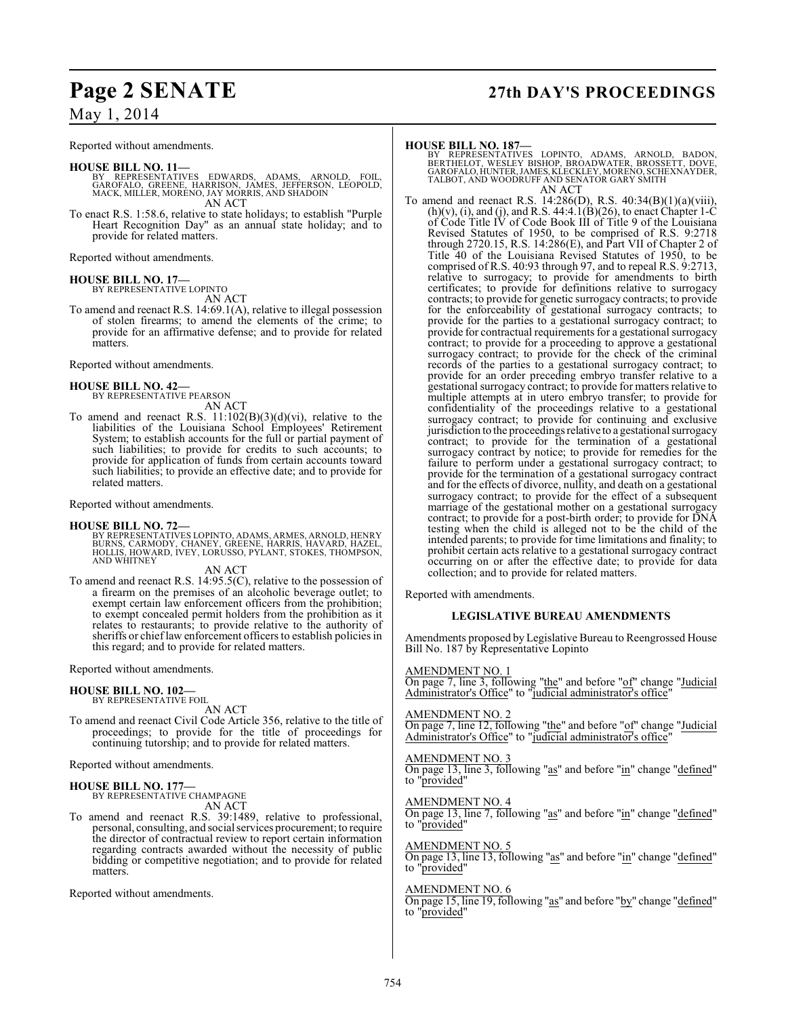Reported without amendments.

- **HOUSE BILL NO. 11—**<br>BY REPRESENTATIVES EDWARDS, ADAMS, ARNOLD, FOIL,<br>GAROFALO, GREENE, HARRISON, JAMES, JEFFERSON, LEOPOLD,<br>MACK, MILLER, MORENO, JAY MORRIS, AND SHADOIN AN ACT
- To enact R.S. 1:58.6, relative to state holidays; to establish "Purple Heart Recognition Day" as an annual state holiday; and to provide for related matters.

Reported without amendments.

#### **HOUSE BILL NO. 17—**

BY REPRESENTATIVE LOPINTO AN ACT

To amend and reenact R.S. 14:69.1(A), relative to illegal possession of stolen firearms; to amend the elements of the crime; to provide for an affirmative defense; and to provide for related matters.

Reported without amendments.

## **HOUSE BILL NO. 42—** BY REPRESENTATIVE PEARSON

AN ACT

To amend and reenact R.S.  $11:102(B)(3)(d)(vi)$ , relative to the liabilities of the Louisiana School Employees' Retirement System; to establish accounts for the full or partial payment of such liabilities; to provide for credits to such accounts; to provide for application of funds from certain accounts toward such liabilities; to provide an effective date; and to provide for related matters.

Reported without amendments.

#### **HOUSE BILL NO. 72—**

BY REPRESENTATIVES LOPINTO, ADAMS, ARMES, ARNOLD, HENRY<br>BURNS, CARMODY, CHANEY, GREENE, HARRIS, HAVARD, HAZEL,<br>HOLLIS, HOWARD, İVEY, LORUSSO, PYLANT, STOKES, THOMPSON,<br>AND WHITNEY

AN ACT

To amend and reenact R.S. 14:95.5(C), relative to the possession of a firearm on the premises of an alcoholic beverage outlet; to exempt certain law enforcement officers from the prohibition; to exempt concealed permit holders from the prohibition as it relates to restaurants; to provide relative to the authority of sheriffs or chief law enforcement officers to establish policies in this regard; and to provide for related matters.

Reported without amendments.

#### **HOUSE BILL NO. 102—** BY REPRESENTATIVE FOIL

AN ACT

To amend and reenact Civil Code Article 356, relative to the title of proceedings; to provide for the title of proceedings for continuing tutorship; and to provide for related matters.

Reported without amendments.

#### **HOUSE BILL NO. 177—**

BY REPRESENTATIVE CHAMPAGNE AN ACT

To amend and reenact R.S. 39:1489, relative to professional, personal, consulting, and social services procurement; to require the director of contractual review to report certain information regarding contracts awarded without the necessity of public bidding or competitive negotiation; and to provide for related matters.

Reported without amendments.

## **Page 2 SENATE 27th DAY'S PROCEEDINGS**

#### **HOUSE BILL NO. 187—**

BY REPRESENTATIVES LOPINTO, ADAMS, ARNOLD, BADON,<br>BERTHELOT, WESLEY BISHOP, BROADWATER, BROSSETT, DOVE,<br>GAROFALO,HUNTER,JAMES,KLECKLEY,MORENO,SCHEXNAYDER,<br>TALBOT,AND WOODRUFFAND SENATOR.GARY SMITH AN ACT

To amend and reenact R.S. 14:286(D), R.S. 40:34(B)(1)(a)(viii),  $(h)(v)$ , (i), and (j), and R.S. 44:4.1(B)(26), to enact Chapter 1-C of Code Title IV of Code Book III of Title 9 of the Louisiana Revised Statutes of 1950, to be comprised of R.S. 9:2718 through 2720.15, R.S. 14:286(E), and Part VII of Chapter 2 of Title 40 of the Louisiana Revised Statutes of 1950, to be comprised of R.S. 40:93 through 97, and to repeal R.S. 9:2713, relative to surrogacy; to provide for amendments to birth certificates; to provide for definitions relative to surrogacy contracts; to provide for genetic surrogacy contracts; to provide for the enforceability of gestational surrogacy contracts; to provide for the parties to a gestational surrogacy contract; to provide for contractual requirements for a gestational surrogacy contract; to provide for a proceeding to approve a gestational surrogacy contract; to provide for the check of the criminal records of the parties to a gestational surrogacy contract; to provide for an order preceding embryo transfer relative to a gestational surrogacy contract; to provide for matters relative to multiple attempts at in utero embryo transfer; to provide for confidentiality of the proceedings relative to a gestational surrogacy contract; to provide for continuing and exclusive jurisdiction to the proceedings relative to a gestational surrogacy contract; to provide for the termination of a gestational surrogacy contract by notice; to provide for remedies for the failure to perform under a gestational surrogacy contract; to provide for the termination of a gestational surrogacy contract and for the effects of divorce, nullity, and death on a gestational surrogacy contract; to provide for the effect of a subsequent marriage of the gestational mother on a gestational surrogacy contract; to provide for a post-birth order; to provide for DNA testing when the child is alleged not to be the child of the intended parents; to provide for time limitations and finality; to prohibit certain acts relative to a gestational surrogacy contract occurring on or after the effective date; to provide for data collection; and to provide for related matters.

Reported with amendments.

#### **LEGISLATIVE BUREAU AMENDMENTS**

Amendments proposed by Legislative Bureau to Reengrossed House Bill No. 187 by Representative Lopinto

#### AMENDMENT NO. 1

On page 7, line 3, following "the" and before "of" change "Judicial Administrator's Office" to "judicial administrator's office

#### AMENDMENT NO. 2

On page 7, line 12, following "the" and before "of" change "Judicial Administrator's Office" to "judicial administrator's office"

#### AMENDMENT NO.

On page 13, line 3, following "as" and before "in" change "defined" to "provided"

#### AMENDMENT NO. 4

On page 13, line 7, following "as" and before "in" change "defined" to "provided"

#### AMENDMENT NO. 5

On page 13, line 13, following "as" and before "in" change "defined" to "provided"

#### AMENDMENT NO. 6

On page 15, line 19, following "as" and before "by" change "defined" to "provided"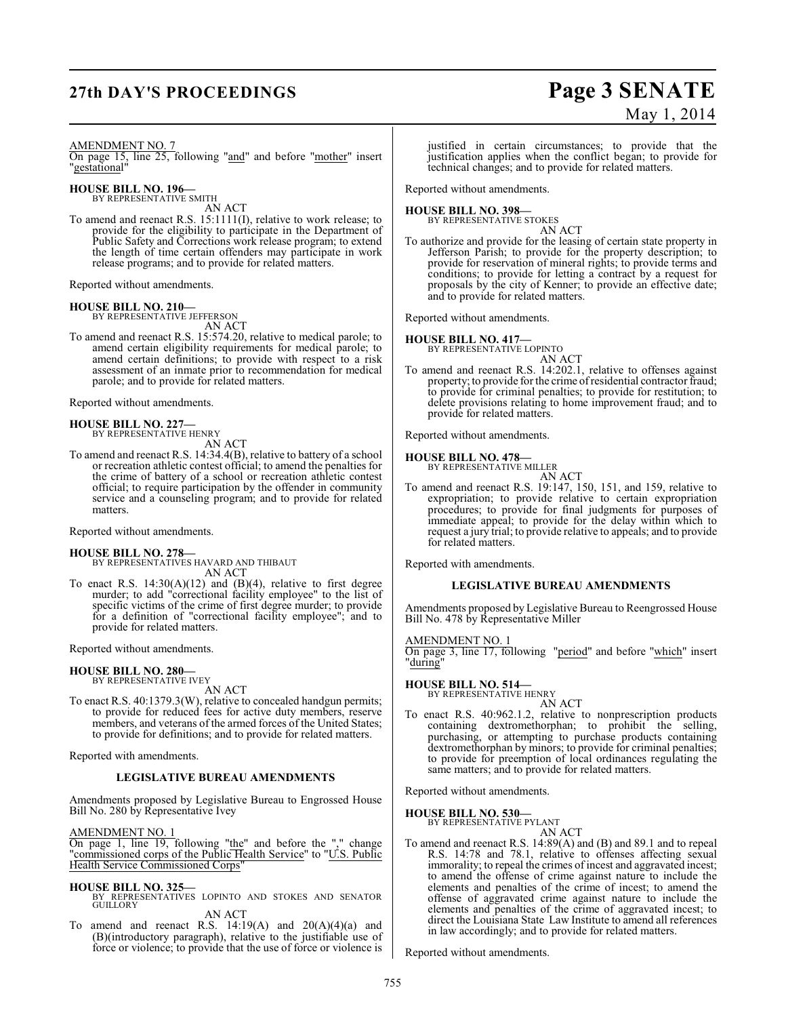## **27th DAY'S PROCEEDINGS Page 3 SENATE**

# May 1, 2014

#### AMENDMENT NO. 7

On page 15, line 25, following "and" and before "mother" insert "gestational"

**HOUSE BILL NO. 196—** BY REPRESENTATIVE SMITH

AN ACT

To amend and reenact R.S. 15:1111(I), relative to work release; to provide for the eligibility to participate in the Department of Public Safety and Corrections work release program; to extend the length of time certain offenders may participate in work release programs; and to provide for related matters.

Reported without amendments.

#### **HOUSE BILL NO. 210—**

BY REPRESENTATIVE JEFFERSON AN ACT

To amend and reenact R.S. 15:574.20, relative to medical parole; to amend certain eligibility requirements for medical parole; to amend certain definitions; to provide with respect to a risk assessment of an inmate prior to recommendation for medical parole; and to provide for related matters.

Reported without amendments.

#### **HOUSE BILL NO. 227—** BY REPRESENTATIVE HENRY

AN ACT

To amend and reenact R.S. 14:34.4(B), relative to battery of a school or recreation athletic contest official; to amend the penalties for the crime of battery of a school or recreation athletic contest official; to require participation by the offender in community service and a counseling program; and to provide for related matters.

Reported without amendments.

#### **HOUSE BILL NO. 278—**

BY REPRESENTATIVES HAVARD AND THIBAUT AN ACT

To enact R.S.  $14:30(A)(12)$  and  $(B)(4)$ , relative to first degree murder; to add "correctional facility employee" to the list of specific victims of the crime of first degree murder; to provide for a definition of "correctional facility employee"; and to provide for related matters.

Reported without amendments.

#### **HOUSE BILL NO. 280—** BY REPRESENTATIVE IVEY

AN ACT

To enact R.S. 40:1379.3(W), relative to concealed handgun permits; to provide for reduced fees for active duty members, reserve members, and veterans of the armed forces of the United States; to provide for definitions; and to provide for related matters.

Reported with amendments.

#### **LEGISLATIVE BUREAU AMENDMENTS**

Amendments proposed by Legislative Bureau to Engrossed House Bill No. 280 by Representative Ivey

AMENDMENT NO. 1

On page 1, line 19, following "the" and before the "," change "commissioned corps of the Public Health Service" to "U.S. Public Health Service Commissioned Corps"

#### **HOUSE BILL NO. 325—**

BY REPRESENTATIVES LOPINTO AND STOKES AND SENATOR GUILLORY

AN ACT

To amend and reenact R.S.  $14:19(A)$  and  $20(A)(4)(a)$  and (B)(introductory paragraph), relative to the justifiable use of force or violence; to provide that the use of force or violence is

justified in certain circumstances; to provide that the justification applies when the conflict began; to provide for technical changes; and to provide for related matters.

Reported without amendments.

## **HOUSE BILL NO. 398—** BY REPRESENTATIVE STOKES

AN ACT

To authorize and provide for the leasing of certain state property in Jefferson Parish; to provide for the property description; to provide for reservation of mineral rights; to provide terms and conditions; to provide for letting a contract by a request for proposals by the city of Kenner; to provide an effective date; and to provide for related matters.

Reported without amendments.

**HOUSE BILL NO. 417—** BY REPRESENTATIVE LOPINTO

AN ACT

To amend and reenact R.S. 14:202.1, relative to offenses against property; to provide for the crime of residential contractor fraud; to provide for criminal penalties; to provide for restitution; to delete provisions relating to home improvement fraud; and to provide for related matters.

Reported without amendments.

### **HOUSE BILL NO. 478—**



AN ACT To amend and reenact R.S. 19:147, 150, 151, and 159, relative to expropriation; to provide relative to certain expropriation procedures; to provide for final judgments for purposes of immediate appeal; to provide for the delay within which to request a jury trial; to provide relative to appeals; and to provide for related matters.

Reported with amendments.

#### **LEGISLATIVE BUREAU AMENDMENTS**

Amendments proposed by Legislative Bureau to Reengrossed House Bill No. 478 by Representative Miller

AMENDMENT NO. 1

On page 3, line 17, following "period" and before "which" insert "during"

**HOUSE BILL NO. 514—**

BY REPRESENTATIVE HENRY

AN ACT To enact R.S. 40:962.1.2, relative to nonprescription products containing dextromethorphan; to prohibit the selling, purchasing, or attempting to purchase products containing dextromethorphan by minors; to provide for criminal penalties; to provide for preemption of local ordinances regulating the same matters; and to provide for related matters.

Reported without amendments.

**HOUSE BILL NO. 530—**

BY REPRESENTATIVE PYLANT AN ACT

To amend and reenact R.S. 14:89(A) and (B) and 89.1 and to repeal R.S. 14:78 and 78.1, relative to offenses affecting sexual immorality; to repeal the crimes of incest and aggravated incest; to amend the offense of crime against nature to include the elements and penalties of the crime of incest; to amend the offense of aggravated crime against nature to include the elements and penalties of the crime of aggravated incest; to direct the Louisiana State Law Institute to amend all references in law accordingly; and to provide for related matters.

Reported without amendments.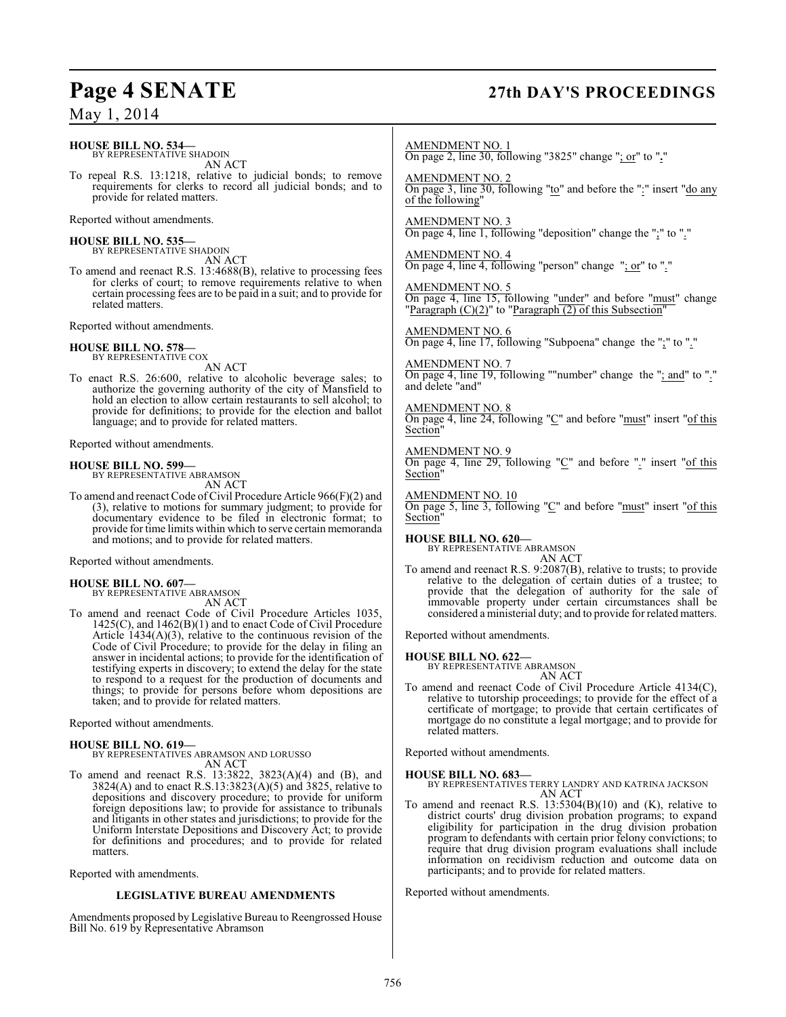### **HOUSE BILL NO. 534—**

BY REPRESENTATIVE SHADOIN AN ACT

To repeal R.S. 13:1218, relative to judicial bonds; to remove requirements for clerks to record all judicial bonds; and to provide for related matters.

Reported without amendments.

### **HOUSE BILL NO. 535—**

BY REPRESENTATIVE SHADOIN AN ACT

To amend and reenact R.S. 13:4688(B), relative to processing fees for clerks of court; to remove requirements relative to when certain processing fees are to be paid in a suit; and to provide for related matters.

Reported without amendments.

#### **HOUSE BILL NO. 578—** BY REPRESENTATIVE COX

AN ACT

To enact R.S. 26:600, relative to alcoholic beverage sales; to authorize the governing authority of the city of Mansfield to hold an election to allow certain restaurants to sell alcohol; to provide for definitions; to provide for the election and ballot language; and to provide for related matters.

Reported without amendments.

**HOUSE BILL NO. 599—** BY REPRESENTATIVE ABRAMSON AN ACT

To amend and reenact Code of Civil Procedure Article 966(F)(2) and (3), relative to motions for summary judgment; to provide for documentary evidence to be filed in electronic format; to provide for time limits within which to serve certain memoranda and motions; and to provide for related matters.

Reported without amendments.

**HOUSE BILL NO. 607—** BY REPRESENTATIVE ABRAMSON AN ACT

To amend and reenact Code of Civil Procedure Articles 1035, 1425(C), and 1462(B)(1) and to enact Code of Civil Procedure Article  $1434(A)(3)$ , relative to the continuous revision of the Code of Civil Procedure; to provide for the delay in filing an answer in incidental actions; to provide for the identification of testifying experts in discovery; to extend the delay for the state to respond to a request for the production of documents and things; to provide for persons before whom depositions are taken; and to provide for related matters.

Reported without amendments.

#### **HOUSE BILL NO. 619—**

BY REPRESENTATIVES ABRAMSON AND LORUSSO AN ACT

To amend and reenact R.S. 13:3822, 3823(A)(4) and (B), and 3824(A) and to enact R.S.13:3823(A)(5) and 3825, relative to depositions and discovery procedure; to provide for uniform foreign depositions law; to provide for assistance to tribunals and litigants in other states and jurisdictions; to provide for the Uniform Interstate Depositions and Discovery Act; to provide for definitions and procedures; and to provide for related matters.

Reported with amendments.

#### **LEGISLATIVE BUREAU AMENDMENTS**

Amendments proposed by Legislative Bureau to Reengrossed House Bill No. 619 by Representative Abramson

## **Page 4 SENATE 27th DAY'S PROCEEDINGS**

AMENDMENT NO. 1 On page 2, line 30, following "3825" change "; or" to "**.**"

AMENDMENT NO. 2 On page 3, line 30, following "to" and before the ":" insert "do any of the following"

AMENDMENT NO. 3 On page 4, line 1, following "deposition" change the ";" to "."

AMENDMENT NO. 4 On page 4, line 4, following "person" change ": or" to "."

AMENDMENT NO. 5 On page 4, line 15, following "under" and before "must" change "Paragraph  $(C)(2)$ " to "Paragraph  $(2)$  of this Subsection"

AMENDMENT NO. 6 On page 4, line 17, following "Subpoena" change the ";" to "."

#### AMENDMENT NO. 7

On page 4, line 19, following ""number" change the "; and" to "." and delete "and"

#### AMENDMENT NO. 8

On page 4, line 24, following "C" and before "must" insert "of this Section"

AMENDMENT NO. 9 On page 4, line 29, following "C" and before "." insert "of this Section"

#### AMENDMENT NO. 10

On page 5, line 3, following " $C$ " and before " $must$ " insert " $of this$ Section<sup>1</sup>

### **HOUSE BILL NO. 620—**

BY REPRESENTATIVE ABRAMSON AN ACT

To amend and reenact R.S. 9:2087(B), relative to trusts; to provide relative to the delegation of certain duties of a trustee; to provide that the delegation of authority for the sale of immovable property under certain circumstances shall be considered a ministerial duty; and to provide for related matters.

Reported without amendments.

**HOUSE BILL NO. 622—** BY REPRESENTATIVE ABRAMSON

AN ACT To amend and reenact Code of Civil Procedure Article 4134(C), relative to tutorship proceedings; to provide for the effect of a certificate of mortgage; to provide that certain certificates of mortgage do no constitute a legal mortgage; and to provide for related matters.

Reported without amendments.

- **HOUSE BILL NO. 683—** BY REPRESENTATIVES TERRY LANDRY AND KATRINA JACKSON AN ACT
- To amend and reenact R.S. 13:5304(B)(10) and (K), relative to district courts' drug division probation programs; to expand eligibility for participation in the drug division probation program to defendants with certain prior felony convictions; to require that drug division program evaluations shall include information on recidivism reduction and outcome data on participants; and to provide for related matters.

Reported without amendments.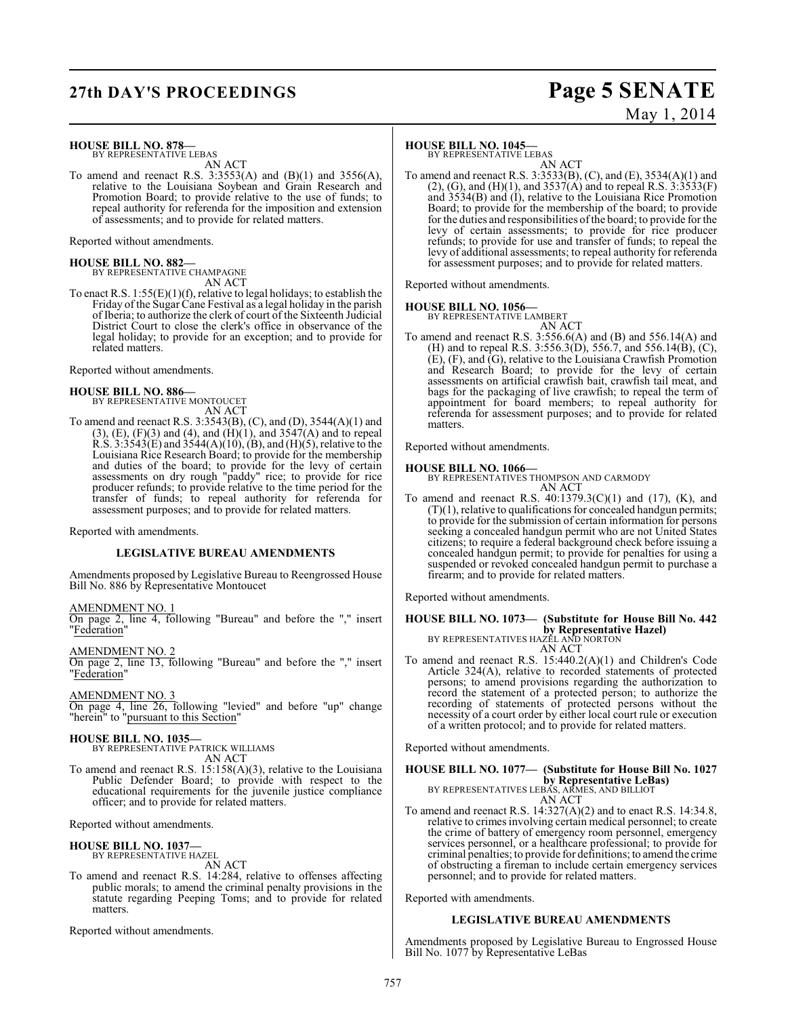## **27th DAY'S PROCEEDINGS Page 5 SENATE**

# May 1, 2014

**HOUSE BILL NO. 878—** BY REPRESENTATIVE LEBAS

AN ACT

To amend and reenact R.S.  $3:3553(A)$  and  $(B)(1)$  and  $3556(A)$ , relative to the Louisiana Soybean and Grain Research and Promotion Board; to provide relative to the use of funds; to repeal authority for referenda for the imposition and extension of assessments; and to provide for related matters.

Reported without amendments.

### **HOUSE BILL NO. 882—**

BY REPRESENTATIVE CHAMPAGNE AN ACT

To enact R.S. 1:55(E)(1)(f), relative to legal holidays; to establish the Friday of the Sugar Cane Festival as a legal holiday in the parish of Iberia; to authorize the clerk of court of the Sixteenth Judicial District Court to close the clerk's office in observance of the legal holiday; to provide for an exception; and to provide for related matters.

Reported without amendments.

## **HOUSE BILL NO. 886—** BY REPRESENTATIVE MONTOUCET

AN ACT

To amend and reenact R.S. 3:3543(B), (C), and (D), 3544(A)(1) and  $(3)$ ,  $(E)$ ,  $(F)(3)$  and  $(4)$ , and  $(H)(1)$ , and  $3547(A)$  and to repeal R.S.  $3:3543(E)$  and  $3544(A)(10)$ ,  $(B)$ , and  $(H)(5)$ , relative to the Louisiana Rice Research Board; to provide for the membership and duties of the board; to provide for the levy of certain assessments on dry rough "paddy" rice; to provide for rice producer refunds; to provide relative to the time period for the transfer of funds; to repeal authority for referenda for assessment purposes; and to provide for related matters.

Reported with amendments.

#### **LEGISLATIVE BUREAU AMENDMENTS**

Amendments proposed by Legislative Bureau to Reengrossed House Bill No. 886 by Representative Montoucet

#### AMENDMENT NO. 1

On page 2, line 4, following "Bureau" and before the "," insert "Federation"

AMENDMENT NO. 2 On page 2, line 13, following "Bureau" and before the "," insert "Federation"

AMENDMENT NO. 3 On page 4, line 26, following "levied" and before "up" change "herein" to "pursuant to this Section"

**HOUSE BILL NO. 1035—** BY REPRESENTATIVE PATRICK WILLIAMS

AN ACT

To amend and reenact R.S. 15:158(A)(3), relative to the Louisiana Public Defender Board; to provide with respect to the educational requirements for the juvenile justice compliance officer; and to provide for related matters.

Reported without amendments.

**HOUSE BILL NO. 1037—** BY REPRESENTATIVE HAZEL AN ACT

To amend and reenact R.S. 14:284, relative to offenses affecting public morals; to amend the criminal penalty provisions in the statute regarding Peeping Toms; and to provide for related matters.

Reported without amendments.

#### **HOUSE BILL NO. 1045—**

BY REPRESENTATIVE LEBAS

AN ACT To amend and reenact R.S. 3:3533(B), (C), and (E), 3534(A)(1) and (2), (G), and (H)(1), and  $3537(A)$  and to repeal R.S.  $3:3533(F)$ and 3534(B) and (I), relative to the Louisiana Rice Promotion Board; to provide for the membership of the board; to provide for the duties and responsibilities ofthe board; to provide for the levy of certain assessments; to provide for rice producer refunds; to provide for use and transfer of funds; to repeal the levy of additional assessments; to repeal authority for referenda for assessment purposes; and to provide for related matters.

Reported without amendments.

#### **HOUSE BILL NO. 1056—**

BY REPRESENTATIVE LAMBERT

AN ACT To amend and reenact R.S. 3:556.6(A) and (B) and 556.14(A) and (H) and to repeal R.S. 3:556.3(D), 556.7, and 556.14(B), (C), (E), (F), and (G), relative to the Louisiana Crawfish Promotion and Research Board; to provide for the levy of certain assessments on artificial crawfish bait, crawfish tail meat, and bags for the packaging of live crawfish; to repeal the term of appointment for board members; to repeal authority for referenda for assessment purposes; and to provide for related matters.

Reported without amendments.

**HOUSE BILL NO. 1066—** BY REPRESENTATIVES THOMPSON AND CARMODY AN ACT

To amend and reenact R.S. 40:1379.3(C)(1) and (17), (K), and (T)(1), relative to qualifications for concealed handgun permits; to provide for the submission of certain information for persons seeking a concealed handgun permit who are not United States citizens; to require a federal background check before issuing a concealed handgun permit; to provide for penalties for using a suspended or revoked concealed handgun permit to purchase a firearm; and to provide for related matters.

Reported without amendments.

### **HOUSE BILL NO. 1073— (Substitute for House Bill No. 442 by Representative Hazel)** BY REPRESENTATIVES HAZEL AND NORTON

AN ACT To amend and reenact R.S. 15:440.2(A)(1) and Children's Code Article 324(A), relative to recorded statements of protected persons; to amend provisions regarding the authorization to record the statement of a protected person; to authorize the recording of statements of protected persons without the necessity of a court order by either local court rule or execution of a written protocol; and to provide for related matters.

Reported without amendments.

### **HOUSE BILL NO. 1077— (Substitute for House Bill No. 1027 by Representative LeBas)**<br>BY REPRESENTATIVES LEBAS, ARMES, AND BILLIOT

AN ACT To amend and reenact R.S. 14:327(A)(2) and to enact R.S. 14:34.8, relative to crimes involving certain medical personnel; to create the crime of battery of emergency room personnel, emergency services personnel, or a healthcare professional; to provide for criminal penalties; to provide for definitions; to amend the crime of obstructing a fireman to include certain emergency services personnel; and to provide for related matters.

Reported with amendments.

#### **LEGISLATIVE BUREAU AMENDMENTS**

Amendments proposed by Legislative Bureau to Engrossed House Bill No. 1077 by Representative LeBas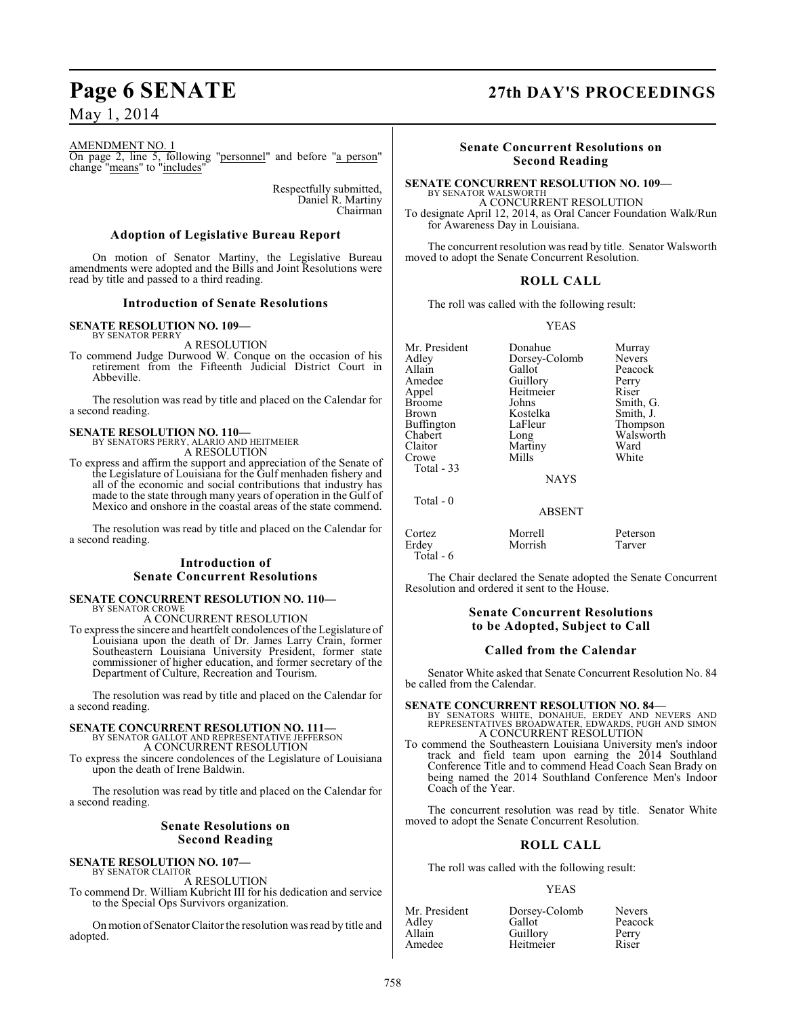## **Page 6 SENATE 27th DAY'S PROCEEDINGS**

May 1, 2014

#### AMENDMENT NO. 1

On page 2, line 5, following "personnel" and before "a person" change "means" to "includes"

> Respectfully submitted, Daniel R. Martiny Chairman

#### **Adoption of Legislative Bureau Report**

On motion of Senator Martiny, the Legislative Bureau amendments were adopted and the Bills and Joint Resolutions were read by title and passed to a third reading.

#### **Introduction of Senate Resolutions**

#### **SENATE RESOLUTION NO. 109—** BY SENATOR PERRY

A RESOLUTION

To commend Judge Durwood W. Conque on the occasion of his retirement from the Fifteenth Judicial District Court in Abbeville.

The resolution was read by title and placed on the Calendar for a second reading.

### **SENATE RESOLUTION NO. 110—** BY SENATORS PERRY, ALARIO AND HEITMEIER A RESOLUTION

To express and affirm the support and appreciation of the Senate of the Legislature of Louisiana for the Gulf menhaden fishery and all of the economic and social contributions that industry has made to the state through many years of operation in the Gulf of Mexico and onshore in the coastal areas of the state commend.

The resolution was read by title and placed on the Calendar for a second reading.

#### **Introduction of Senate Concurrent Resolutions**

#### **SENATE CONCURRENT RESOLUTION NO. 110—** BY SENATOR CROWE

A CONCURRENT RESOLUTION

To expressthe sincere and heartfelt condolences of the Legislature of Louisiana upon the death of Dr. James Larry Crain, former Southeastern Louisiana University President, former state commissioner of higher education, and former secretary of the Department of Culture, Recreation and Tourism.

The resolution was read by title and placed on the Calendar for a second reading.

### **SENATE CONCURRENT RESOLUTION NO. 111—** BY SENATOR GALLOT AND REPRESENTATIVE JEFFERSON A CONCURRENT RESOLUTION

To express the sincere condolences of the Legislature of Louisiana upon the death of Irene Baldwin.

The resolution was read by title and placed on the Calendar for a second reading.

#### **Senate Resolutions on Second Reading**

#### **SENATE RESOLUTION NO. 107—** BY SENATOR CLAITOR

A RESOLUTION

To commend Dr. William Kubricht III for his dedication and service to the Special Ops Survivors organization.

On motion of Senator Claitor the resolution was read by title and adopted.

#### **Senate Concurrent Resolutions on Second Reading**

#### **SENATE CONCURRENT RESOLUTION NO. 109—** BY SENATOR WALSWORTH

A CONCURRENT RESOLUTION To designate April 12, 2014, as Oral Cancer Foundation Walk/Run for Awareness Day in Louisiana.

The concurrent resolution was read by title. Senator Walsworth moved to adopt the Senate Concurrent Resolution.

#### **ROLL CALL**

The roll was called with the following result:

#### YEAS

| Mr. President<br>Adlev<br>Allain<br>Amedee<br>Appel<br>Broome<br>Brown<br>Buffington<br>Chabert<br>Claitor<br>Crowe<br>Total - 33 | Donahue<br>Dorsey-Colomb<br>Gallot<br>Guillory<br>Heitmeier<br>Johns<br>Kostelka<br>LaFleur<br>Long<br>Martiny<br>Mills<br><b>NAYS</b> | Murray<br><b>Nevers</b><br>Peacock<br>Perry<br>Riser<br>Smith, G.<br>Smith, J.<br>Thompson<br>Walsworth<br>Ward<br>White |
|-----------------------------------------------------------------------------------------------------------------------------------|----------------------------------------------------------------------------------------------------------------------------------------|--------------------------------------------------------------------------------------------------------------------------|
| Total - 0                                                                                                                         | ABSENT                                                                                                                                 |                                                                                                                          |

Morrish

Cortez Morrell Peterson Total - 6

The Chair declared the Senate adopted the Senate Concurrent Resolution and ordered it sent to the House.

#### **Senate Concurrent Resolutions to be Adopted, Subject to Call**

#### **Called from the Calendar**

Senator White asked that Senate Concurrent Resolution No. 84 be called from the Calendar.

**SENATE CONCURRENT RESOLUTION NO. 84—**<br>BY SENATORS WHITE, DONAHUE, ERDEY AND NEVERS AND<br>REPRESENTATIVES BROADWATER, EDWARDS, PUGH AND SIMON A CONCURRENT RESOLUTION

To commend the Southeastern Louisiana University men's indoor track and field team upon earning the  $2014$  Southland Conference Title and to commend Head Coach Sean Brady on being named the 2014 Southland Conference Men's Indoor Coach of the Year.

The concurrent resolution was read by title. Senator White moved to adopt the Senate Concurrent Resolution.

#### **ROLL CALL**

The roll was called with the following result:

#### YEAS

| Mr. President | Dorsey-Colomb | <b>Nevers</b> |
|---------------|---------------|---------------|
| Adley         | Gallot        | Peacock       |
| Allain        | Guillory      | Perry         |
| Amedee        | Heitmeier     | Riser         |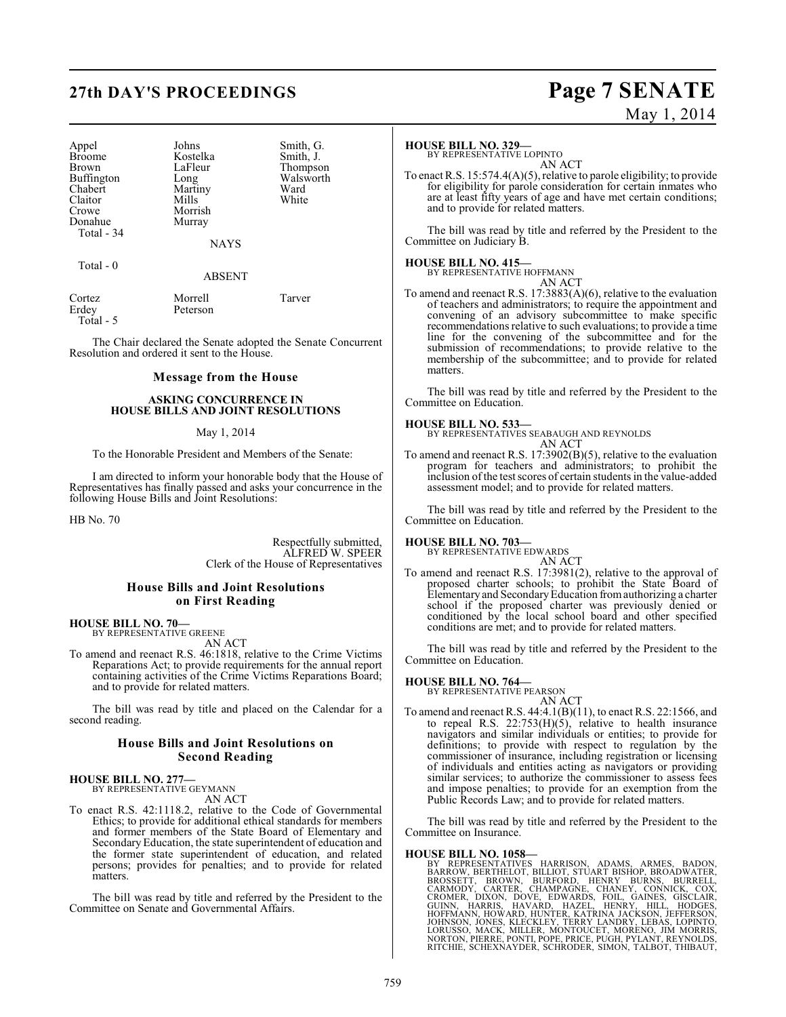## **27th DAY'S PROCEEDINGS Page 7 SENATE**

| Appel             |
|-------------------|
| <b>Broome</b>     |
| Brown             |
| <b>Buffington</b> |
| Chabert           |
| Claitor           |
| Crowe             |
| Donahue           |
| Total - 34        |

Johns Smith, G.<br>Kostelka Smith, J. Kostelka<br>LaFleur LaFleur Thompson<br>Long Walsworth Martiny Ward<br>
Mills White Mills Morrish Murray

NAYS

#### $Total - 0$

ABSENT

| Cortez      | Morrell  | Tarver |
|-------------|----------|--------|
| Erdey       | Peterson |        |
| $Total - 5$ |          |        |

The Chair declared the Senate adopted the Senate Concurrent Resolution and ordered it sent to the House.

#### **Message from the House**

#### **ASKING CONCURRENCE IN HOUSE BILLS AND JOINT RESOLUTIONS**

#### May 1, 2014

To the Honorable President and Members of the Senate:

I am directed to inform your honorable body that the House of Representatives has finally passed and asks your concurrence in the following House Bills and Joint Resolutions:

HB No. 70

Respectfully submitted, ALFRED W. SPEER Clerk of the House of Representatives

Walsworth<br>Ward

#### **House Bills and Joint Resolutions on First Reading**

#### **HOUSE BILL NO. 70—** BY REPRESENTATIVE GREENE

AN ACT

To amend and reenact R.S. 46:1818, relative to the Crime Victims Reparations Act; to provide requirements for the annual report containing activities of the Crime Victims Reparations Board; and to provide for related matters.

The bill was read by title and placed on the Calendar for a second reading.

#### **House Bills and Joint Resolutions on Second Reading**

#### **HOUSE BILL NO. 277—** BY REPRESENTATIVE GEYMANN

AN ACT

To enact R.S. 42:1118.2, relative to the Code of Governmental Ethics; to provide for additional ethical standards for members and former members of the State Board of Elementary and Secondary Education, the state superintendent of education and the former state superintendent of education, and related persons; provides for penalties; and to provide for related matters.

The bill was read by title and referred by the President to the Committee on Senate and Governmental Affairs.

# May 1, 2014

#### **HOUSE BILL NO. 329—**

BY REPRESENTATIVE LOPINTO AN ACT

To enact R.S. 15:574.4(A)(5), relative to parole eligibility; to provide for eligibility for parole consideration for certain inmates who are at least fifty years of age and have met certain conditions; and to provide for related matters.

The bill was read by title and referred by the President to the Committee on Judiciary B.

#### **HOUSE BILL NO. 415—**

BY REPRESENTATIVE HOFFMANN

AN ACT To amend and reenact R.S. 17:3883(A)(6), relative to the evaluation of teachers and administrators; to require the appointment and convening of an advisory subcommittee to make specific recommendations relative to such evaluations; to provide a time line for the convening of the subcommittee and for the submission of recommendations; to provide relative to the membership of the subcommittee; and to provide for related matters.

The bill was read by title and referred by the President to the Committee on Education.

**HOUSE BILL NO. 533—**

BY REPRESENTATIVES SEABAUGH AND REYNOLDS AN ACT

To amend and reenact R.S. 17:3902(B)(5), relative to the evaluation program for teachers and administrators; to prohibit the inclusion of the test scores of certain students in the value-added assessment model; and to provide for related matters.

The bill was read by title and referred by the President to the Committee on Education.

#### **HOUSE BILL NO. 703—**

BY REPRESENTATIVE EDWARDS AN ACT

To amend and reenact R.S. 17:3981(2), relative to the approval of proposed charter schools; to prohibit the State Board of Elementary and SecondaryEducation from authorizing a charter school if the proposed charter was previously denied or conditioned by the local school board and other specified conditions are met; and to provide for related matters.

The bill was read by title and referred by the President to the Committee on Education.

#### **HOUSE BILL NO. 764—**

BY REPRESENTATIVE PEARSON

AN ACT To amend and reenact R.S. 44:4.1(B)(11), to enact R.S. 22:1566, and to repeal R.S. 22:753(H)(5), relative to health insurance navigators and similar individuals or entities; to provide for definitions; to provide with respect to regulation by the commissioner of insurance, including registration or licensing of individuals and entities acting as navigators or providing similar services; to authorize the commissioner to assess fees and impose penalties; to provide for an exemption from the Public Records Law; and to provide for related matters.

The bill was read by title and referred by the President to the Committee on Insurance.

**HOUSE BILL NO. 1058**<br>BY REPRESENTATIVES HARRISON, ADAMS, ARMES, BADON, BARROW, BERTHELOT, BILLIOT, STUART BISHOP, BROADWATER, BROSSETT, BROWN, BURFORD, HENRY BURNS, BURRELL, CARMODY, CARTER, CHAMPAGNE, CHANEY, CONNICK, CO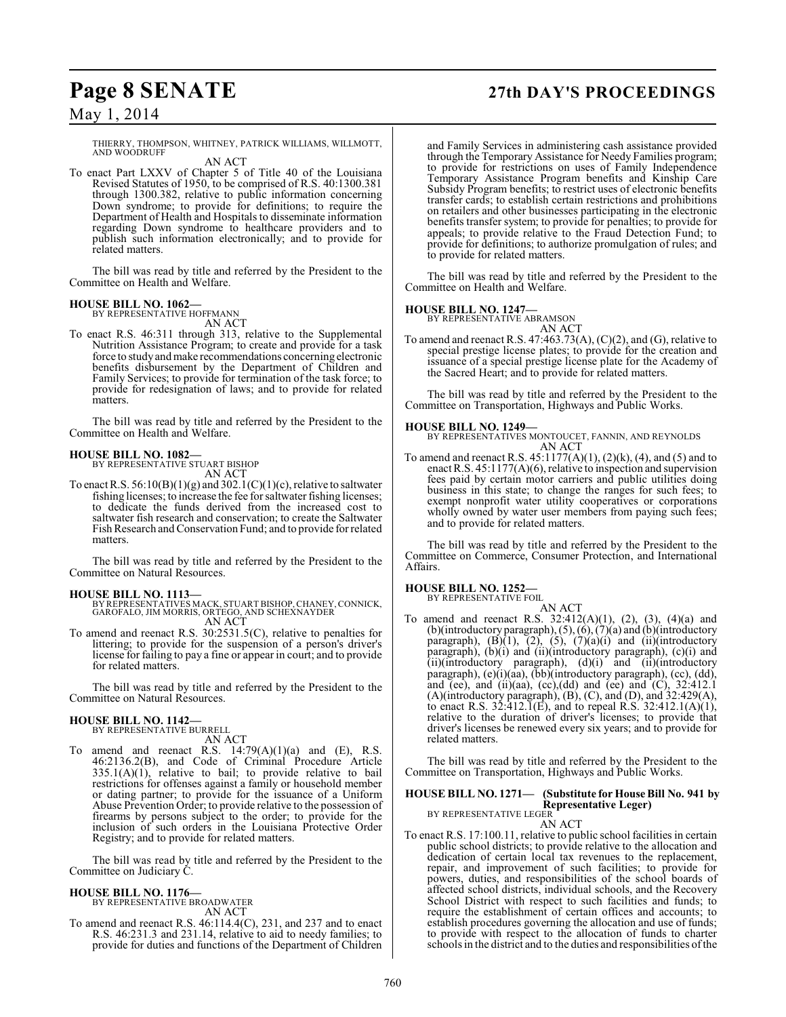## **Page 8 SENATE 27th DAY'S PROCEEDINGS**

May 1, 2014

THIERRY, THOMPSON, WHITNEY, PATRICK WILLIAMS, WILLMOTT, AND WOODRUFF AN ACT

#### To enact Part LXXV of Chapter 5 of Title 40 of the Louisiana Revised Statutes of 1950, to be comprised of R.S. 40:1300.381 through 1300.382, relative to public information concerning Down syndrome; to provide for definitions; to require the Department of Health and Hospitals to disseminate information regarding Down syndrome to healthcare providers and to publish such information electronically; and to provide for related matters.

The bill was read by title and referred by the President to the Committee on Health and Welfare.

## **HOUSE BILL NO. 1062—** BY REPRESENTATIVE HOFFMANN

AN ACT To enact R.S. 46:311 through 313, relative to the Supplemental Nutrition Assistance Program; to create and provide for a task force to study and make recommendations concerning electronic benefits disbursement by the Department of Children and Family Services; to provide for termination of the task force; to provide for redesignation of laws; and to provide for related matters.

The bill was read by title and referred by the President to the Committee on Health and Welfare.

## **HOUSE BILL NO. 1082—** BY REPRESENTATIVE STUART BISHOP

AN ACT

To enact R.S.  $56:10(B)(1)(g)$  and  $302.1(C)(1)(c)$ , relative to saltwater fishing licenses; to increase the fee for saltwater fishing licenses; to dedicate the funds derived from the increased cost to saltwater fish research and conservation; to create the Saltwater Fish Research and Conservation Fund; and to provide for related matters.

The bill was read by title and referred by the President to the Committee on Natural Resources.

#### **HOUSE BILL NO. 1113—**

- BY REPRESENTATIVES MACK, STUART BISHOP, CHANEY, CONNICK, GAROFALO, JIM MORRIS, ORTEGO, AND SCHEXNAYDER AN ACT
- To amend and reenact R.S. 30:2531.5(C), relative to penalties for littering; to provide for the suspension of a person's driver's license for failing to pay a fine or appear in court; and to provide for related matters.

The bill was read by title and referred by the President to the Committee on Natural Resources.

## **HOUSE BILL NO. 1142—** BY REPRESENTATIVE BURRELL

AN ACT

To amend and reenact R.S.  $14:79(A)(1)(a)$  and (E), R.S. 46:2136.2(B), and Code of Criminal Procedure Article  $335.1(A)(1)$ , relative to bail; to provide relative to bail restrictions for offenses against a family or household member or dating partner; to provide for the issuance of a Uniform Abuse Prevention Order; to provide relative to the possession of firearms by persons subject to the order; to provide for the inclusion of such orders in the Louisiana Protective Order Registry; and to provide for related matters.

The bill was read by title and referred by the President to the Committee on Judiciary C.

**HOUSE BILL NO. 1176—** BY REPRESENTATIVE BROADWATER AN ACT

To amend and reenact R.S. 46:114.4(C), 231, and 237 and to enact R.S. 46:231.3 and 231.14, relative to aid to needy families; to provide for duties and functions of the Department of Children

and Family Services in administering cash assistance provided through the Temporary Assistance for Needy Families program; to provide for restrictions on uses of Family Independence Temporary Assistance Program benefits and Kinship Care Subsidy Program benefits; to restrict uses of electronic benefits transfer cards; to establish certain restrictions and prohibitions on retailers and other businesses participating in the electronic benefits transfer system; to provide for penalties; to provide for appeals; to provide relative to the Fraud Detection Fund; to provide for definitions; to authorize promulgation of rules; and to provide for related matters.

The bill was read by title and referred by the President to the Committee on Health and Welfare.

#### **HOUSE BILL NO. 1247—**

BY REPRESENTATIVE ABRAMSON AN ACT

To amend and reenact R.S. 47:463.73(A), (C)(2), and (G), relative to special prestige license plates; to provide for the creation and issuance of a special prestige license plate for the Academy of the Sacred Heart; and to provide for related matters.

The bill was read by title and referred by the President to the Committee on Transportation, Highways and Public Works.

#### **HOUSE BILL NO. 1249—**

BY REPRESENTATIVES MONTOUCET, FANNIN, AND REYNOLDS AN ACT

To amend and reenact R.S. 45:1177(A)(1), (2)(k), (4), and (5) and to enact R.S. 45:1177(A)(6), relative to inspection and supervision fees paid by certain motor carriers and public utilities doing business in this state; to change the ranges for such fees; to exempt nonprofit water utility cooperatives or corporations wholly owned by water user members from paying such fees; and to provide for related matters.

The bill was read by title and referred by the President to the Committee on Commerce, Consumer Protection, and International Affairs.

## **HOUSE BILL NO. 1252—**<br>BY REPRESENTATIVE FOIL

AN ACT

To amend and reenact R.S. 32:412(A)(1), (2), (3), (4)(a) and (b)(introductory paragraph), (5), (6), (7)(a) and (b)(introductory paragraph),  $(B)(1)$ ,  $(2)$ ,  $(5)$ ,  $(7)(a)(i)$  and  $(ii)(introductory)$ paragraph), (b)(i) and (ii)(introductory paragraph), (c)(i) and (ii)(introductory paragraph), (d)(i) and (ii)(introductory paragraph), (e)(i)(aa), (bb)(introductory paragraph), (cc), (dd), and (ee), and (ii)(aa), (cc),(dd) and (ee) and (C),  $32:412.1$ (A)(introductory paragraph), (B), (C), and (D), and 32:429(A), to enact R.S.  $32:412.\overline{1}(E)$ , and to repeal R.S.  $32:412.1(A)(1)$ , relative to the duration of driver's licenses; to provide that driver's licenses be renewed every six years; and to provide for related matters.

The bill was read by title and referred by the President to the Committee on Transportation, Highways and Public Works.

### **HOUSE BILL NO. 1271— (Substitute for House Bill No. 941 by**

**Representative Leger)** BY REPRESENTATIVE LEGER

AN ACT

To enact R.S. 17:100.11, relative to public school facilities in certain public school districts; to provide relative to the allocation and dedication of certain local tax revenues to the replacement, repair, and improvement of such facilities; to provide for powers, duties, and responsibilities of the school boards of affected school districts, individual schools, and the Recovery School District with respect to such facilities and funds; to require the establishment of certain offices and accounts; to establish procedures governing the allocation and use of funds; to provide with respect to the allocation of funds to charter schools in the district and to the duties and responsibilities of the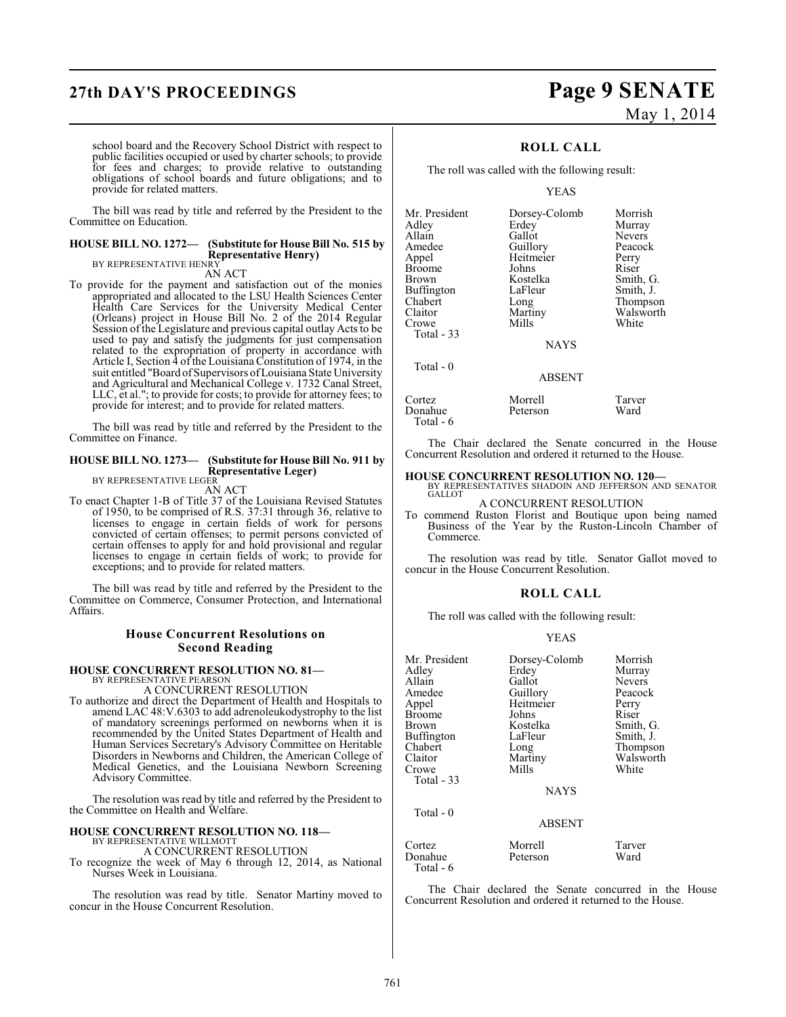## **27th DAY'S PROCEEDINGS Page 9 SENATE**

# May 1, 2014

school board and the Recovery School District with respect to public facilities occupied or used by charter schools; to provide for fees and charges; to provide relative to outstanding obligations of school boards and future obligations; and to provide for related matters.

The bill was read by title and referred by the President to the Committee on Education.

#### **HOUSE BILL NO. 1272— (Substitute for House Bill No. 515 by Representative Henry)** BY REPRESENTATIVE HENRY

AN ACT

To provide for the payment and satisfaction out of the monies appropriated and allocated to the LSU Health Sciences Center Health Care Services for the University Medical Center (Orleans) project in House Bill No. 2 of the 2014 Regular Session of the Legislature and previous capital outlay Acts to be used to pay and satisfy the judgments for just compensation related to the expropriation of property in accordance with Article I, Section 4 of the Louisiana Constitution of 1974, in the suit entitled "Board of Supervisors of Louisiana State University and Agricultural and Mechanical College v. 1732 Canal Street, LLC, et al."; to provide for costs; to provide for attorney fees; to provide for interest; and to provide for related matters.

The bill was read by title and referred by the President to the Committee on Finance.

#### **HOUSE BILL NO. 1273— (Substitute for House Bill No. 911 by Representative Leger)** BY REPRESENTATIVE LEGER

AN ACT

To enact Chapter 1-B of Title 37 of the Louisiana Revised Statutes of 1950, to be comprised of R.S. 37:31 through 36, relative to licenses to engage in certain fields of work for persons convicted of certain offenses; to permit persons convicted of certain offenses to apply for and hold provisional and regular licenses to engage in certain fields of work; to provide for exceptions; and to provide for related matters.

The bill was read by title and referred by the President to the Committee on Commerce, Consumer Protection, and International Affairs.

### **House Concurrent Resolutions on Second Reading**

### **HOUSE CONCURRENT RESOLUTION NO. 81—**

BY REPRESENTATIVE PEARSON A CONCURRENT RESOLUTION

To authorize and direct the Department of Health and Hospitals to amend LAC 48:V.6303 to add adrenoleukodystrophy to the list of mandatory screenings performed on newborns when it is recommended by the United States Department of Health and Human Services Secretary's Advisory Committee on Heritable Disorders in Newborns and Children, the American College of Medical Genetics, and the Louisiana Newborn Screening Advisory Committee.

The resolution was read by title and referred by the President to the Committee on Health and Welfare.

## **HOUSE CONCURRENT RESOLUTION NO. 118—** BY REPRESENTATIVE WILLMOTT

A CONCURRENT RESOLUTION

To recognize the week of May 6 through 12, 2014, as National Nurses Week in Louisiana.

The resolution was read by title. Senator Martiny moved to concur in the House Concurrent Resolution.

### **ROLL CALL**

The roll was called with the following result:

YEAS

| Mr. President | Dorsey-Colomb | Morrish       |
|---------------|---------------|---------------|
| Adley         | Erdey         | Murray        |
| Allain        | Gallot        | <b>Nevers</b> |
| Amedee        | Guillory      | Peacock       |
| Appel         | Heitmeier     | Perry         |
| Broome        | Johns         | Riser         |
| Brown         | Kostelka      | Smith, G.     |
| Buffington    | LaFleur       | Smith, J.     |
| Chabert       | Long          | Thompson      |
| Claitor       | Martiny       | Walsworth     |
| Crowe         | Mills         | White         |
| Total - 33    |               |               |
|               | <b>NAYS</b>   |               |
| Total - 0     |               |               |
|               | <b>ABSENT</b> |               |
| Cortez        | Morrell       | Tarver        |
| Donahue       | Peterson      | Ward          |
|               |               |               |

Total - 6

The Chair declared the Senate concurred in the House Concurrent Resolution and ordered it returned to the House.

### **HOUSE CONCURRENT RESOLUTION NO. 120—** BY REPRESENTATIVES SHADOIN AND JEFFERSON AND SENATOR GALLOT

A CONCURRENT RESOLUTION

To commend Ruston Florist and Boutique upon being named Business of the Year by the Ruston-Lincoln Chamber of Commerce.

The resolution was read by title. Senator Gallot moved to concur in the House Concurrent Resolution.

### **ROLL CALL**

The roll was called with the following result:

YEAS

| Mr. President<br>Adley<br>Allain<br>Amedee<br>Appel<br><b>Broome</b><br>Brown<br><b>Buffington</b><br>Chabert<br>Claitor<br>Crowe<br>Total $-33$<br>Total - 0 | Dorsey-Colomb<br>Erdey<br>Gallot<br>Guillory<br>Heitmeier<br>Johns<br>Kostelka<br>LaFleur<br>Long<br>Martiny<br>Mills<br><b>NAYS</b><br>ABSENT | Morrish<br>Murray<br><b>Nevers</b><br>Peacock<br>Perry<br>Riser<br>Smith, G.<br>Smith, J.<br>Thompson<br>Walsworth<br>White |
|---------------------------------------------------------------------------------------------------------------------------------------------------------------|------------------------------------------------------------------------------------------------------------------------------------------------|-----------------------------------------------------------------------------------------------------------------------------|
| Cortez                                                                                                                                                        | Morrell                                                                                                                                        | Tarver                                                                                                                      |
| Donahue<br>Total - 6                                                                                                                                          | Peterson                                                                                                                                       | Ward                                                                                                                        |

The Chair declared the Senate concurred in the House Concurrent Resolution and ordered it returned to the House.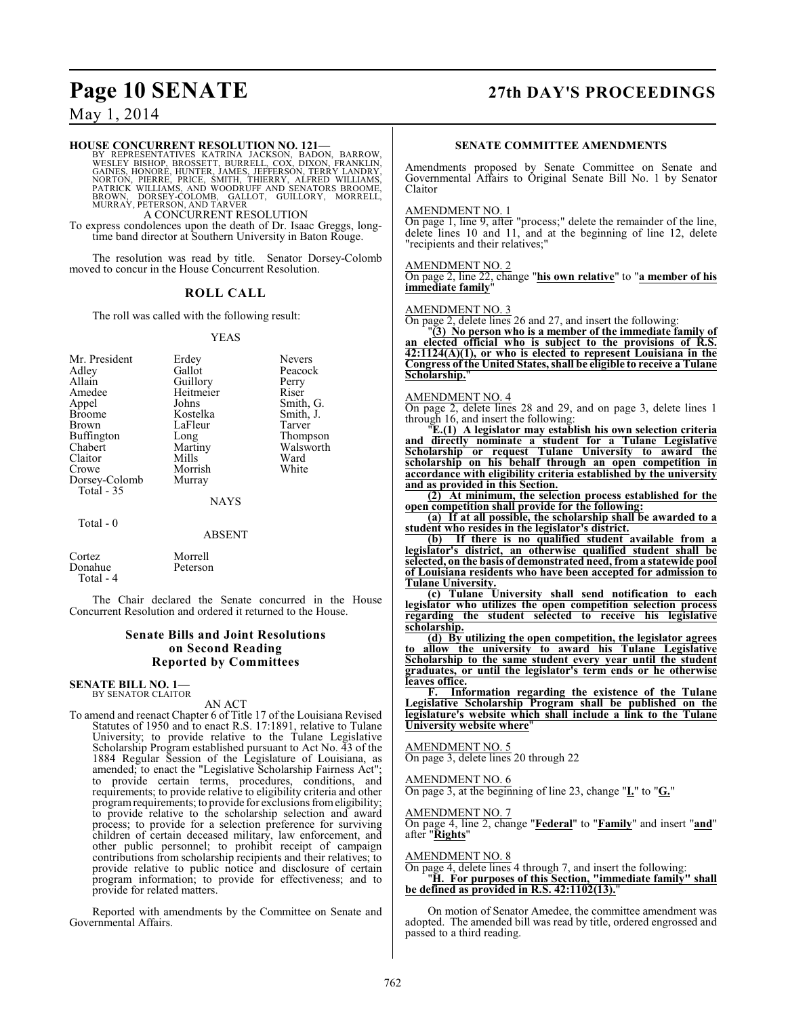## **Page 10 SENATE 27th DAY'S PROCEEDINGS**

### May 1, 2014

#### **HOUSE CONCURRENT RESOLUTION NO. 121—**

BY REPRESENTATIVES KATRINA JACKSON, BADON, BARROW, WESLEY BISHOP, BROSSETT, BURRELL, COX, DIXON, FRANKLIN, GAINES, HONORE, HUNTER, JAMES, JEFFERSON, TERRY LANDRY, NORTON, PRANKLIN, PORSEY-COLOMB, GAILOT, GUILLORY, MORRELL,

To express condolences upon the death of Dr. Isaac Greggs, longtime band director at Southern University in Baton Rouge.

The resolution was read by title. Senator Dorsey-Colomb moved to concur in the House Concurrent Resolution.

#### **ROLL CALL**

The roll was called with the following result:

#### YEAS

| Mr. President | Erdey     | <b>Nevers</b> |
|---------------|-----------|---------------|
| Adley         | Gallot    | Peacock       |
| Allain        | Guillory  | Perry         |
| Amedee        | Heitmeier | Riser         |
| Appel         | Johns     | Smith, G.     |
| <b>Broome</b> | Kostelka  | Smith, J.     |
| <b>Brown</b>  | LaFleur   | Tarver        |
| Buffington    | Long      | Thompson      |
| Chabert       | Martiny   | Walsworth     |
| Claitor       | Mills     | Ward          |
| Crowe         | Morrish   | White         |
| Dorsey-Colomb | Murray    |               |
| Total - 35    |           |               |
|               | NAYS      |               |

Total - 0

#### ABSENT

| Cortez    | Morrell  |
|-----------|----------|
| Donahue   | Peterson |
| Total - 4 |          |

The Chair declared the Senate concurred in the House Concurrent Resolution and ordered it returned to the House.

#### **Senate Bills and Joint Resolutions on Second Reading Reported by Committees**

#### **SENATE BILL NO. 1—** BY SENATOR CLAITOR

#### AN ACT

To amend and reenact Chapter 6 of Title 17 of the Louisiana Revised Statutes of 1950 and to enact R.S. 17:1891, relative to Tulane University; to provide relative to the Tulane Legislative Scholarship Program established pursuant to Act No. 43 of the 1884 Regular Session of the Legislature of Louisiana, as amended; to enact the "Legislative Scholarship Fairness Act"; to provide certain terms, procedures, conditions, and requirements; to provide relative to eligibility criteria and other program requirements; to provide for exclusions from eligibility; to provide relative to the scholarship selection and award process; to provide for a selection preference for surviving children of certain deceased military, law enforcement, and other public personnel; to prohibit receipt of campaign contributions from scholarship recipients and their relatives; to provide relative to public notice and disclosure of certain program information; to provide for effectiveness; and to provide for related matters.

Reported with amendments by the Committee on Senate and Governmental Affairs.

#### **SENATE COMMITTEE AMENDMENTS**

Amendments proposed by Senate Committee on Senate and Governmental Affairs to Original Senate Bill No. 1 by Senator Claitor

#### AMENDMENT NO. 1

On page 1, line 9, after "process;" delete the remainder of the line, delete lines 10 and 11, and at the beginning of line 12, delete "recipients and their relatives;"

#### AMENDMENT NO. 2

On page 2, line 22, change "**his own relative**" to "**a member of his immediate family**"

#### AMENDMENT NO. 3

On page 2, delete lines 26 and 27, and insert the following:

"**(3) No person who is a member of the immediate family of an elected official who is subject to the provisions of R.S. 42:1124(A)(1), or who is elected to represent Louisiana in the Congress of the United States,shall be eligible to receive a Tulane Scholarship.**"

#### AMENDMENT NO. 4

On page 2, delete lines 28 and 29, and on page 3, delete lines 1 through 16, and insert the following:

"**E.(1) A legislator may establish his own selection criteria and directly nominate a student for a Tulane Legislative Scholarship or request Tulane University to award the scholarship on his behalf through an open competition in accordance with eligibility criteria established by the university and as provided in this Section.**

**(2) At minimum, the selection process established for the open competition shall provide for the following:**

**(a) If at all possible, the scholarship shall be awarded to a student who resides in the legislator's district.**

**(b) If there is no qualified student available from a legislator's district, an otherwise qualified student shall be selected, on the basis of demonstrated need, from a statewide pool of Louisiana residents who have been accepted for admission to Tulane University.**

**(c) Tulane University shall send notification to each legislator who utilizes the open competition selection process regarding the student selected to receive his legislative scholarship.**

**(d) By utilizing the open competition, the legislator agrees to allow the university to award his Tulane Legislative Scholarship to the same student every year until the student graduates, or until the legislator's term ends or he otherwise leaves office.**

**F. Information regarding the existence of the Tulane Legislative Scholarship Program shall be published on the legislature's website which shall include a link to the Tulane University website where** 

AMENDMENT NO. 5 On page 3, delete lines 20 through 22

#### AMENDMENT NO. 6

On page 3, at the beginning of line 23, change "**I.**" to "**G.**"

#### AMENDMENT NO. 7

On page 4, line 2, change "**Federal**" to "**Family**" and insert "**and**" after "**Rights**"

#### AMENDMENT NO. 8

On page 4, delete lines 4 through 7, and insert the following: "**H. For purposes of this Section, "immediate family" shall**

**be defined as provided in R.S. 42:1102(13).**"

On motion of Senator Amedee, the committee amendment was adopted. The amended bill was read by title, ordered engrossed and passed to a third reading.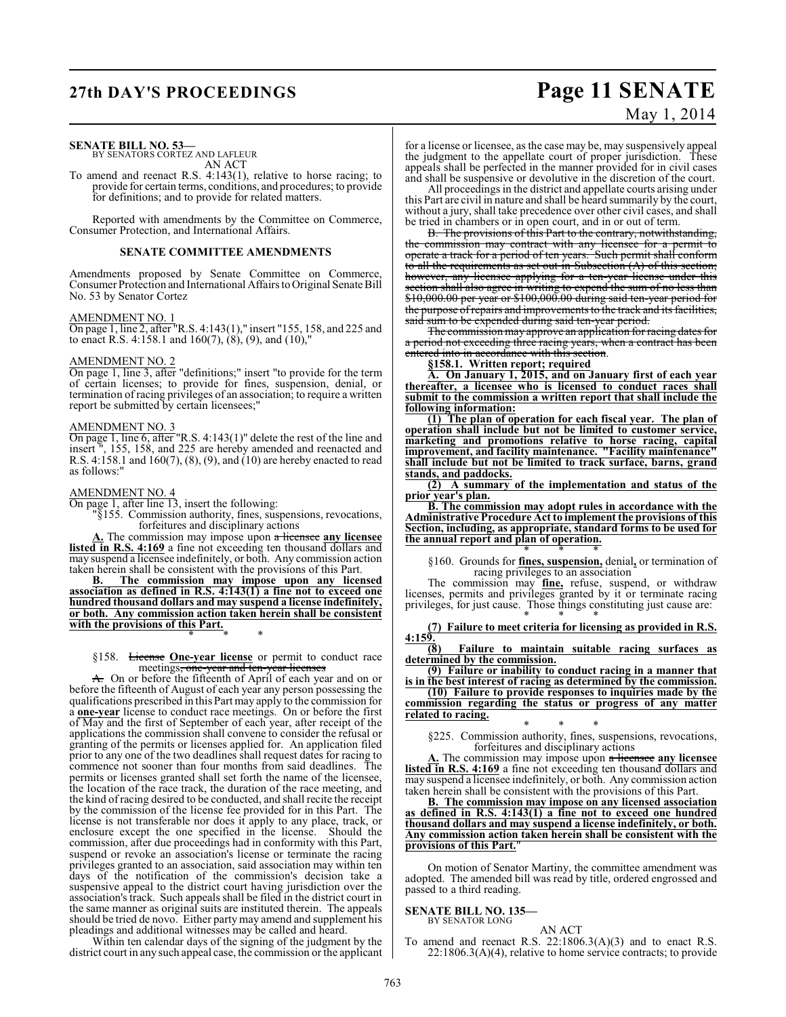## **27th DAY'S PROCEEDINGS Page 11 SENATE** May 1, 2014

### **SENATE BILL NO. 53—**

BY SENATORS CORTEZ AND LAFLEUR AN ACT

To amend and reenact R.S. 4:143(1), relative to horse racing; to provide for certain terms, conditions, and procedures; to provide for definitions; and to provide for related matters.

Reported with amendments by the Committee on Commerce, Consumer Protection, and International Affairs.

#### **SENATE COMMITTEE AMENDMENTS**

Amendments proposed by Senate Committee on Commerce, Consumer Protection and International Affairs to Original Senate Bill No. 53 by Senator Cortez

#### AMENDMENT NO. 1

On page 1, line 2, after "R.S. 4:143(1)," insert "155, 158, and 225 and to enact R.S. 4:158.1 and 160(7),  $(8)$ ,  $(9)$ , and  $(10)$ ,"

#### AMENDMENT NO. 2

On page 1, line 3, after "definitions;" insert "to provide for the term of certain licenses; to provide for fines, suspension, denial, or termination of racing privileges of an association; to require a written report be submitted by certain licensees;"

#### AMENDMENT NO. 3

On page 1, line 6, after "R.S. 4:143(1)" delete the rest of the line and insert ", 155, 158, and 225 are hereby amended and reenacted and R.S. 4:158.1 and 160(7), (8), (9), and (10) are hereby enacted to read as follows:"

#### AMENDMENT NO. 4

On page 1, after line 13, insert the following:

"§155. Commission authority, fines, suspensions, revocations, forfeitures and disciplinary actions

**A.** The commission may impose upon a licensee **any licensee** listed in R.S. 4:169 a fine not exceeding ten thousand dollars and may suspend a licensee indefinitely, or both. Any commission action taken herein shall be consistent with the provisions of this Part.

**B. The commission may impose upon any licensed association as defined in R.S. 4:143(1) a fine not to exceed one hundred thousand dollars and may suspend a license indefinitely, or both. Any commission action taken herein shall be consistent with the provisions of this Part.**

\* \* \*

#### §158. License **One-year license** or permit to conduct race meetings, one-year and ten-year licenses

A. On or before the fifteenth of April of each year and on or before the fifteenth of August of each year any person possessing the qualifications prescribed in this Part may apply to the commission for a **one-year** license to conduct race meetings. On or before the first of May and the first of September of each year, after receipt of the applications the commission shall convene to consider the refusal or granting of the permits or licenses applied for. An application filed prior to any one of the two deadlines shall request dates for racing to commence not sooner than four months from said deadlines. The permits or licenses granted shall set forth the name of the licensee, the location of the race track, the duration of the race meeting, and the kind of racing desired to be conducted, and shall recite the receipt by the commission of the license fee provided for in this Part. The license is not transferable nor does it apply to any place, track, or enclosure except the one specified in the license. Should the commission, after due proceedings had in conformity with this Part, suspend or revoke an association's license or terminate the racing privileges granted to an association, said association may within ten days of the notification of the commission's decision take a suspensive appeal to the district court having jurisdiction over the association's track. Such appeals shall be filed in the district court in the same manner as original suits are instituted therein. The appeals should be tried de novo. Either party may amend and supplement his pleadings and additional witnesses may be called and heard.

Within ten calendar days of the signing of the judgment by the district court in any such appeal case, the commission or the applicant for a license or licensee, as the case may be, may suspensively appeal the judgment to the appellate court of proper jurisdiction. These appeals shall be perfected in the manner provided for in civil cases and shall be suspensive or devolutive in the discretion of the court.

All proceedings in the district and appellate courts arising under this Part are civil in nature and shall be heard summarily by the court, without a jury, shall take precedence over other civil cases, and shall be tried in chambers or in open court, and in or out of term.

B. The provisions of this Part to the contrary, notwithstanding, the commission may contract with any licensee for a permit to operate a track for a period of ten years. Such permit shall conform to all the requirements as set out in Subsection  $(A)$  of this section; however, any licensee applying for a ten-year license under this section shall also agree in writing to expend the sum of no less than \$10,000.00 per year or \$100,000.00 during said ten-year period for the purpose of repairs and improvements to the track and its facilities, said sum to be expended during said ten-year period.

The commission may approve an application for racing dates for a period not exceeding three racing years, when a contract has been entered into in accordance with this section.

**§158.1. Written report; required**

**A. On January 1, 2015, and on January first of each year thereafter, a licensee who is licensed to conduct races shall submit to the commission a written report that shall include the following information:**

**(1) The plan of operation for each fiscal year. The plan of operation shall include but not be limited to customer service, marketing and promotions relative to horse racing, capital improvement, and facility maintenance. "Facility maintenance" shall include but not be limited to track surface, barns, grand stands, and paddocks.**

**(2) A summary of the implementation and status of the prior year's plan.**

**B. The commission may adopt rules in accordance with the Administrative Procedure Act to implement the provisions of this Section, including, as appropriate, standard forms to be used for the annual report and plan of operation.** \* \* \*

§160. Grounds for **fines, suspension,** denial**,** or termination of racing privileges to an association

The commission may **fine,** refuse, suspend, or withdraw licenses, permits and privileges granted by it or terminate racing privileges, for just cause. Those things constituting just cause are: \* \* \*

**(7) Failure to meet criteria for licensing as provided in R.S.**  $\frac{4:159.}{(8)}$ 

**(8) Failure to maintain suitable racing surfaces as determined by the commission.**

**(9) Failure or inability to conduct racing in a manner that is in the best interest of racing as determined by the commission.**

**(10) Failure to provide responses to inquiries made by the commission regarding the status or progress of any matter related to racing.**

\* \* \* §225. Commission authority, fines, suspensions, revocations, forfeitures and disciplinary actions

**A.** The commission may impose upon a licensee **any licensee** listed in R.S. 4:169 a fine not exceeding ten thousand dollars and may suspend a licensee indefinitely, or both. Any commission action taken herein shall be consistent with the provisions of this Part.

**B. The commission may impose on any licensed association as defined in R.S. 4:143(1) a fine not to exceed one hundred thousand dollars and may suspend a license indefinitely, or both. Any commission action taken herein shall be consistent with the provisions of this Part.**"

On motion of Senator Martiny, the committee amendment was adopted. The amended bill was read by title, ordered engrossed and passed to a third reading.

#### **SENATE BILL NO. 135—** BY SENATOR LONG

AN ACT

To amend and reenact R.S.  $22:1806.3(A)(3)$  and to enact R.S.  $22:1806.3(A)(4)$ , relative to home service contracts; to provide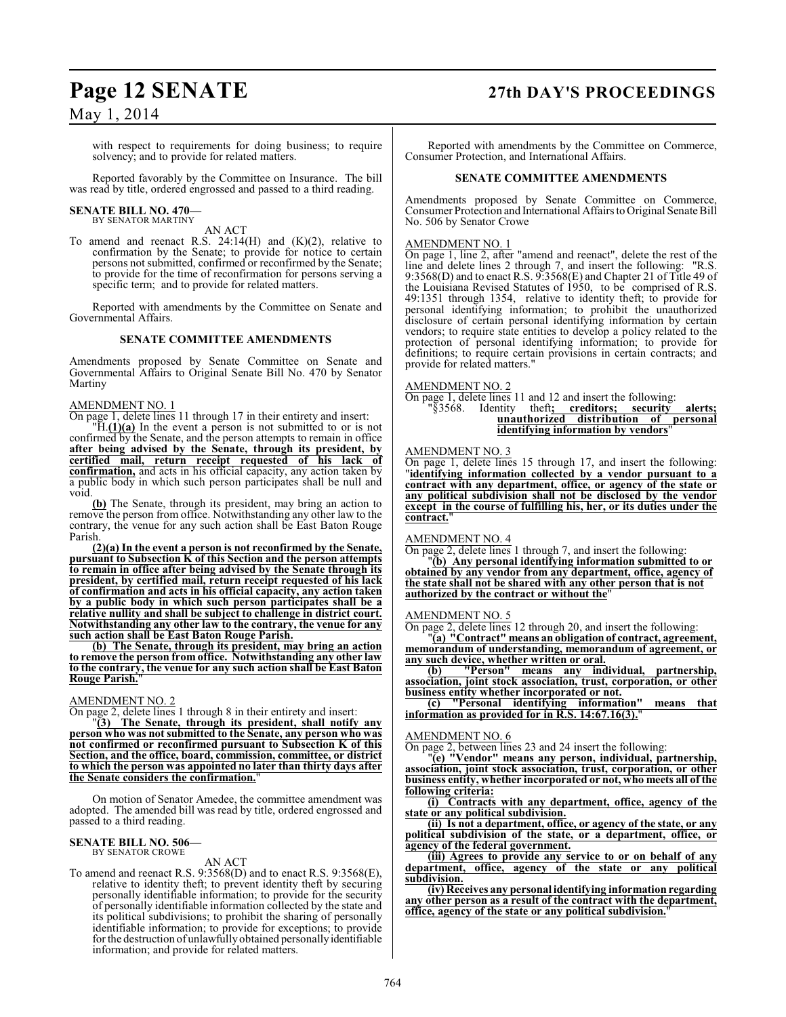### **Page 12 SENATE 27th DAY'S PROCEEDINGS**

May 1, 2014

with respect to requirements for doing business; to require solvency; and to provide for related matters.

Reported favorably by the Committee on Insurance. The bill was read by title, ordered engrossed and passed to a third reading.

## **SENATE BILL NO. 470—** BY SENATOR MARTINY

AN ACT

To amend and reenact R.S.  $24:14(H)$  and  $(K)(2)$ , relative to confirmation by the Senate; to provide for notice to certain persons not submitted, confirmed or reconfirmed by the Senate; to provide for the time of reconfirmation for persons serving a specific term; and to provide for related matters.

Reported with amendments by the Committee on Senate and Governmental Affairs.

#### **SENATE COMMITTEE AMENDMENTS**

Amendments proposed by Senate Committee on Senate and Governmental Affairs to Original Senate Bill No. 470 by Senator Martiny

#### AMENDMENT NO. 1

On page 1, delete lines 11 through 17 in their entirety and insert:

"H.**(1)(a)** In the event a person is not submitted to or is not confirmed by the Senate, and the person attempts to remain in office **after being advised by the Senate, through its president, by certified mail, return receipt requested of his lack of confirmation,** and acts in his official capacity, any action taken by a public body in which such person participates shall be null and void.

**(b)** The Senate, through its president, may bring an action to remove the person from office. Notwithstanding any other law to the contrary, the venue for any such action shall be East Baton Rouge Parish.

**(2)(a) In the event a person is not reconfirmed by the Senate, pursuant to Subsection K of this Section and the person attempts to remain in office after being advised by the Senate through its president, by certified mail, return receipt requested of his lack of confirmation and acts in his official capacity, any action taken by a public body in which such person participates shall be a relative nullity and shall be subject to challenge in district court. Notwithstanding any other law to the contrary, the venue for any such action shall be East Baton Rouge Parish.**

**(b) The Senate, through its president, may bring an action to remove the person from office. Notwithstanding any other law to the contrary, the venue for any such action shall be East Baton Rouge Parish.**"

#### AMENDMENT NO. 2

On page 2, delete lines 1 through 8 in their entirety and insert:

"**(3) The Senate, through its president, shall notify any person who was not submitted to the Senate, any person who was not confirmed or reconfirmed pursuant to Subsection K of this Section, and the office, board, commission, committee, or district to which the person was appointed no later than thirty days after the Senate considers the confirmation.**"

On motion of Senator Amedee, the committee amendment was adopted. The amended bill was read by title, ordered engrossed and passed to a third reading.

## **SENATE BILL NO. 506—** BY SENATOR CROWE

#### AN ACT

To amend and reenact R.S. 9:3568(D) and to enact R.S. 9:3568(E), relative to identity theft; to prevent identity theft by securing personally identifiable information; to provide for the security of personally identifiable information collected by the state and its political subdivisions; to prohibit the sharing of personally identifiable information; to provide for exceptions; to provide for the destruction of unlawfully obtained personally identifiable information; and provide for related matters.

Reported with amendments by the Committee on Commerce, Consumer Protection, and International Affairs.

#### **SENATE COMMITTEE AMENDMENTS**

Amendments proposed by Senate Committee on Commerce, Consumer Protection and International Affairs to Original Senate Bill No. 506 by Senator Crowe

#### AMENDMENT NO. 1

On page 1, line 2, after "amend and reenact", delete the rest of the line and delete lines 2 through 7, and insert the following: "R.S. 9:3568(D) and to enact R.S. 9:3568(E) and Chapter 21 of Title 49 of the Louisiana Revised Statutes of 1950, to be comprised of R.S. 49:1351 through 1354, relative to identity theft; to provide for personal identifying information; to prohibit the unauthorized disclosure of certain personal identifying information by certain vendors; to require state entities to develop a policy related to the protection of personal identifying information; to provide for definitions; to require certain provisions in certain contracts; and provide for related matters."

#### AMENDMENT NO. 2

**On page 1, delete lines 11 and 12 and insert the following:**<br>"§3568. Identity theft; **creditors; security** "§3568. Identity theft**; creditors; security alerts; unauthorized distribution of personal identifying information by vendors**"

#### AMENDMENT NO. 3

On page 1, delete lines 15 through 17, and insert the following: "**identifying information collected by a vendor pursuant to a contract with any department, office, or agency of the state or any political subdivision shall not be disclosed by the vendor except in the course of fulfilling his, her, or its duties under the contract.**"

#### AMENDMENT NO. 4

On page 2, delete lines 1 through 7, and insert the following:

"**(b) Any personal identifying information submitted to or obtained by any vendor from any department, office, agency of the state shall not be shared with any other person that is not authorized by the contract or without the**"

#### AMENDMENT NO. 5

On page 2, delete lines 12 through 20, and insert the following:

"**(a) "Contract" means an obligation of contract, agreement, memorandum of understanding, memorandum of agreement, or any such device, whether written or oral.**

**(b) "Person" means any individual, partnership, association, joint stock association, trust, corporation, or other business entity whether incorporated or not.**

**(c) "Personal identifying information" means that information as provided for in R.S. 14:67.16(3).**"

#### AMENDMENT NO. 6

On page 2, between lines 23 and 24 insert the following:

"**(e) "Vendor" means any person, individual, partnership, association, joint stock association, trust, corporation, or other business entity, whether incorporated or not, who meets all of the following criteria:**

**(i) Contracts with any department, office, agency of the state or any political subdivision.**

**(ii) Is not a department, office, or agency of the state, or any political subdivision of the state, or a department, office, or agency of the federal government.**

**(iii) Agrees to provide any service to or on behalf of any department, office, agency of the state or any political subdivision.**

**(iv) Receives any personal identifying information regarding any other person as a result of the contract with the department, office, agency of the state or any political subdivision.**"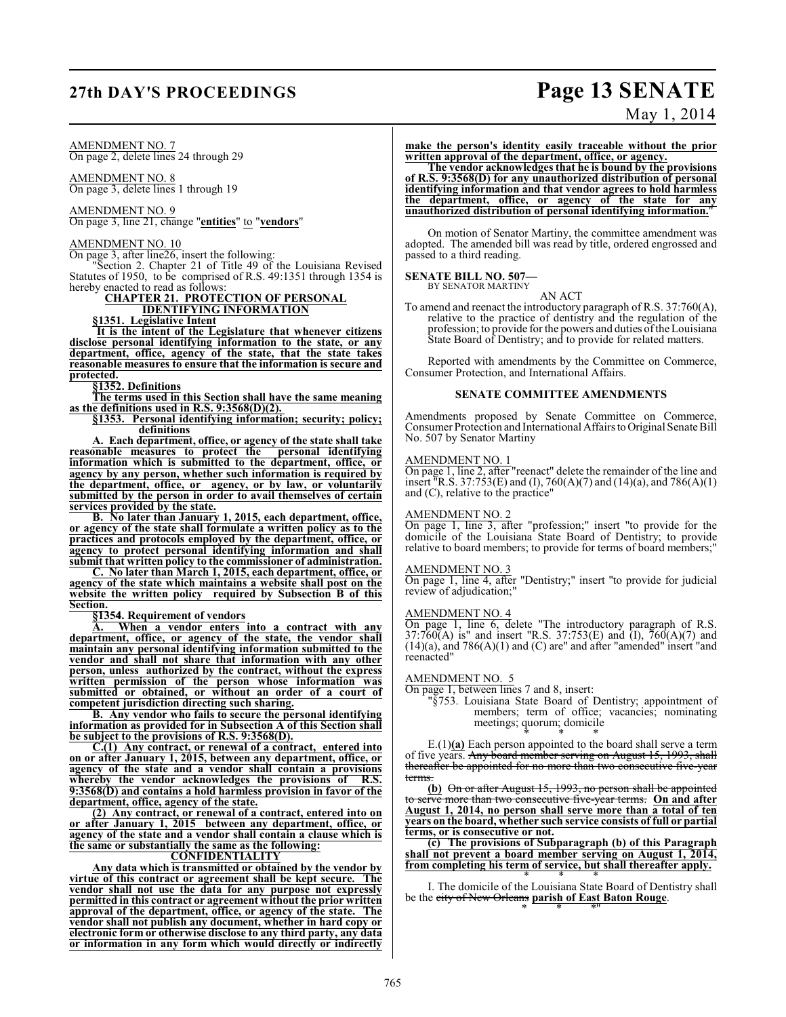## **27th DAY'S PROCEEDINGS Page 13 SENATE**

#### AMENDMENT NO. 7 On page 2, delete lines 24 through 29

AMENDMENT NO. 8

On page 3, delete lines 1 through 19

AMENDMENT NO. 9 On page 3, line 21, change "**entities**" to "**vendors**"

AMENDMENT NO. 10 On page 3, after line26, insert the following:

"Section 2. Chapter 21 of Title 49 of the Louisiana Revised Statutes of 1950, to be comprised of R.S. 49:1351 through 1354 is hereby enacted to read as follows:

### **CHAPTER 21. PROTECTION OF PERSONAL**

**IDENTIFYING INFORMATION**

**§1351. Legislative Intent**

**It is the intent of the Legislature that whenever citizens disclose personal identifying information to the state, or any department, office, agency of the state, that the state takes reasonable measures to ensure that the information is secure and protected.**

**§1352. Definitions**

**The terms used in this Section shall have the same meaning as the definitions used in R.S. 9:3568(D)(2).** 

**§1353. Personal identifying information; security; policy; definitions**

**A. Each department, office, or agency of the state shall take reasonable measures to protect the personal identifying information which is submitted to the department, office, or agency by any person, whether such information is required by the department, office, or agency, or by law, or voluntarily submitted by the person in order to avail themselves of certain services provided by the state.**

**B. No later than January 1, 2015, each department, office, or agency of the state shall formulate a written policy as to the practices and protocols employed by the department, office, or agency to protect personal identifying information and shall submit that written policy to the commissioner of administration.**

**C. No later than March 1, 2015, each department, office, or agency of the state which maintains a website shall post on the website the written policy required by Subsection B of this Section.**

**§1354. Requirement of vendors**

**A. When a vendor enters into a contract with any department, office, or agency of the state, the vendor shall maintain any personal identifying information submitted to the vendor and shall not share that information with any other person, unless authorized by the contract, without the express written permission of the person whose information was submitted or obtained, or without an order of a court of competent jurisdiction directing such sharing.**

**B. Any vendor who fails to secure the personal identifying information as provided for in Subsection A of this Section shall be subject to the provisions of R.S. 9:3568(D).**

**C.(1) Any contract, or renewal of a contract, entered into on or after January 1, 2015, between any department, office, or agency of the state and a vendor shall contain a provisions whereby the vendor acknowledges the provisions of R.S. 9:3568(D) and contains a hold harmless provision in favor of the department, office, agency of the state.**

**(2) Any contract, or renewal of a contract, entered into on or after January 1, 2015 between any department, office, or agency of the state and a vendor shall contain a clause which is the same or substantially the same as the following:**

#### **CONFIDENTIALITY**

**Any data which is transmitted or obtained by the vendor by virtue of this contract or agreement shall be kept secure. The vendor shall not use the data for any purpose not expressly permitted in this contract or agreement without the prior written approval of the department, office, or agency of the state. The vendor shall not publish any document, whether in hard copy or electronic form or otherwise disclose to any third party, any data or information in any form which would directly or indirectly**

# May 1, 2014

**make the person's identity easily traceable without the prior written approval of the department, office, or agency.**

**The vendor acknowledges that he is bound by the provisions of R.S. 9:3568(D) for any unauthorized distribution of personal identifying information and that vendor agrees to hold harmless the department, office, or agency of the state for any unauthorized distribution of personal identifying information.**"

On motion of Senator Martiny, the committee amendment was adopted. The amended bill was read by title, ordered engrossed and passed to a third reading.

### **SENATE BILL NO. 507—**

BY SENATOR MARTINY AN ACT

To amend and reenact the introductory paragraph of R.S. 37:760(A), relative to the practice of dentistry and the regulation of the profession; to provide for the powers and duties of the Louisiana State Board of Dentistry; and to provide for related matters.

Reported with amendments by the Committee on Commerce, Consumer Protection, and International Affairs.

#### **SENATE COMMITTEE AMENDMENTS**

Amendments proposed by Senate Committee on Commerce, Consumer Protection and International Affairs to Original Senate Bill No. 507 by Senator Martiny

#### AMENDMENT NO. 1

On page 1, line 2, after "reenact" delete the remainder of the line and insert "R.S. 37:753(E) and (I), 760(A)(7) and (14)(a), and 786(A)(1) and (C), relative to the practice"

#### AMENDMENT NO. 2

On page 1, line 3, after "profession;" insert "to provide for the domicile of the Louisiana State Board of Dentistry; to provide relative to board members; to provide for terms of board members;"

#### AMENDMENT NO. 3

On page 1, line 4, after "Dentistry;" insert "to provide for judicial review of adjudication;"

#### AMENDMENT NO. 4

On page 1, line 6, delete "The introductory paragraph of R.S.  $37:760(A)$  is" and insert "R.S.  $37:753(E)$  and  $(I)$ ,  $760(A)(7)$  and (14)(a), and 786(A)(1) and (C) are" and after "amended" insert "and reenacted"

AMENDMENT NO. 5

On page 1, between lines 7 and 8, insert:

"§753. Louisiana State Board of Dentistry; appointment of members; term of office; vacancies; nominating meetings; quorum; domicile \* \* \*

E.(1)**(a)** Each person appointed to the board shall serve a term of five years. Any board member serving on August 15, 1993, shall thereafter be appointed for no more than two consecutive five-year terms.

**(b)** On or after August 15, 1993, no person shall be appointed erve more than two consecutive five-year terms. On and after **August 1, 2014, no person shall serve more than a total of ten years on the board, whether such service consists of full or partial terms, or is consecutive or not.**

**(c) The provisions of Subparagraph (b) of this Paragraph shall not prevent a board member serving on August 1, 2014, from completing his term of service, but shall thereafter apply.**

\* \* \* I. The domicile of the Louisiana State Board of Dentistry shall be the city of New Orleans **parish of East Baton Rouge**. \* \* \*"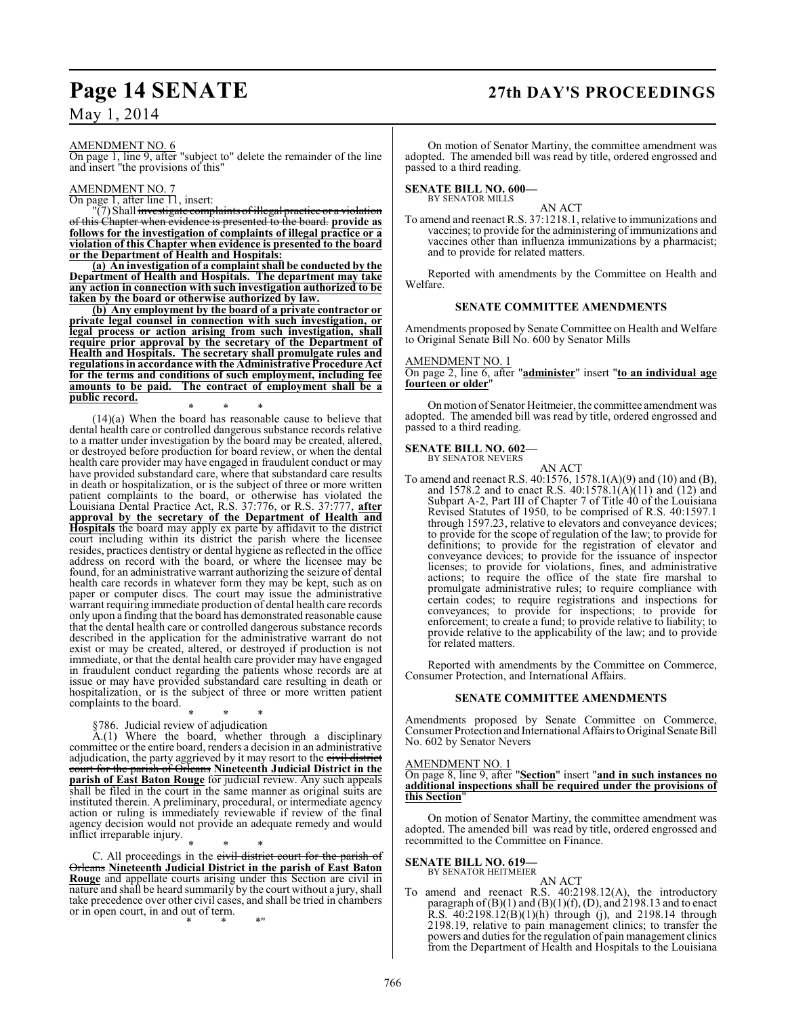## **Page 14 SENATE 27th DAY'S PROCEEDINGS**

#### AMENDMENT NO. 6

On page 1, line 9, after "subject to" delete the remainder of the line and insert "the provisions of this"

#### AMENDMENT NO. 7

On page 1, after line 11, insert:

"(7) Shall <del>investigate complaints of illegal practice or a violation</del> of this Chapter when evidence is presented to the board. **provide as follows for the investigation of complaints of illegal practice or a violation of this Chapter when evidence is presented to the board or the Department of Health and Hospitals:**

**(a) An investigation of a complaint shall be conducted by the Department of Health and Hospitals. The department may take any action in connection with such investigation authorized to be taken by the board or otherwise authorized by law.**

**(b) Any employment by the board of a private contractor or private legal counsel in connection with such investigation, or legal process or action arising from such investigation, shall require prior approval by the secretary of the Department of Health and Hospitals. The secretary shall promulgate rules and regulations in accordance with the Administrative Procedure Act for the terms and conditions of such employment, including fee amounts to be paid. The contract of employment shall be a public record.**

\* \* \* (14)(a) When the board has reasonable cause to believe that dental health care or controlled dangerous substance records relative to a matter under investigation by the board may be created, altered, or destroyed before production for board review, or when the dental health care provider may have engaged in fraudulent conduct or may have provided substandard care, where that substandard care results in death or hospitalization, or is the subject of three or more written patient complaints to the board, or otherwise has violated the Louisiana Dental Practice Act, R.S. 37:776, or R.S. 37:777, **after approval by the secretary of the Department of Health and Hospitals** the board may apply ex parte by affidavit to the district court including within its district the parish where the licensee resides, practices dentistry or dental hygiene as reflected in the office address on record with the board, or where the licensee may be found, for an administrative warrant authorizing the seizure of dental health care records in whatever form they may be kept, such as on paper or computer discs. The court may issue the administrative warrant requiring immediate production of dental health care records only upon a finding that the board has demonstrated reasonable cause that the dental health care or controlled dangerous substance records described in the application for the administrative warrant do not exist or may be created, altered, or destroyed if production is not immediate, or that the dental health care provider may have engaged in fraudulent conduct regarding the patients whose records are at issue or may have provided substandard care resulting in death or hospitalization, or is the subject of three or more written patient complaints to the board.

\* \* \* §786. Judicial review of adjudication

A.(1) Where the board, whether through a disciplinary committee or the entire board, renders a decision in an administrative adjudication, the party aggrieved by it may resort to the civil district court for the parish of Orleans **Nineteenth Judicial District in the parish of East Baton Rouge** for judicial review. Any such appeals shall be filed in the court in the same manner as original suits are instituted therein. A preliminary, procedural, or intermediate agency action or ruling is immediately reviewable if review of the final agency decision would not provide an adequate remedy and would inflict irreparable injury.

\* \* \* C. All proceedings in the civil district court for the parish of Orleans **Nineteenth Judicial District in the parish of East Baton Rouge** and appellate courts arising under this Section are civil in nature and shall be heard summarily by the court without a jury, shall take precedence over other civil cases, and shall be tried in chambers or in open court, in and out of term. \* \* \*"

On motion of Senator Martiny, the committee amendment was adopted. The amended bill was read by title, ordered engrossed and passed to a third reading.

#### **SENATE BILL NO. 600—** BY SENATOR MILLS

AN ACT

To amend and reenact R.S. 37:1218.1, relative to immunizations and vaccines; to provide for the administering of immunizations and vaccines other than influenza immunizations by a pharmacist; and to provide for related matters.

Reported with amendments by the Committee on Health and Welfare.

#### **SENATE COMMITTEE AMENDMENTS**

Amendments proposed by Senate Committee on Health and Welfare to Original Senate Bill No. 600 by Senator Mills

#### AMENDMENT NO. 1

On page 2, line 6, after "**administer**" insert "**to an individual age fourteen or older**"

On motion of Senator Heitmeier, the committee amendment was adopted. The amended bill was read by title, ordered engrossed and passed to a third reading.

## **SENATE BILL NO. 602—** BY SENATOR NEVERS

AN ACT

To amend and reenact R.S. 40:1576, 1578.1(A)(9) and (10) and (B), and 1578.2 and to enact R.S. 40:1578.1(A)(11) and (12) and Subpart A-2, Part III of Chapter 7 of Title 40 of the Louisiana Revised Statutes of 1950, to be comprised of R.S. 40:1597.1 through 1597.23, relative to elevators and conveyance devices; to provide for the scope of regulation of the law; to provide for definitions; to provide for the registration of elevator and conveyance devices; to provide for the issuance of inspector licenses; to provide for violations, fines, and administrative actions; to require the office of the state fire marshal to promulgate administrative rules; to require compliance with certain codes; to require registrations and inspections for conveyances; to provide for inspections; to provide for enforcement; to create a fund; to provide relative to liability; to provide relative to the applicability of the law; and to provide for related matters.

Reported with amendments by the Committee on Commerce, Consumer Protection, and International Affairs.

#### **SENATE COMMITTEE AMENDMENTS**

Amendments proposed by Senate Committee on Commerce, Consumer Protection and International Affairs to Original Senate Bill No. 602 by Senator Nevers

#### AMENDMENT NO. 1

On page 8, line 9, after "**Section**" insert "**and in such instances no additional inspections shall be required under the provisions of this Section**"

On motion of Senator Martiny, the committee amendment was adopted. The amended bill was read by title, ordered engrossed and recommitted to the Committee on Finance.

### **SENATE BILL NO. 619—** BY SENATOR HEITMEIER

AN ACT

To amend and reenact R.S. 40:2198.12(A), the introductory paragraph of  $(B)(1)$  and  $(B)(1)(f)$ ,  $(D)$ , and 2198.13 and to enact R.S. 40:2198.12(B)(1)(h) through (j), and 2198.14 through 2198.19, relative to pain management clinics; to transfer the powers and duties for the regulation of pain management clinics from the Department of Health and Hospitals to the Louisiana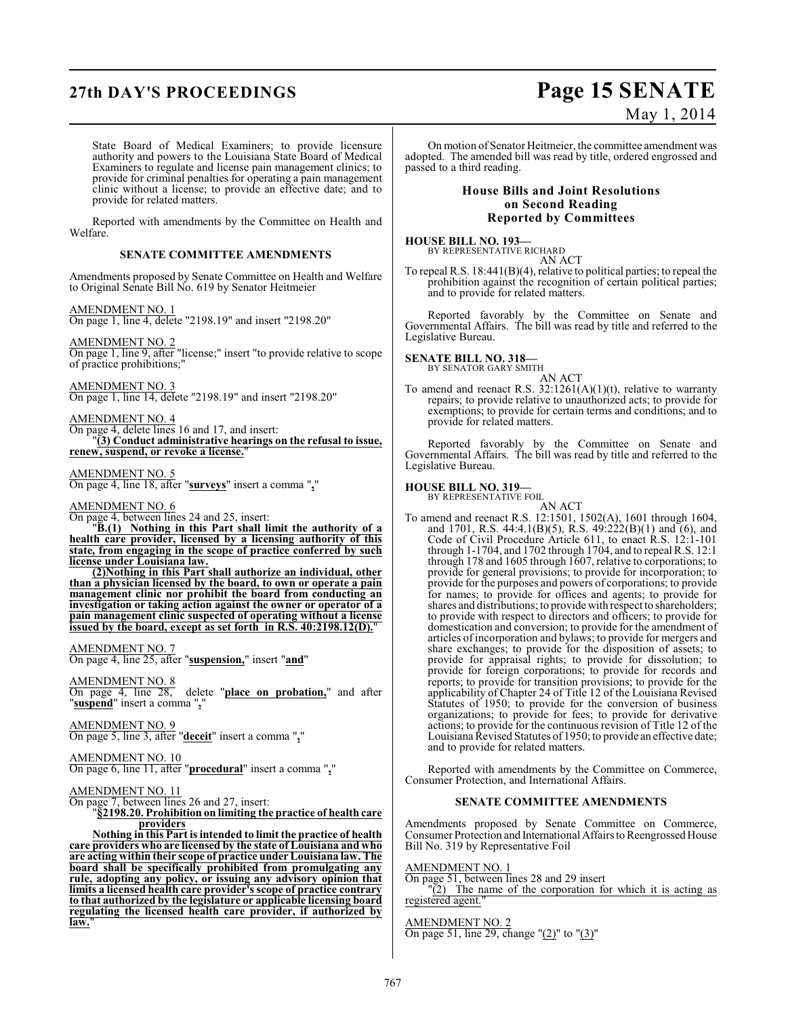## **27th DAY'S PROCEEDINGS Page 15 SENATE**

# May 1, 2014

State Board of Medical Examiners; to provide licensure authority and powers to the Louisiana State Board of Medical Examiners to regulate and license pain management clinics; to provide for criminal penalties for operating a pain management clinic without a license; to provide an effective date; and to provide for related matters.

Reported with amendments by the Committee on Health and Welfare.

#### **SENATE COMMITTEE AMENDMENTS**

Amendments proposed by Senate Committee on Health and Welfare to Original Senate Bill No. 619 by Senator Heitmeier

AMENDMENT NO. 1 On page 1, line 4, delete "2198.19" and insert "2198.20"

AMENDMENT NO. 2

On page 1, line 9, after "license;" insert "to provide relative to scope of practice prohibitions;"

AMENDMENT NO. 3 On page 1, line 14, delete "2198.19" and insert "2198.20"

AMENDMENT NO. 4 On page 4, delete lines 16 and 17, and insert: "**(3) Conduct administrative hearings on the refusal to issue, renew, suspend, or revoke a license.**"

#### AMENDMENT NO. 5

On page 4, line 18, after "**surveys**" insert a comma "**,**"

#### AMENDMENT NO. 6

On page 4, between lines 24 and 25, insert:

"**B.(1) Nothing in this Part shall limit the authority of a health care provider, licensed by a licensing authority of this state, from engaging in the scope of practice conferred by such license under Louisiana law.**

**(2)Nothing in this Part shall authorize an individual, other than a physician licensed by the board, to own or operate a pain management clinic nor prohibit the board from conducting an investigation or taking action against the owner or operator of a pain management clinic suspected of operating without a license issued by the board, except as set forth in R.S. 40:2198.12(D).**"

#### AMENDMENT NO. 7

On page 4, line 25, after "**suspension,**" insert "**and**"

AMENDMENT NO. 8

delete "**place on probation**," and after  $\overline{On}$  page 4, line 28, dele<br>"**suspend**" insert a comma ",

#### AMENDMENT NO. 9

On page 5, line 3, after "**deceit**" insert a comma "**,**"

### AMENDMENT NO. 10

On page 6, line 11, after "**procedural**" insert a comma "**,**"

### AMENDMENT NO. 11

On page 7, between lines 26 and 27, insert:

"**§2198.20. Prohibition on limiting the practice of health care providers**

**Nothing in this Part is intended to limit the practice of health care providers who are licensed by the state of Louisiana and who are acting within their scope of practice under Louisiana law. The board shall be specifically prohibited from promulgating any rule, adopting any policy, or issuing any advisory opinion that limits a licensed health care provider's scope of practice contrary to that authorized by the legislature or applicable licensing board regulating the licensed health care provider, if authorized by** law.

On motion of Senator Heitmeier, the committee amendment was adopted. The amended bill was read by title, ordered engrossed and passed to a third reading.

#### **House Bills and Joint Resolutions on Second Reading Reported by Committees**

**HOUSE BILL NO. 193—** BY REPRESENTATIVE RICHARD

AN ACT To repeal R.S. 18:441(B)(4), relative to political parties; to repeal the prohibition against the recognition of certain political parties; and to provide for related matters.

Reported favorably by the Committee on Senate and Governmental Affairs. The bill was read by title and referred to the Legislative Bureau.

#### **SENATE BILL NO. 318—**

BY SENATOR GARY SMITH AN ACT

To amend and reenact R.S.  $32:1261(A)(1)(t)$ , relative to warranty repairs; to provide relative to unauthorized acts; to provide for exemptions; to provide for certain terms and conditions; and to provide for related matters.

Reported favorably by the Committee on Senate and Governmental Affairs. The bill was read by title and referred to the Legislative Bureau.

**HOUSE BILL NO. 319—** BY REPRESENTATIVE FOIL AN ACT

To amend and reenact R.S. 12:1501, 1502(A), 1601 through 1604, and 1701, R.S. 44:4.1(B)(5), R.S. 49:222(B)(1) and (6), and Code of Civil Procedure Article 611, to enact R.S. 12:1-101 through 1-1704, and 1702 through 1704, and to repeal R.S. 12:1 through 178 and 1605 through 1607, relative to corporations; to provide for general provisions; to provide for incorporation; to provide for the purposes and powers of corporations; to provide for names; to provide for offices and agents; to provide for shares and distributions; to provide with respect to shareholders; to provide with respect to directors and officers; to provide for domestication and conversion; to provide for the amendment of articles of incorporation and bylaws; to provide for mergers and share exchanges; to provide for the disposition of assets; to provide for appraisal rights; to provide for dissolution; to provide for foreign corporations; to provide for records and reports; to provide for transition provisions; to provide for the applicability of Chapter 24 of Title 12 of the Louisiana Revised Statutes of 1950; to provide for the conversion of business organizations; to provide for fees; to provide for derivative actions; to provide for the continuous revision of Title 12 of the Louisiana Revised Statutes of 1950; to provide an effective date; and to provide for related matters.

Reported with amendments by the Committee on Commerce, Consumer Protection, and International Affairs.

#### **SENATE COMMITTEE AMENDMENTS**

Amendments proposed by Senate Committee on Commerce, Consumer Protection and International Affairs to Reengrossed House Bill No. 319 by Representative Foil

#### AMENDMENT NO. 1

On page 51, between lines 28 and 29 insert

 $\sqrt{2}$  The name of the corporation for which it is acting as registered agent.

#### AMENDMENT NO. 2

On page 51, line 29, change "(2)" to "(3)"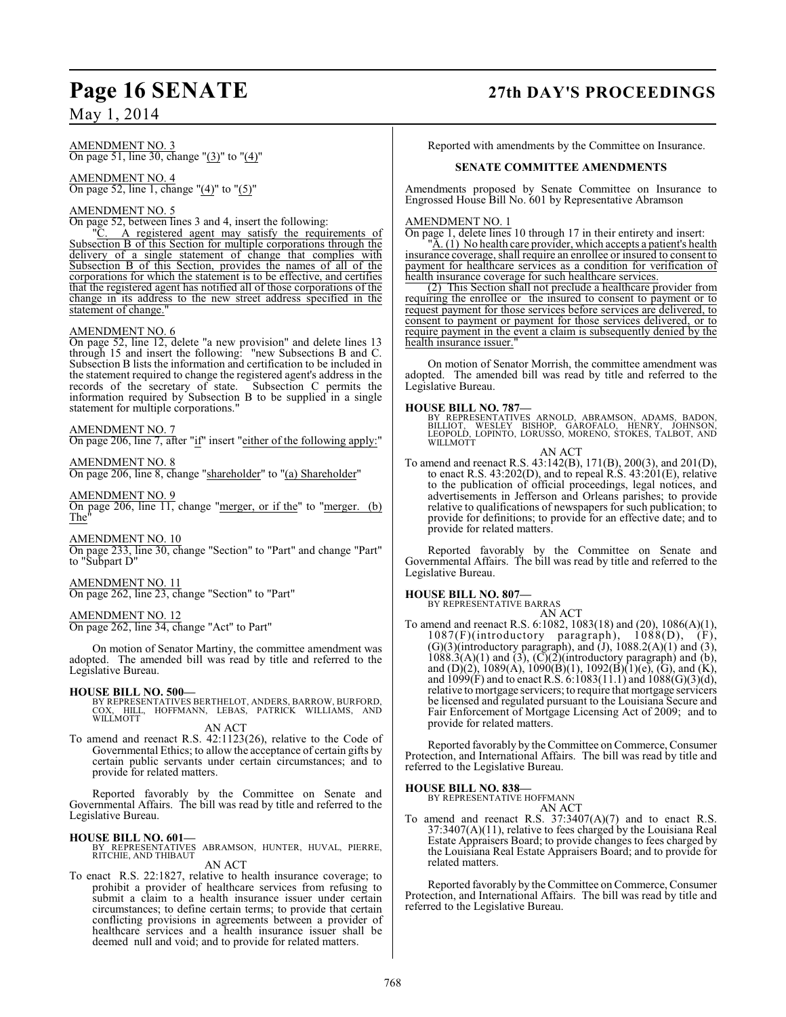#### AMENDMENT NO. 3 On page 51, line 30, change "(3)" to "(4)"

AMENDMENT NO. 4 On page 52, line 1, change "(4)" to "(5)"

#### AMENDMENT NO. 5

On page 52, between lines 3 and 4, insert the following:<br>"C. A registered agent may satisfy the requi

A registered agent may satisfy the requirements of Subsection B of this Section for multiple corporations through the delivery of a single statement of change that complies with Subsection B of this Section, provides the names of all of the corporations for which the statement is to be effective, and certifies that the registered agent has notified all of those corporations of the change in its address to the new street address specified in the statement of change.

#### AMENDMENT NO. 6

On page 52, line 12, delete "a new provision" and delete lines 13 through 15 and insert the following: "new Subsections B and C. Subsection B lists the information and certification to be included in the statement required to change the registered agent's address in the records of the secretary of state. Subsection C permits the information required by Subsection B to be supplied in a single statement for multiple corporations."

#### AMENDMENT NO. 7

On page 206, line 7, after "if" insert "either of the following apply:"

### AMENDMENT NO. 8

On page 206, line 8, change "shareholder" to "(a) Shareholder"

#### AMENDMENT NO. 9

On page 206, line 11, change "merger, or if the" to "merger. (b) The"

#### AMENDMENT NO. 10

On page 233, line 30, change "Section" to "Part" and change "Part" to "Subpart D"

#### AMENDMENT NO. 11

On page 262, line 23, change "Section" to "Part"

#### AMENDMENT NO. 12

On page 262, line 34, change "Act" to Part"

On motion of Senator Martiny, the committee amendment was adopted. The amended bill was read by title and referred to the Legislative Bureau.

**HOUSE BILL NO. 500—** BY REPRESENTATIVES BERTHELOT, ANDERS, BARROW, BURFORD, COX, HILL, HOFFMANN, LEBAS, PATRICK WILLIAMS, AND COX, HILL<br>WILLMOTT

AN ACT

To amend and reenact R.S. 42:1123(26), relative to the Code of Governmental Ethics; to allow the acceptance of certain gifts by certain public servants under certain circumstances; and to provide for related matters.

Reported favorably by the Committee on Senate and Governmental Affairs. The bill was read by title and referred to the Legislative Bureau.

#### **HOUSE BILL NO. 601—**

BY REPRESENTATIVES ABRAMSON, HUNTER, HUVAL, PIERRE, RITCHIE, AND THIBAUT

### AN ACT

To enact R.S. 22:1827, relative to health insurance coverage; to prohibit a provider of healthcare services from refusing to submit a claim to a health insurance issuer under certain circumstances; to define certain terms; to provide that certain conflicting provisions in agreements between a provider of healthcare services and a health insurance issuer shall be deemed null and void; and to provide for related matters.

## **Page 16 SENATE 27th DAY'S PROCEEDINGS**

Reported with amendments by the Committee on Insurance.

#### **SENATE COMMITTEE AMENDMENTS**

Amendments proposed by Senate Committee on Insurance to Engrossed House Bill No. 601 by Representative Abramson

#### AMENDMENT NO. 1

On page 1, delete lines 10 through 17 in their entirety and insert:

A. (1) No health care provider, which accepts a patient's health insurance coverage, shall require an enrollee or insured to consent to payment for healthcare services as a condition for verification of health insurance coverage for such healthcare services.

(2) This Section shall not preclude a healthcare provider from requiring the enrollee or the insured to consent to payment or to request payment for those services before services are delivered, to consent to payment or payment for those services delivered, or to require payment in the event a claim is subsequently denied by the health insurance issuer.

On motion of Senator Morrish, the committee amendment was adopted. The amended bill was read by title and referred to the Legislative Bureau.

**HOUSE BILL NO. 787—**<br>BY REPRESENTATIVES ARNOLD, ABRAMSON, ADAMS, BADON,<br>BILLIOT, WESLEY BISHOP, GAROFALO, HENRY, JOHNSON,<br>LEOPOLD, LOPINTO, LORUSSO, MORENO, STOKES, TALBOT, AND WILLMOTT AN ACT

To amend and reenact R.S. 43:142(B), 171(B), 200(3), and 201(D), to enact R.S. 43:202(D), and to repeal R.S. 43:201(E), relative to the publication of official proceedings, legal notices, and advertisements in Jefferson and Orleans parishes; to provide relative to qualifications of newspapers for such publication; to provide for definitions; to provide for an effective date; and to provide for related matters.

Reported favorably by the Committee on Senate and Governmental Affairs. The bill was read by title and referred to the Legislative Bureau.

#### **HOUSE BILL NO. 807—**

BY REPRESENTATIVE BARRAS

- AN ACT
- To amend and reenact R.S. 6:1082, 1083(18) and (20), 1086(A)(1), 1087(F)(introductory paragraph), 1088(D), (F),  $(G)(3)$ (introductory paragraph), and  $(J)$ , 1088.2(A)(1) and (3),  $1088.3(A)(1)$  and  $(3)$ ,  $(C)(2)$ (introductory paragraph) and  $(b)$ , and (D)(2), 1089(A), 1090(B)(1), 1092(B)(1)(e), (G), and (K), and 1099(F) and to enact R.S. 6:1083(11.1) and 1088(G)(3)(d), relative to mortgage servicers; to require that mortgage servicers be licensed and regulated pursuant to the Louisiana Secure and Fair Enforcement of Mortgage Licensing Act of 2009; and to provide for related matters.

Reported favorably by the Committee on Commerce, Consumer Protection, and International Affairs. The bill was read by title and referred to the Legislative Bureau.

#### **HOUSE BILL NO. 838—**

BY REPRESENTATIVE HOFFMANN

AN ACT To amend and reenact R.S. 37:3407(A)(7) and to enact R.S. 37:3407(A)(11), relative to fees charged by the Louisiana Real Estate Appraisers Board; to provide changes to fees charged by the Louisiana Real Estate Appraisers Board; and to provide for related matters.

Reported favorably by the Committee on Commerce, Consumer Protection, and International Affairs. The bill was read by title and referred to the Legislative Bureau.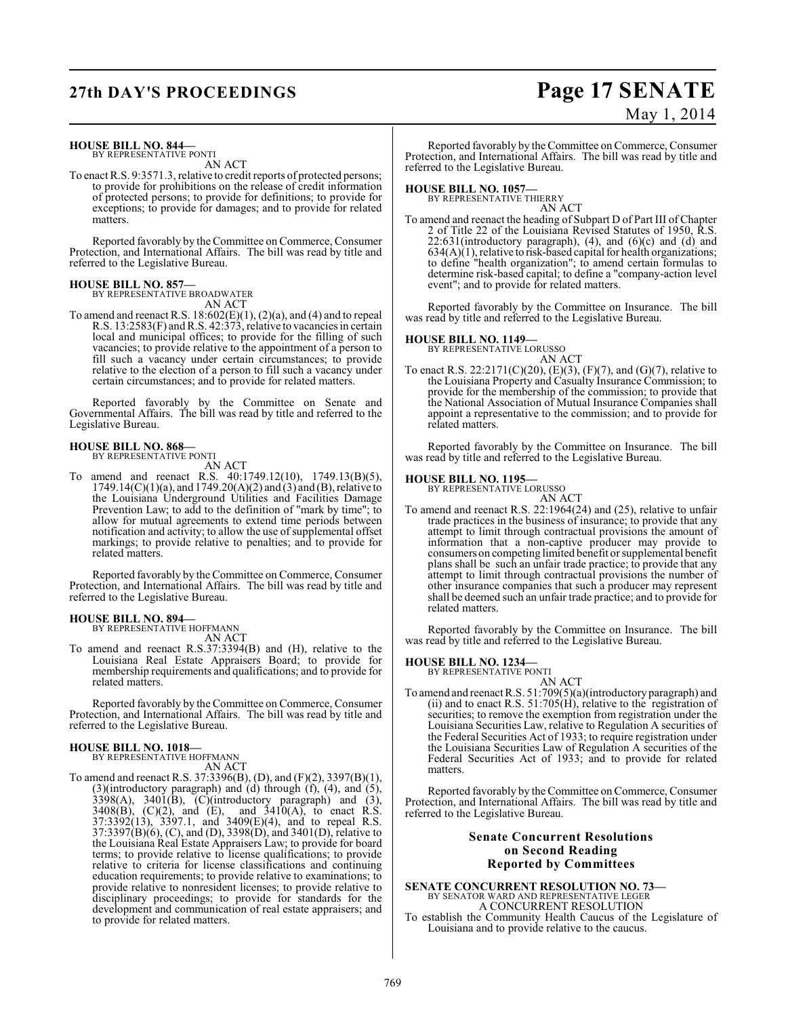#### **HOUSE BILL NO. 844—** BY REPRESENTATIVE PONTI

AN ACT

To enact R.S. 9:3571.3, relative to credit reports of protected persons; to provide for prohibitions on the release of credit information of protected persons; to provide for definitions; to provide for exceptions; to provide for damages; and to provide for related matters.

Reported favorably by the Committee on Commerce, Consumer Protection, and International Affairs. The bill was read by title and referred to the Legislative Bureau.

#### **HOUSE BILL NO. 857—**

BY REPRESENTATIVE BROADWATER AN ACT

To amend and reenact R.S.  $18:602(E)(1)$ ,  $(2)(a)$ , and  $(4)$  and to repeal R.S. 13:2583(F) and R.S. 42:373, relative to vacancies in certain local and municipal offices; to provide for the filling of such vacancies; to provide relative to the appointment of a person to fill such a vacancy under certain circumstances; to provide relative to the election of a person to fill such a vacancy under certain circumstances; and to provide for related matters.

Reported favorably by the Committee on Senate and Governmental Affairs. The bill was read by title and referred to the Legislative Bureau.

#### **HOUSE BILL NO. 868—** BY REPRESENTATIVE PONTI

AN ACT To amend and reenact R.S. 40:1749.12(10), 1749.13(B)(5),  $1749.14(C)(1)(a)$ , and  $1749.20(A)(2)$  and  $(3)$  and  $(B)$ , relative to the Louisiana Underground Utilities and Facilities Damage Prevention Law; to add to the definition of "mark by time"; to allow for mutual agreements to extend time periods between notification and activity; to allow the use of supplemental offset markings; to provide relative to penalties; and to provide for related matters.

Reported favorably by the Committee on Commerce, Consumer Protection, and International Affairs. The bill was read by title and referred to the Legislative Bureau.

#### **HOUSE BILL NO. 894—**

BY REPRESENTATIVE HOFFMANN AN ACT

To amend and reenact R.S.37:3394(B) and (H), relative to the Louisiana Real Estate Appraisers Board; to provide for membership requirements and qualifications; and to provide for related matters.

Reported favorably by the Committee on Commerce, Consumer Protection, and International Affairs. The bill was read by title and referred to the Legislative Bureau.

**HOUSE BILL NO. 1018—** BY REPRESENTATIVE HOFFMANN AN ACT

To amend and reenact R.S. 37:3396(B), (D), and (F)(2), 3397(B)(1), (3)(introductory paragraph) and (d) through (f), (4), and (5),  $3398(A)$ ,  $3401(B)$ ,  $(C)(introducing) paragraph)$  and  $(3)$ ,  $3408(B)$ ,  $(C)(2)$ , and  $(E)$ , and  $3410(A)$ , to enact R.S. 37:3392(13), 3397.1, and 3409(E)(4), and to repeal R.S. 37:3397(B)(6), (C), and (D), 3398(D), and 3401(D), relative to the Louisiana Real Estate Appraisers Law; to provide for board terms; to provide relative to license qualifications; to provide relative to criteria for license classifications and continuing education requirements; to provide relative to examinations; to provide relative to nonresident licenses; to provide relative to disciplinary proceedings; to provide for standards for the development and communication of real estate appraisers; and to provide for related matters.

## **27th DAY'S PROCEEDINGS Page 17 SENATE** May 1, 2014

Reported favorably by the Committee on Commerce, Consumer Protection, and International Affairs. The bill was read by title and referred to the Legislative Bureau.

**HOUSE BILL NO. 1057—** BY REPRESENTATIVE THIERRY AN ACT

To amend and reenact the heading of Subpart D of Part III of Chapter 2 of Title 22 of the Louisiana Revised Statutes of 1950, R.S.  $22:631$ (introductory paragraph),  $(4)$ , and  $(6)(c)$  and  $(d)$  and  $634(A)(1)$ , relative to risk-based capital for health organizations; to define "health organization"; to amend certain formulas to determine risk-based capital; to define a "company-action level event"; and to provide for related matters.

Reported favorably by the Committee on Insurance. The bill was read by title and referred to the Legislative Bureau.

## **HOUSE BILL NO. 1149—** BY REPRESENTATIVE LORUSSO

AN ACT

To enact R.S. 22:2171(C)(20), (E)(3), (F)(7), and (G)(7), relative to the Louisiana Property and Casualty Insurance Commission; to provide for the membership of the commission; to provide that the National Association of Mutual Insurance Companies shall appoint a representative to the commission; and to provide for related matters.

Reported favorably by the Committee on Insurance. The bill was read by title and referred to the Legislative Bureau.

### **HOUSE BILL NO. 1195—** BY REPRESENTATIVE LORUSSO

AN ACT To amend and reenact R.S. 22:1964(24) and (25), relative to unfair trade practices in the business of insurance; to provide that any attempt to limit through contractual provisions the amount of information that a non-captive producer may provide to consumers on competing limited benefit or supplemental benefit plans shall be such an unfair trade practice; to provide that any attempt to limit through contractual provisions the number of other insurance companies that such a producer may represent shall be deemed such an unfair trade practice; and to provide for related matters.

Reported favorably by the Committee on Insurance. The bill was read by title and referred to the Legislative Bureau.

## **HOUSE BILL NO. 1234—** BY REPRESENTATIVE PONTI

AN ACT To amend and reenact R.S. 51:709(5)(a)(introductory paragraph) and (ii) and to enact R.S. 51:705(H), relative to the registration of securities; to remove the exemption from registration under the Louisiana Securities Law, relative to Regulation A securities of the Federal Securities Act of 1933; to require registration under the Louisiana Securities Law of Regulation A securities of the Federal Securities Act of 1933; and to provide for related matters.

Reported favorably by the Committee on Commerce, Consumer Protection, and International Affairs. The bill was read by title and referred to the Legislative Bureau.

#### **Senate Concurrent Resolutions on Second Reading Reported by Committees**

**SENATE CONCURRENT RESOLUTION NO. 73—** BY SENATOR WARD AND REPRESENTATIVE LEGER A CONCURRENT RESOLUTION

To establish the Community Health Caucus of the Legislature of Louisiana and to provide relative to the caucus.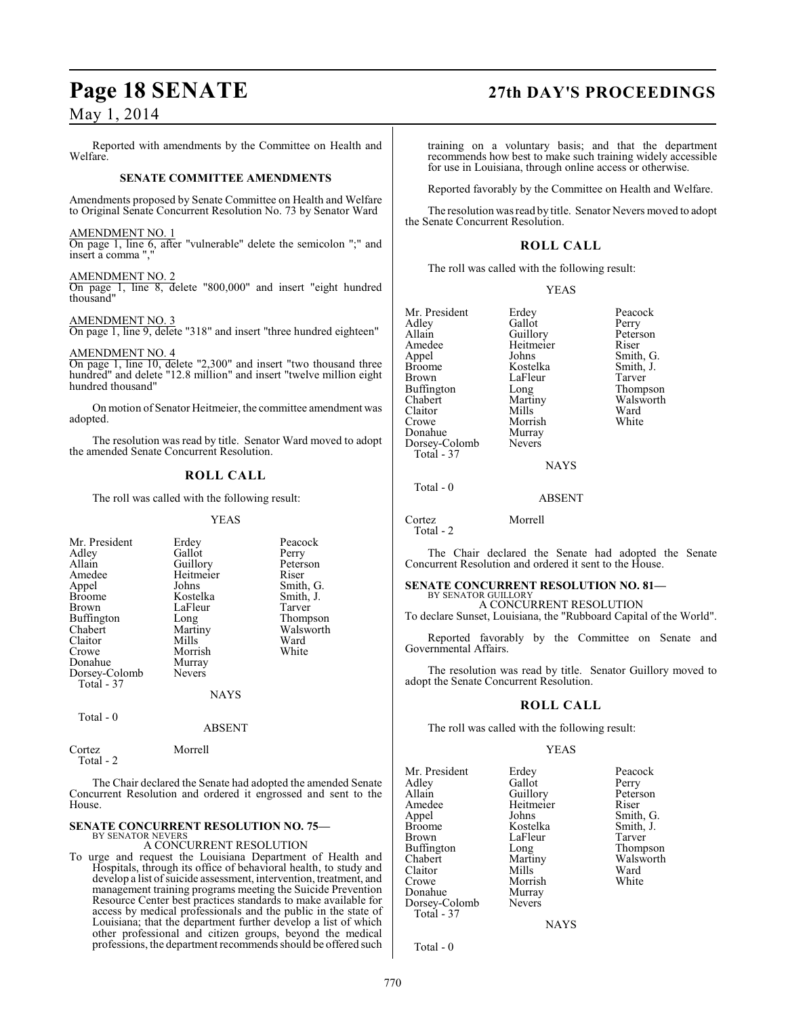Reported with amendments by the Committee on Health and Welfare.

#### **SENATE COMMITTEE AMENDMENTS**

Amendments proposed by Senate Committee on Health and Welfare to Original Senate Concurrent Resolution No. 73 by Senator Ward

#### AMENDMENT NO. 1

On page 1, line 6, after "vulnerable" delete the semicolon ";" and insert a comma ",

#### AMENDMENT NO. 2

On page 1, line 8, delete "800,000" and insert "eight hundred thousand"

#### AMENDMENT NO. 3

On page 1, line 9, delete "318" and insert "three hundred eighteen"

#### AMENDMENT NO. 4

On page 1, line 10, delete "2,300" and insert "two thousand three hundred" and delete "12.8 million" and insert "twelve million eight hundred thousand"

On motion of Senator Heitmeier, the committee amendment was adopted.

The resolution was read by title. Senator Ward moved to adopt the amended Senate Concurrent Resolution.

### **ROLL CALL**

The roll was called with the following result:

#### YEAS

| Mr. President<br>Adley<br>Allain<br>Amedee<br>Appel<br><b>Broome</b><br><b>Brown</b><br><b>Buffington</b><br>Chabert<br>Claitor<br>Crowe<br>Donahue<br>Dorsey-Colomb<br>Total - 37 | Erdey<br>Gallot<br>Guillory<br>Heitmeier<br>Johns<br>Kostelka<br>LaFleur<br>Long<br>Martiny<br>Mills<br>Morrish<br>Murray<br><b>Nevers</b> | Peacock<br>Perry<br>Peterson<br>Riser<br>Smith, G.<br>Smith, J.<br>Tarver<br>Thompson<br>Walsworth<br>Ward<br>White |
|------------------------------------------------------------------------------------------------------------------------------------------------------------------------------------|--------------------------------------------------------------------------------------------------------------------------------------------|---------------------------------------------------------------------------------------------------------------------|
|                                                                                                                                                                                    | <b>NAYS</b>                                                                                                                                |                                                                                                                     |

Total - 0

### ABSENT

Cortez Morrell Total - 2

The Chair declared the Senate had adopted the amended Senate Concurrent Resolution and ordered it engrossed and sent to the House.

#### **SENATE CONCURRENT RESOLUTION NO. 75—** BY SENATOR NEVERS

### A CONCURRENT RESOLUTION

To urge and request the Louisiana Department of Health and Hospitals, through its office of behavioral health, to study and develop a list of suicide assessment, intervention, treatment, and management training programs meeting the Suicide Prevention Resource Center best practices standards to make available for access by medical professionals and the public in the state of Louisiana; that the department further develop a list of which other professional and citizen groups, beyond the medical professions, the department recommends should be offered such

## **Page 18 SENATE 27th DAY'S PROCEEDINGS**

training on a voluntary basis; and that the department recommends how best to make such training widely accessible for use in Louisiana, through online access or otherwise.

Reported favorably by the Committee on Health and Welfare.

The resolution was read by title. Senator Nevers moved to adopt the Senate Concurrent Resolution.

### **ROLL CALL**

The roll was called with the following result:

#### YEAS

Mr. President Erdey Peacock<br>Adley Gallot Perry Adley Gallot Perry<br>Allain Guillory Peterson Allain Guillory Peter<br>Amedee Heitmeier Riser Amedee Heitmeier<br>Appel Johns Appel Johns Smith, G. Broome Kostelka Smith, J. Buffington Long<br>Chabert Martiny Claitor Mills Ward<br>Crowe Morrish White Donahue Murray<br>Dorsey-Colomb Nevers Dorsey-Colomb Total - 37

LaFleur Tarver<br>
Long Thompson Martiny Walsworth<br>
Mills Ward

### **NAYS**

Morrish<br>Murray

#### ABSENT

Cortez Morrell Total - 2

Total - 0

The Chair declared the Senate had adopted the Senate Concurrent Resolution and ordered it sent to the House.

### **SENATE CONCURRENT RESOLUTION NO. 81—**

BY SENATOR GUILLORY A CONCURRENT RESOLUTION To declare Sunset, Louisiana, the "Rubboard Capital of the World".

Reported favorably by the Committee on Senate and Governmental Affairs.

The resolution was read by title. Senator Guillory moved to adopt the Senate Concurrent Resolution.

### **ROLL CALL**

The roll was called with the following result:

#### YEAS

Mr. President Erdey Peacock<br>Adley Gallot Perry Adley Gallot<br>Allain Guillorv Amedee Heitm<br>Appel Johns Appel Johns Smith, G. Broome Kostelka Smith,<br>Brown LaFleur Tarver Brown LaFleur<br>Buffington Long Buffington Long Thompson<br>
Chabert Martiny Walsworth Claitor Mills Ward<br>Crowe Morrish White Morrish<br>Murray Donahue Murray<br>Dorsey-Colomb Nevers Dorsey-Colomb Total - 37

Guillory Peterson<br>
Heitmeier Riser Martiny Walsw<br>Mills Ward

NAYS

Total - 0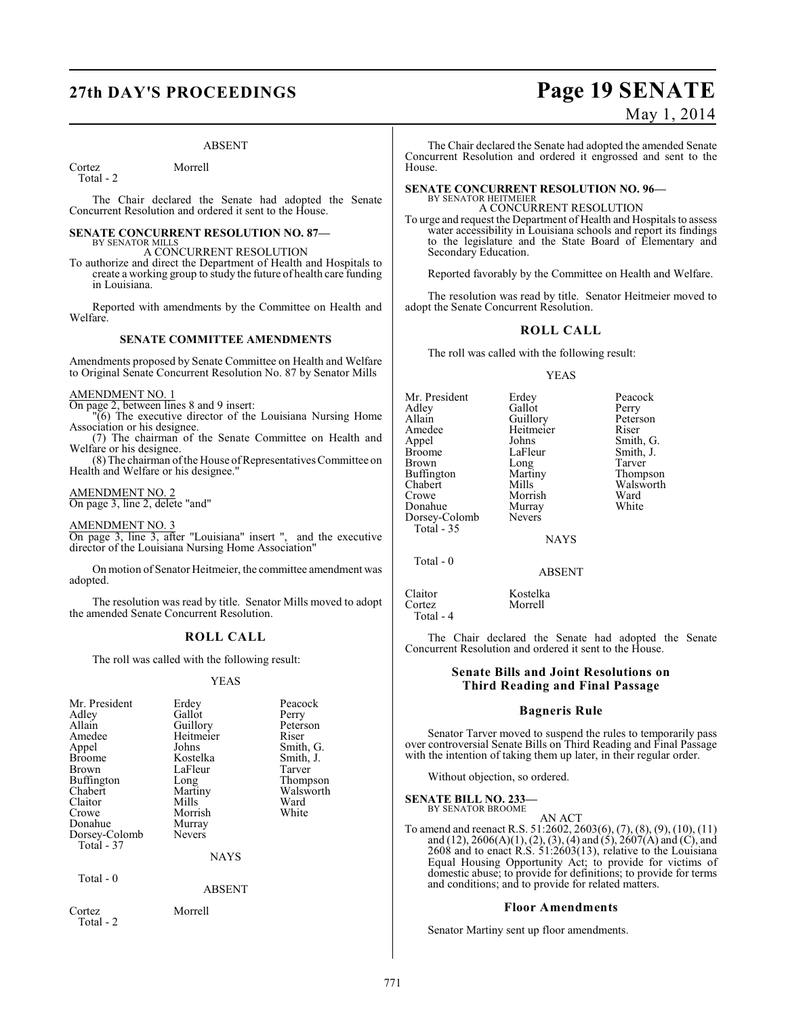## **27th DAY'S PROCEEDINGS Page 19 SENATE**

#### ABSENT

Cortez Morrell Total - 2

The Chair declared the Senate had adopted the Senate Concurrent Resolution and ordered it sent to the House.

#### **SENATE CONCURRENT RESOLUTION NO. 87—** BY SENATOR MILLS

A CONCURRENT RESOLUTION

To authorize and direct the Department of Health and Hospitals to create a working group to study the future of health care funding in Louisiana.

Reported with amendments by the Committee on Health and Welfare.

#### **SENATE COMMITTEE AMENDMENTS**

Amendments proposed by Senate Committee on Health and Welfare to Original Senate Concurrent Resolution No. 87 by Senator Mills

#### AMENDMENT NO. 1

On page 2, between lines 8 and 9 insert:

"(6) The executive director of the Louisiana Nursing Home Association or his designee.

(7) The chairman of the Senate Committee on Health and Welfare or his designee.

(8) The chairman of the House of Representatives Committee on Health and Welfare or his designee."

AMENDMENT NO. 2

On page 3, line 2, delete "and"

AMENDMENT NO. 3

On page 3, line 3, after "Louisiana" insert ", and the executive director of the Louisiana Nursing Home Association"

On motion of Senator Heitmeier, the committee amendment was adopted.

The resolution was read by title. Senator Mills moved to adopt the amended Senate Concurrent Resolution.

### **ROLL CALL**

The roll was called with the following result:

#### YEAS

| Mr. President<br>Adley<br>Allain<br>Amedee<br>Appel<br><b>Broome</b><br>Brown<br>Buffington<br>Chabert<br>Claitor<br>Crowe<br>Donahue<br>Dorsey-Colomb<br>Total - 37 | Erdey<br>Gallot<br>Guillory<br>Heitmeier<br>Johns<br>Kostelka<br>LaFleur<br>Long<br>Martiny<br>Mills<br>Morrish<br>Murray<br>Nevers<br><b>NAYS</b> | Peacock<br>Perry<br>Peterson<br>Riser<br>Smith, G.<br>Smith, J.<br>Tarver<br>Thompson<br>Walsworth<br>Ward<br>White |
|----------------------------------------------------------------------------------------------------------------------------------------------------------------------|----------------------------------------------------------------------------------------------------------------------------------------------------|---------------------------------------------------------------------------------------------------------------------|
| Total - 0                                                                                                                                                            | <b>ABSENT</b>                                                                                                                                      |                                                                                                                     |
| Cortez                                                                                                                                                               | Morrell                                                                                                                                            |                                                                                                                     |

Total - 2

May 1, 2014

The Chair declared the Senate had adopted the amended Senate Concurrent Resolution and ordered it engrossed and sent to the House.

#### **SENATE CONCURRENT RESOLUTION NO. 96—** BY SENATOR HEITMEIER

A CONCURRENT RESOLUTION

To urge and request the Department of Health and Hospitals to assess water accessibility in Louisiana schools and report its findings to the legislature and the State Board of Elementary and Secondary Education.

Reported favorably by the Committee on Health and Welfare.

The resolution was read by title. Senator Heitmeier moved to adopt the Senate Concurrent Resolution.

### **ROLL CALL**

The roll was called with the following result:

#### YEAS

| Mr. President | Erdey         | Peacock   |
|---------------|---------------|-----------|
| Adley         | Gallot        | Perry     |
| Allain        | Guillory      | Peterson  |
| Amedee        | Heitmeier     | Riser     |
| Appel         | Johns         | Smith, G. |
| <b>Broome</b> | LaFleur       | Smith, J. |
| <b>Brown</b>  | Long          | Tarver    |
| Buffington    | Martiny       | Thompson  |
| Chabert       | Mills         | Walsworth |
| Crowe         | Morrish       | Ward      |
| Donahue       | Murray        | White     |
| Dorsey-Colomb | <b>Nevers</b> |           |
| Total - 35    |               |           |
|               | <b>374370</b> |           |

NAYS

ABSENT

Total - 0

Cortez Total - 4

Claitor Kostelka

The Chair declared the Senate had adopted the Senate Concurrent Resolution and ordered it sent to the House.

#### **Senate Bills and Joint Resolutions on Third Reading and Final Passage**

#### **Bagneris Rule**

Senator Tarver moved to suspend the rules to temporarily pass over controversial Senate Bills on Third Reading and Final Passage with the intention of taking them up later, in their regular order.

Without objection, so ordered.

**SENATE BILL NO. 233—** BY SENATOR BROOME

AN ACT

To amend and reenact R.S. 51:2602, 2603(6), (7), (8), (9), (10), (11) and (12),  $2606(A)(1)$ , (2), (3), (4) and (5),  $2607(A)$  and (C), and  $2608$  and to enact R.S.  $51.2603(13)$ , relative to the Louisiana Equal Housing Opportunity Act; to provide for victims of domestic abuse; to provide for definitions; to provide for terms and conditions; and to provide for related matters.

#### **Floor Amendments**

Senator Martiny sent up floor amendments.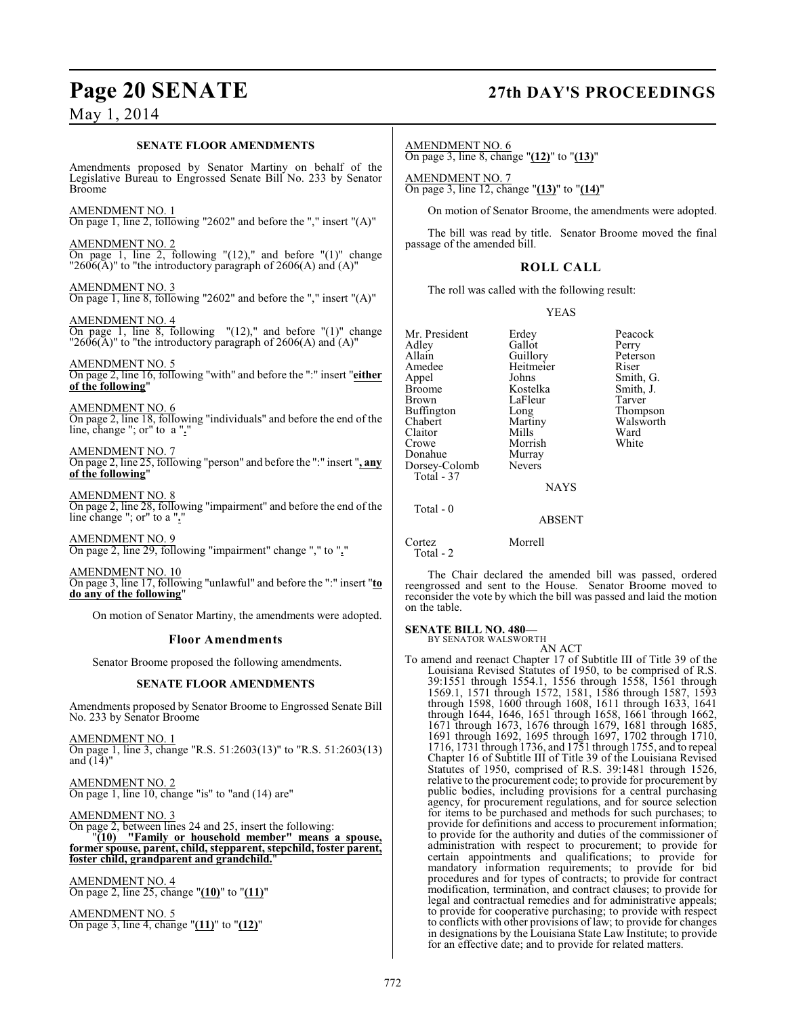### **SENATE FLOOR AMENDMENTS**

Amendments proposed by Senator Martiny on behalf of the Legislative Bureau to Engrossed Senate Bill No. 233 by Senator Broome

AMENDMENT NO. 1 On page 1, line 2, following "2602" and before the "," insert "(A)"

AMENDMENT NO. 2 On page 1, line 2, following " $(12)$ ," and before " $(1)$ " change " $2606(A)$ " to "the introductory paragraph of  $2606(A)$  and  $(A)$ "

AMENDMENT NO. 3 On page 1, line 8, following "2602" and before the "," insert "(A)"

AMENDMENT NO. 4

On page 1, line 8, following "(12)," and before "(1)" change " $2606(A)$ " to "the introductory paragraph of  $2606(A)$  and  $(A)$ "

AMENDMENT NO. 5 On page 2, line 16, following "with" and before the ":" insert "**either of the following**"

AMENDMENT NO. 6 On page 2, line 18, following "individuals" and before the end of the line, change "; or" to a ".

AMENDMENT NO. 7 On page 2, line 25, following "person" and before the ":" insert "**, any of the following**"

AMENDMENT NO. 8 On page 2, line 28, following "impairment" and before the end of the line change "; or" to a "**.**"

AMENDMENT NO. 9 On page 2, line 29, following "impairment" change "," to "**.**"

AMENDMENT NO. 10 On page 3, line 17, following "unlawful" and before the ":" insert "**to do any of the following**"

On motion of Senator Martiny, the amendments were adopted.

### **Floor Amendments**

Senator Broome proposed the following amendments.

#### **SENATE FLOOR AMENDMENTS**

Amendments proposed by Senator Broome to Engrossed Senate Bill No. 233 by Senator Broome

AMENDMENT NO. 1 On page 1, line 3, change "R.S. 51:2603(13)" to "R.S. 51:2603(13) and  $(14)$ "

AMENDMENT NO. 2 On page 1, line 10, change "is" to "and (14) are"

AMENDMENT NO. 3 On page 2, between lines 24 and 25, insert the following: "**(10) "Family or household member" means a spouse, former spouse, parent, child, stepparent, stepchild, foster parent, foster child, grandparent and grandchild.**"

AMENDMENT NO. 4 On page 2, line 25, change "**(10)**" to "**(11)**"

AMENDMENT NO. 5 On page 3, line 4, change "**(11)**" to "**(12)**"

## **Page 20 SENATE 27th DAY'S PROCEEDINGS**

AMENDMENT NO. 6 On page 3, line 8, change "**(12)**" to "**(13)**"

AMENDMENT NO. 7 On page 3, line 12, change "**(13)**" to "**(14)**"

On motion of Senator Broome, the amendments were adopted.

The bill was read by title. Senator Broome moved the final passage of the amended bill.

#### **ROLL CALL**

The roll was called with the following result:

YEAS

Mr. President Erdey Peacock<br>Adley Gallot Perry Adley Gallot Perry Allain Guillory Peters<br>
Amedee Heitmeier Riser Amedee Heitmeier<br>Appel Johns Appel Johns Smith, G.<br>Broome Kostelka Smith, J. Broome Kostelka Smith,<br>Brown LaFleur Tarver Buffington Long<br>Chabert Martiny Claitor Mills Ward<br>Crowe Morrish White Donahue Murray<br>Dorsey-Colomb Nevers Dorsey-Colomb Total - 37

Morrish<br>Murray

LaFleur Tarver<br>
Long Thompson Martiny Walsworth<br>
Mills Ward

NAYS

### ABSENT

Cortez Morrell Total - 2

on the table.

Total - 0

The Chair declared the amended bill was passed, ordered reengrossed and sent to the House. Senator Broome moved to reconsider the vote by which the bill was passed and laid the motion

### **SENATE BILL NO. 480—**

BY SENATOR WALSWORTH AN ACT

To amend and reenact Chapter 17 of Subtitle III of Title 39 of the Louisiana Revised Statutes of 1950, to be comprised of R.S. 39:1551 through 1554.1, 1556 through 1558, 1561 through 1569.1, 1571 through 1572, 1581, 1586 through 1587, 1593 through 1598, 1600 through 1608, 1611 through 1633, 1641 through 1644, 1646, 1651 through 1658, 1661 through 1662, 1671 through 1673, 1676 through 1679, 1681 through 1685, 1691 through 1692, 1695 through 1697, 1702 through 1710, 1716, 1731 through 1736, and 1751 through 1755, and to repeal Chapter 16 of Subtitle III of Title 39 of the Louisiana Revised Statutes of 1950, comprised of R.S. 39:1481 through 1526, relative to the procurement code; to provide for procurement by public bodies, including provisions for a central purchasing agency, for procurement regulations, and for source selection for items to be purchased and methods for such purchases; to provide for definitions and access to procurement information; to provide for the authority and duties of the commissioner of administration with respect to procurement; to provide for certain appointments and qualifications; to provide for mandatory information requirements; to provide for bid procedures and for types of contracts; to provide for contract modification, termination, and contract clauses; to provide for legal and contractual remedies and for administrative appeals; to provide for cooperative purchasing; to provide with respect to conflicts with other provisions of law; to provide for changes in designations by the Louisiana State Law Institute; to provide for an effective date; and to provide for related matters.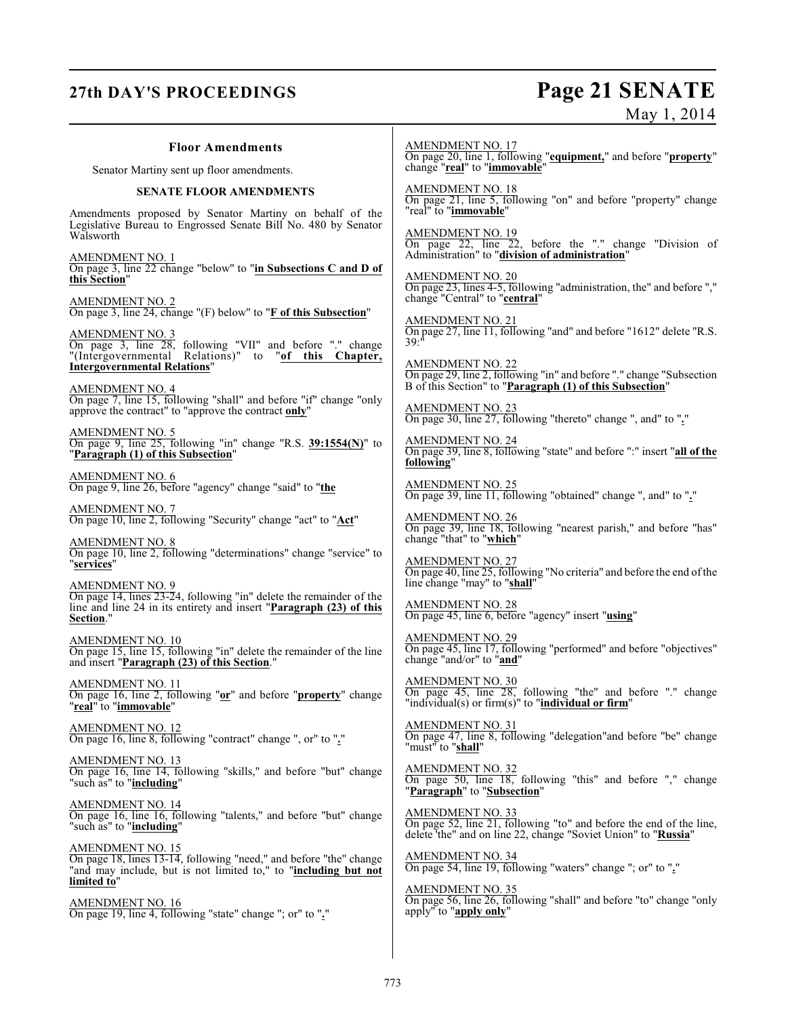## **27th DAY'S PROCEEDINGS Page 21 SENATE** May 1, 2014

| <b>Floor Amendments</b>                                                                                                                                                           | <b>AMENDMENT NO. 17</b><br>On page 20, line 1, following "equipment," and before "property"                                                                      |
|-----------------------------------------------------------------------------------------------------------------------------------------------------------------------------------|------------------------------------------------------------------------------------------------------------------------------------------------------------------|
| Senator Martiny sent up floor amendments.                                                                                                                                         | change "real" to "immovable"                                                                                                                                     |
| SENATE FLOOR AMENDMENTS                                                                                                                                                           | <b>AMENDMENT NO. 18</b><br>On page 21, line 5, following "on" and before "property" change                                                                       |
| Amendments proposed by Senator Martiny on behalf of the<br>Legislative Bureau to Engrossed Senate Bill No. 480 by Senator<br>Walsworth                                            | "real" to "immovable"                                                                                                                                            |
| <b>AMENDMENT NO. 1</b><br>On page 3, line $22$ change "below" to "in Subsections C and D of                                                                                       | AMENDMENT NO. 19<br>On page 22, line 22, before the "." change "Division of<br>Administration" to "division of administration"<br><b>AMENDMENT NO. 20</b>        |
| this Section"<br>$\frac{\text{AMENDMENT NO. 2}}{\text{On page 3, line 24, change}}$ "(F) below" to " <b>F</b> of this Subsection"                                                 | On page 23, lines 4-5, following "administration, the" and before ","<br>change "Central" to "central"                                                           |
| <b>AMENDMENT NO. 3</b><br>On page 3, line 28, following "VII" and before "." change<br>"(Intergovernmental Relations)" to "of this Chapter,                                       | <b>AMENDMENT NO. 21</b><br>On page 27, line 11, following "and" and before "1612" delete "R.S.<br>39:                                                            |
| <b>Intergovernmental Relations"</b><br>AMENDMENT NO. 4                                                                                                                            | AMENDMENT NO. 22<br>On page 29, line 2, following "in" and before "." change "Subsection<br>B of this Section" to "Paragraph (1) of this Subsection"             |
| On page 7, line 15, following "shall" and before "if" change "only<br>approve the contract" to "approve the contract only"                                                        | <b>AMENDMENT NO. 23</b><br>On page 30, line 27, following "thereto" change ", and" to "."                                                                        |
| $\frac{\text{AMENDMENT NO. 5}}{\text{On page 9}}$ , line 25, following "in" change "R.S. $\frac{39:1554(N)}{\text{ of } 25}$ to<br>"Paragraph (1) of this Subsection"             | <b>AMENDMENT NO. 24</b><br>On page 39, line 8, following "state" and before ":" insert "all of the<br>following"                                                 |
| <b>AMENDMENT NO. 6</b><br>On page 9, line 26, before "agency" change "said" to "the                                                                                               | <b>AMENDMENT NO. 25</b><br>On page 39, line 11, following "obtained" change ", and" to "."                                                                       |
| AMENDMENT NO. 7<br>On page 10, line 2, following "Security" change "act" to "Act"                                                                                                 | <b>AMENDMENT NO. 26</b><br>On page 39, line 18, following "nearest parish," and before "has"<br>change "that" to "which"                                         |
| AMENDMENT NO. 8<br>On page 10, line 2, following "determinations" change "service" to<br>"services"                                                                               | <b>AMENDMENT NO. 27</b><br>On page 40, line 25, following "No criteria" and before the end of the<br>line change "may" to "shall"                                |
| <b>AMENDMENT NO. 9</b><br>On page 14, lines 23-24, following "in" delete the remainder of the<br>line and line 24 in its entirety and insert "Paragraph (23) of this<br>Section." | <b>AMENDMENT NO. 28</b><br>On page 45, line 6, before "agency" insert "using"                                                                                    |
| AMENDMENT NO. 10<br>On page 15, line 15, following "in" delete the remainder of the line and insert " <b>Paragraph (23) of this Section</b> ."                                    | <b>AMENDMENT NO. 29</b><br>On page 45, line 17, following "performed" and before "objectives"<br>change "and/or" to "and"                                        |
| <b>AMENDMENT NO. 11</b><br>On page 16, line 2, following "or" and before "property" change<br>"real" to "immovable"                                                               | <b>AMENDMENT NO. 30</b><br>On page 45, line 28, following "the" and before "." change<br>"individual(s) or firm(s)" to " <b>individual or firm</b> "             |
| AMENDMENT NO. 12<br>On page 16, line 8, following "contract" change ", or" to "."                                                                                                 | <b>AMENDMENT NO. 31</b><br>On page 47, line 8, following "delegation" and before "be" change<br>"must" to "shall"                                                |
| <b>AMENDMENT NO. 13</b><br>On page 16, line 14, following "skills," and before "but" change<br>"such as" to "including"                                                           | AMENDMENT NO. 32<br>On page 50, line 18, following "this" and before "," change<br>"Paragraph" to "Subsection"                                                   |
| <b>AMENDMENT NO. 14</b><br>On page 16, line 16, following "talents," and before "but" change<br>"such as" to "including"                                                          | <b>AMENDMENT NO. 33</b><br>On page 52, line 21, following "to" and before the end of the line,<br>delete 'the" and on line 22, change "Soviet Union" to "Russia" |
| <b>AMENDMENT NO. 15</b><br>On page 18, lines 13-14, following "need," and before "the" change<br>"and may include, but is not limited to," to "including but not<br>limited to"   | <b>AMENDMENT NO. 34</b><br>On page 54, line 19, following "waters" change "; or" to "."                                                                          |
| <b>AMENDMENT NO. 16</b><br>On page 19, line 4, following "state" change "; or" to "."                                                                                             | <b>AMENDMENT NO. 35</b><br>On page 56, line 26, following "shall" and before "to" change "only<br>apply" to "apply only"                                         |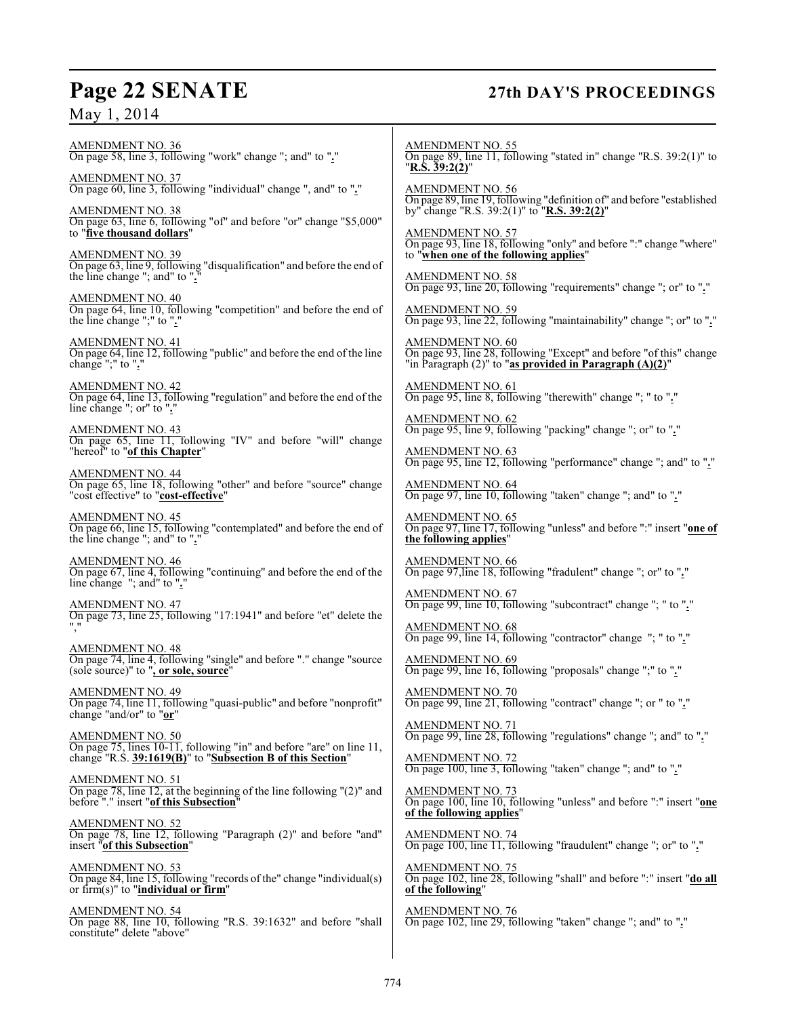## **Page 22 SENATE 27th DAY'S PROCEEDINGS**

May 1, 2014

AMENDMENT NO. 36 On page 58, line 3, following "work" change "; and" to "**.**" AMENDMENT NO. 37 On page 60, line 3, following "individual" change ", and" to "**.**" AMENDMENT NO. 38 On page 63, line 6, following "of" and before "or" change "\$5,000" to "**five thousand dollars**" AMENDMENT NO. 39 On page 63, line 9, following "disqualification" and before the end of the line change "; and" to "**.**" AMENDMENT NO. 40 On page 64, line 10, following "competition" and before the end of the line change ";" to "**.**" AMENDMENT NO. 41 On page 64, line 12, following "public" and before the end of the line change ";" to "**.**" AMENDMENT NO. 42 On page 64, line 13, following "regulation" and before the end of the line change "; or" to ". AMENDMENT NO. 43 On page 65, line 11, following "IV" and before "will" change "hereof" to "**of this Chapter**" AMENDMENT NO. 44 On page 65, line 18, following "other" and before "source" change "cost effective" to "**cost-effective**" AMENDMENT NO. 45 On page 66, line 15, following "contemplated" and before the end of the line change "; and" to "**.**" AMENDMENT NO. 46 On page 67, line 4, following "continuing" and before the end of the line change "; and" to "**.**" AMENDMENT NO. 47 On page 73, line 25, following "17:1941" and before "et" delete the "," AMENDMENT NO. 48 On page 74, line 4, following "single" and before "." change "source (sole source)" to "**, or sole, source**" AMENDMENT NO. 49 On page 74, line 11, following "quasi-public" and before "nonprofit" change "and/or" to "**or**" AMENDMENT NO. 50 On page 75, lines 10-11, following "in" and before "are" on line 11, change "R.S. **39:1619(B)**" to "**Subsection B of this Section**" AMENDMENT NO. 51 On page 78, line 12, at the beginning of the line following "(2)" and before "." insert "**of this Subsection**" AMENDMENT NO. 52 On page 78, line 12, following "Paragraph (2)" and before "and" insert "**of this Subsection**" AMENDMENT NO. 53 On page 84, line 15, following "records of the" change "individual(s) or firm(s)" to "**individual or firm**" AMENDMENT NO. 54 On page 88, line 10, following "R.S. 39:1632" and before "shall constitute" delete "above" AMENDMENT NO. 55 On page 89, line 11, following "stated in" change "R.S. 39:2(1)" to "**R.S. 39:2(2)**" AMENDMENT NO. 56 On page 89, line 19, following "definition of" and before "established by" change "R.S. 39:2(1)" to "**R.S. 39:2(2)**" AMENDMENT NO. 57 On page 93, line 18, following "only" and before ":" change "where" to "**when one of the following applies**" AMENDMENT NO. 58 On page 93, line 20, following "requirements" change "; or" to "**.**" AMENDMENT NO. 59 On page 93, line 22, following "maintainability" change "; or" to "**.**" AMENDMENT NO. 60 On page 93, line 28, following "Except" and before "of this" change "in Paragraph (2)" to "**as provided in Paragraph (A)(2)**" AMENDMENT NO. 61 On page 95, line 8, following "therewith" change "; " to "**.**" AMENDMENT NO. 62 On page 95, line 9, following "packing" change "; or" to "**.**" AMENDMENT NO. 63 On page 95, line 12, following "performance" change "; and" to "**.**" AMENDMENT NO. 64 On page 97, line 10, following "taken" change "; and" to "**.**" AMENDMENT NO. 65 On page 97, line 17, following "unless" and before ":" insert "**one of the following applies**" AMENDMENT NO. 66 On page 97,line 18, following "fradulent" change "; or" to "**.**" AMENDMENT NO. 67 On page 99, line 10, following "subcontract" change "; " to "**.**" AMENDMENT NO. 68 On page 99, line 14, following "contractor" change "; " to "**.**" AMENDMENT NO. 69 On page 99, line 16, following "proposals" change ";" to "**.**" AMENDMENT NO. 70 On page 99, line 21, following "contract" change "; or " to "**.**" AMENDMENT NO. 71 On page 99, line 28, following "regulations" change "; and" to "**.**" AMENDMENT NO. 72 On page 100, line 3, following "taken" change "; and" to "**.**" AMENDMENT NO. 73 On page 100, line 10, following "unless" and before ":" insert "**one of the following applies**" AMENDMENT NO. 74 On page 100, line 11, following "fraudulent" change "; or" to "**.**" AMENDMENT NO. 75 On page 102, line 28, following "shall" and before ":" insert "**do all of the following**" AMENDMENT NO. 76 On page 102, line 29, following "taken" change "; and" to "**.**"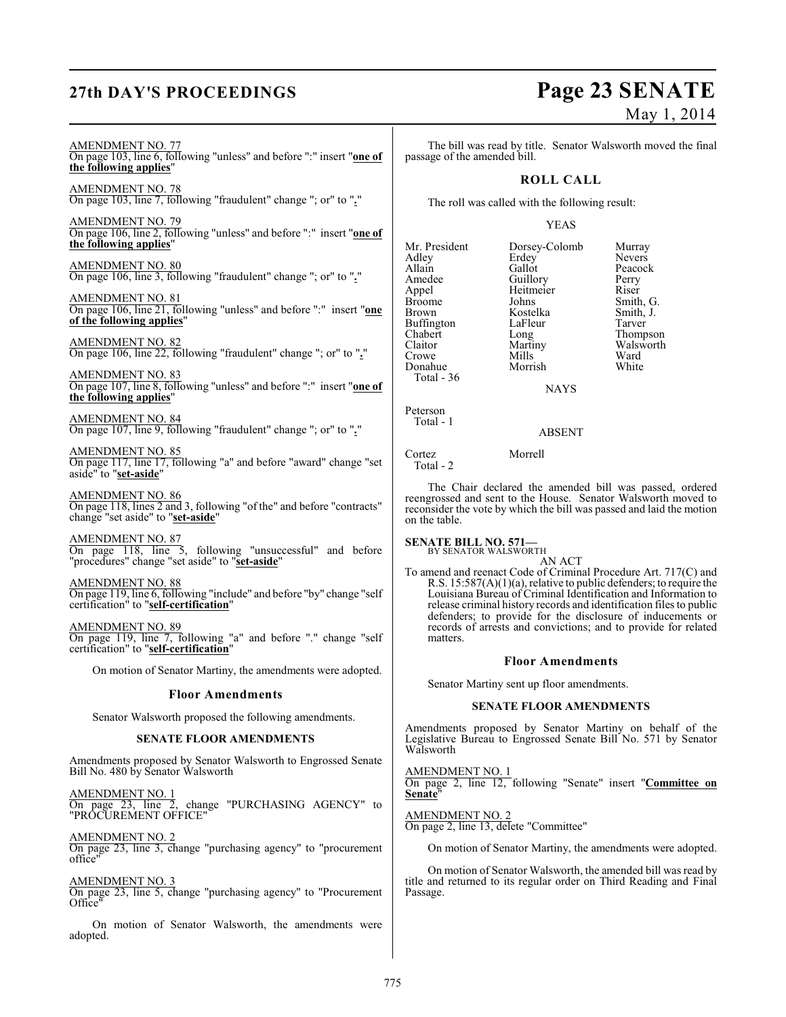## **27th DAY'S PROCEEDINGS Page 23 SENATE**

# May 1, 2014

AMENDMENT NO. 77 On page 103, line 6, following "unless" and before ":" insert "**one of the following applies**"

AMENDMENT NO. 78 On page 103, line 7, following "fraudulent" change "; or" to "**.**"

AMENDMENT NO. 79 On page 106, line 2, following "unless" and before ":" insert "**one of the following applies**"

AMENDMENT NO. 80 On page 106, line 3, following "fraudulent" change "; or" to "**.**"

AMENDMENT NO. 81 On page 106, line 21, following "unless" and before ":" insert "**one of the following applies**"

AMENDMENT NO. 82 On page 106, line 22, following "fraudulent" change "; or" to "**.**"

AMENDMENT NO. 83 On page 107, line 8, following "unless" and before ":" insert "**one of the following applies**"

AMENDMENT NO. 84 On page 107, line 9, following "fraudulent" change "; or" to "**.**"

AMENDMENT NO. 85 On page 117, line 17, following "a" and before "award" change "set aside" to "**set-aside**"

AMENDMENT NO. 86 On page 118, lines 2 and 3, following "of the" and before "contracts" change "set aside" to "**set-aside**"

AMENDMENT NO. 87 On page 118, line 5, following "unsuccessful" and before "procedures" change "set aside" to "**set-aside**"

AMENDMENT NO. 88 On page 119, line 6, following "include" and before "by" change "self certification" to "**self-certification**"

AMENDMENT NO. 89 On page 119, line 7, following "a" and before "." change "self certification" to "**self-certification**"

On motion of Senator Martiny, the amendments were adopted.

#### **Floor Amendments**

Senator Walsworth proposed the following amendments.

#### **SENATE FLOOR AMENDMENTS**

Amendments proposed by Senator Walsworth to Engrossed Senate Bill No. 480 by Senator Walsworth

AMENDMENT NO. 1 On page 23, line 2, change "PURCHASING AGENCY" to "PROCUREMENT OFFICE"

AMENDMENT NO. 2 On page 23, line 3, change "purchasing agency" to "procurement office"

#### AMENDMENT NO. 3

On page 23, line 5, change "purchasing agency" to "Procurement Office"

On motion of Senator Walsworth, the amendments were adopted.

The bill was read by title. Senator Walsworth moved the final passage of the amended bill.

### **ROLL CALL**

The roll was called with the following result:

#### YEAS

| Mr. President | Dorsey-Colomb | Murray        |
|---------------|---------------|---------------|
| Adley         | Erdey         | <b>Nevers</b> |
| Allain        | Gallot        | Peacock       |
| Amedee        | Guillory      | Perry         |
| Appel         | Heitmeier     | Riser         |
| Broome        | Johns         | Smith, G.     |
| Brown         | Kostelka      | Smith, J.     |
| Buffington    | LaFleur       | Tarver        |
| Chabert       | Long          | Thompson      |
| Claitor       | Martiny       | Walsworth     |
| Crowe         | Mills         | Ward          |
| Donahue       | Morrish       | White         |
| Total - 36    |               |               |
|               | <b>NAYS</b>   |               |
|               |               |               |

Peterson Total - 1

ABSENT

Cortez Morrell Total - 2

The Chair declared the amended bill was passed, ordered reengrossed and sent to the House. Senator Walsworth moved to reconsider the vote by which the bill was passed and laid the motion on the table.

#### **SENATE BILL NO. 571—** BY SENATOR WALSWORTH

AN ACT

To amend and reenact Code of Criminal Procedure Art. 717(C) and R.S. 15:587(A)(1)(a), relative to public defenders; to require the Louisiana Bureau of Criminal Identification and Information to release criminal history records and identification files to public defenders; to provide for the disclosure of inducements or records of arrests and convictions; and to provide for related matters.

#### **Floor Amendments**

Senator Martiny sent up floor amendments.

#### **SENATE FLOOR AMENDMENTS**

Amendments proposed by Senator Martiny on behalf of the Legislative Bureau to Engrossed Senate Bill No. 571 by Senator Walsworth

AMENDMENT NO. 1 On page 2, line 12, following "Senate" insert "**Committee on Senate**"

AMENDMENT NO. 2 On page 2, line 13, delete "Committee"

On motion of Senator Martiny, the amendments were adopted.

On motion of Senator Walsworth, the amended bill was read by title and returned to its regular order on Third Reading and Final Passage.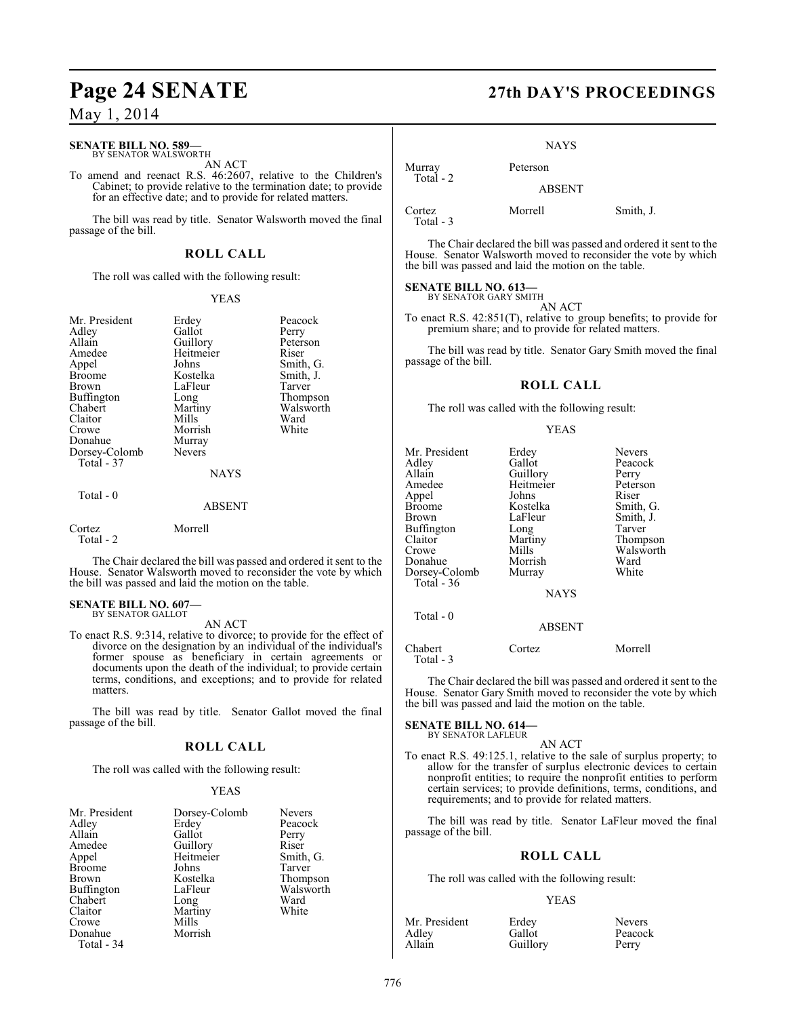## **Page 24 SENATE 27th DAY'S PROCEEDINGS**

### May 1, 2014

#### **SENATE BILL NO. 589—** BY SENATOR WALSWORTH

AN ACT

To amend and reenact R.S. 46:2607, relative to the Children's Cabinet; to provide relative to the termination date; to provide for an effective date; and to provide for related matters.

The bill was read by title. Senator Walsworth moved the final passage of the bill.

### **ROLL CALL**

The roll was called with the following result:

#### YEAS

| Mr. President<br>Adley<br>Allain<br>Amedee<br>Appel<br><b>Broome</b><br>Brown<br>Buffington<br>Chabert<br>Claitor<br>Crowe<br>Donahue<br>Dorsey-Colomb<br>Total - 37<br>Total - 0 | Erdey<br>Gallot<br>Guillory<br>Heitmeier<br>Johns<br>Kostelka<br>LaFleur<br>Long<br>Martiny<br>Mills<br>Morrish<br>Murray<br><b>Nevers</b><br><b>NAYS</b> | Peacock<br>Perry<br>Peterson<br>Riser<br>Smith, G.<br>Smith, J.<br>Tarver<br>Thompson<br>Walsworth<br>Ward<br>White |
|-----------------------------------------------------------------------------------------------------------------------------------------------------------------------------------|-----------------------------------------------------------------------------------------------------------------------------------------------------------|---------------------------------------------------------------------------------------------------------------------|
|                                                                                                                                                                                   | ABSENT                                                                                                                                                    |                                                                                                                     |
| Cortez<br>Total - 2                                                                                                                                                               | Morrell                                                                                                                                                   |                                                                                                                     |
|                                                                                                                                                                                   |                                                                                                                                                           | .<br>$\sim$ $\sim$                                                                                                  |

The Chair declared the bill was passed and ordered it sent to the House. Senator Walsworth moved to reconsider the vote by which the bill was passed and laid the motion on the table.

### **SENATE BILL NO. 607—** BY SENATOR GALLOT

AN ACT

To enact R.S. 9:314, relative to divorce; to provide for the effect of divorce on the designation by an individual of the individual's former spouse as beneficiary in certain agreements or documents upon the death of the individual; to provide certain terms, conditions, and exceptions; and to provide for related matters.

The bill was read by title. Senator Gallot moved the final passage of the bill.

#### **ROLL CALL**

The roll was called with the following result:

#### YEAS

| Mr. President<br>Adley | Dorsey-Colomb<br>Erdey | Nevers<br>Peacock |
|------------------------|------------------------|-------------------|
| Allain                 | Gallot                 | Perry             |
| Amedee                 | Guillory               | Riser             |
| Appel                  | Heitmeier              | Smith, G.         |
| <b>Broome</b>          | Johns                  | Tarver            |
| <b>Brown</b>           | Kostelka               | Thompson          |
| <b>Buffington</b>      | LaFleur                | Walsworth         |
| Chabert                | Long                   | Ward              |
| Claitor                | Martiny                | White             |
| Crowe                  | Mills                  |                   |
| Donahue                | Morrish                |                   |
| Total - 34             |                        |                   |

#### **NAYS**

Murray Peterson Total - 2 ABSENT

Cortez Morrell Smith, J. Total - 3

The Chair declared the bill was passed and ordered it sent to the House. Senator Walsworth moved to reconsider the vote by which the bill was passed and laid the motion on the table.

#### **SENATE BILL NO. 613—** BY SENATOR GARY SMITH

AN ACT

To enact R.S. 42:851(T), relative to group benefits; to provide for premium share; and to provide for related matters.

The bill was read by title. Senator Gary Smith moved the final passage of the bill.

#### **ROLL CALL**

The roll was called with the following result:

#### YEAS

| Mr. President<br>Adlev<br>Allain<br>Amedee<br>Appel<br>Broome<br>Brown<br>Buffington<br>Claitor<br>Crowe<br>Donahue<br>Dorsey-Colomb<br>Total - 36 | Erdey<br>Gallot<br>Guillory<br>Heitmeier<br>Johns<br>Kostelka<br>LaFleur<br>Long<br>Martiny<br>Mills<br>Morrish<br>Murray<br><b>NAYS</b> | <b>Nevers</b><br>Peacock<br>Perry<br>Peterson<br>Riser<br>Smith, G.<br>Smith, J.<br>Tarver<br>Thompson<br>Walsworth<br>Ward<br>White |
|----------------------------------------------------------------------------------------------------------------------------------------------------|------------------------------------------------------------------------------------------------------------------------------------------|--------------------------------------------------------------------------------------------------------------------------------------|
| Total $-0$                                                                                                                                         | <b>ABSENT</b>                                                                                                                            |                                                                                                                                      |
|                                                                                                                                                    |                                                                                                                                          |                                                                                                                                      |

Chabert Cortez Morrell Total - 3

The Chair declared the bill was passed and ordered it sent to the House. Senator Gary Smith moved to reconsider the vote by which the bill was passed and laid the motion on the table.

**SENATE BILL NO. 614—** BY SENATOR LAFLEUR

### AN ACT

To enact R.S. 49:125.1, relative to the sale of surplus property; to allow for the transfer of surplus electronic devices to certain nonprofit entities; to require the nonprofit entities to perform certain services; to provide definitions, terms, conditions, and requirements; and to provide for related matters.

The bill was read by title. Senator LaFleur moved the final passage of the bill.

### **ROLL CALL**

The roll was called with the following result:

#### YEAS

| Mr. President | Erdey    | <b>Nevers</b> |
|---------------|----------|---------------|
| Adley         | Gallot   | Peacock       |
| Allain        | Guillory | Perry         |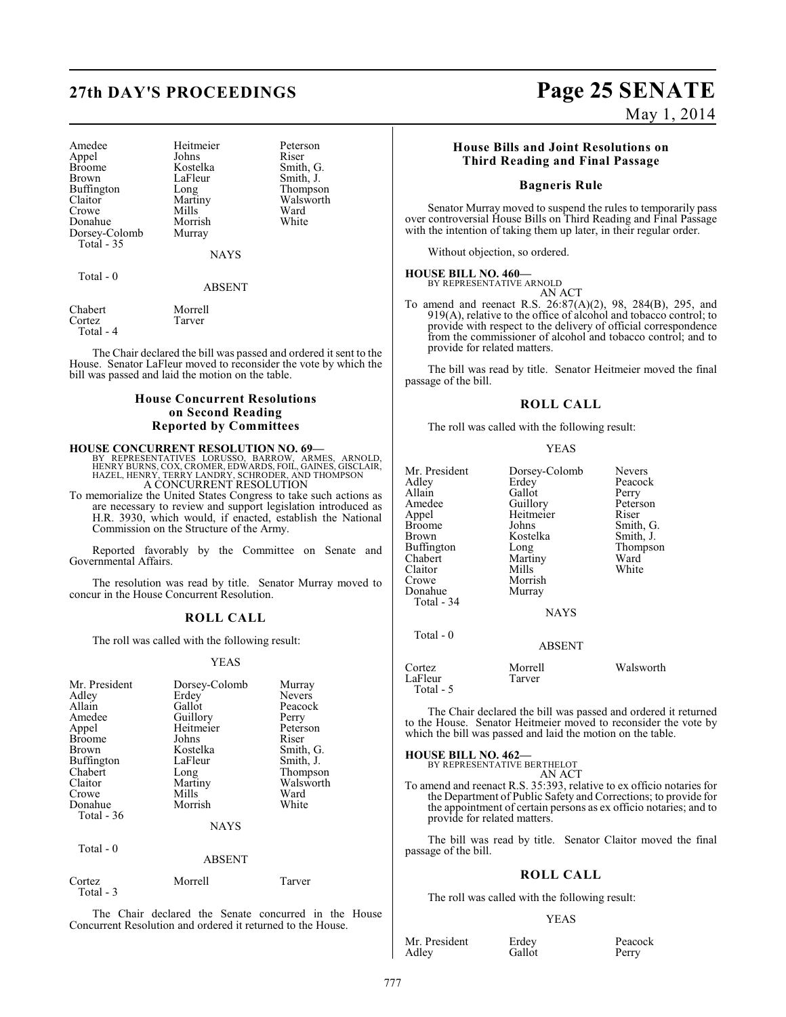| Amedee        | Heitmeier   | Peters |
|---------------|-------------|--------|
| Appel         | Johns       | Riser  |
| <b>Broome</b> | Kostelka    | Smith  |
| <b>Brown</b>  | LaFleur     | Smith  |
| Buffington    | Long        | Thom   |
| Claitor       | Martiny     | Walsy  |
| Crowe         | Mills       | Ward   |
| Donahue       | Morrish     | White  |
| Dorsey-Colomb | Murray      |        |
| Total - 35    |             |        |
|               | <b>NAVS</b> |        |

externeier Peterson<br>
Riser extelka Smith, G.<br>Fleur Smith, J. Fleur Smith, J.<br>ng Thompso ng Thompson<br>artiny Walsworth artiny Walsworth<br>Ills Ward

Total - 0

NAYS

#### ABSENT

Chabert Morrell<br>Cortez Tarver Cortez Total - 4

The Chair declared the bill was passed and ordered it sent to the House. Senator LaFleur moved to reconsider the vote by which the bill was passed and laid the motion on the table.

### **House Concurrent Resolutions on Second Reading Reported by Committees**

**HOUSE CONCURRENT RESOLUTION NO. 69—**<br>BY REPRESENTATIVES LORUSSO, BARROW, ARMES, ARNOLD,<br>HENRY BURNS, COX, CROMER, EDWARDS, FOIL, GAINES, GISCLAIR,<br>HAZEL, HENRY, TERRY LANDRY, SCHRODER, AND THOMPSON A CONCURRENT RESOLUTION

To memorialize the United States Congress to take such actions as are necessary to review and support legislation introduced as H.R. 3930, which would, if enacted, establish the National Commission on the Structure of the Army.

Reported favorably by the Committee on Senate and Governmental Affairs.

The resolution was read by title. Senator Murray moved to concur in the House Concurrent Resolution.

#### **ROLL CALL**

The roll was called with the following result:

#### YEAS

| Mr. President<br>Adley<br>Allain<br>Amedee<br>Appel<br><b>Broome</b><br>Brown<br>Buffington<br>Chabert<br>Claitor<br>Crowe<br>Donahue<br>Total $-36$<br>Total - 0 | Dorsey-Colomb<br>Erdey<br>Gallot<br>Guillory<br>Heitmeier<br>Johns<br>Kostelka<br>LaFleur<br>Long<br>Martiny<br>Mills<br>Morrish<br><b>NAYS</b><br><b>ABSENT</b> | Murray<br>Nevers<br>Peacock<br>Perry<br>Peterson<br>Riser<br>Smith, G.<br>Smith, J.<br>Thompson<br>Walsworth<br>Ward<br>White |
|-------------------------------------------------------------------------------------------------------------------------------------------------------------------|------------------------------------------------------------------------------------------------------------------------------------------------------------------|-------------------------------------------------------------------------------------------------------------------------------|
| Cortez<br>Total - $3$                                                                                                                                             | Morrell                                                                                                                                                          | Tarver                                                                                                                        |

The Chair declared the Senate concurred in the House Concurrent Resolution and ordered it returned to the House.

# **27th DAY'S PROCEEDINGS Page 25 SENATE**

May 1, 2014

#### **House Bills and Joint Resolutions on Third Reading and Final Passage**

#### **Bagneris Rule**

Senator Murray moved to suspend the rules to temporarily pass over controversial House Bills on Third Reading and Final Passage with the intention of taking them up later, in their regular order.

Without objection, so ordered.

#### **HOUSE BILL NO. 460—** BY REPRESENTATIVE ARNOLD

AN ACT

To amend and reenact R.S. 26:87(A)(2), 98, 284(B), 295, and 919(A), relative to the office of alcohol and tobacco control; to provide with respect to the delivery of official correspondence from the commissioner of alcohol and tobacco control; and to provide for related matters.

The bill was read by title. Senator Heitmeier moved the final passage of the bill.

#### **ROLL CALL**

The roll was called with the following result:

| Mr. President<br>Adley<br>Allain<br>Amedee<br>Appel<br>Broome<br>Brown<br>Buffington<br>Chabert<br>Claitor<br>Crowe<br>Donahue<br>Total - 34<br>Total - 0 | Dorsey-Colomb<br>Erdey<br>Gallot<br>Guillory<br>Heitmeier<br>Johns<br>Kostelka<br>Long<br>Martiny<br>Mills<br>Morrish<br>Murray<br><b>NAYS</b> | <b>Nevers</b><br>Peacock<br>Perry<br>Peterson<br>Riser<br>Smith, G.<br>Smith, J.<br>Thompson<br>Ward<br>White |
|-----------------------------------------------------------------------------------------------------------------------------------------------------------|------------------------------------------------------------------------------------------------------------------------------------------------|---------------------------------------------------------------------------------------------------------------|
|                                                                                                                                                           | <b>ABSENT</b>                                                                                                                                  |                                                                                                               |
| Cortez<br>LaFleur<br>Total - 5                                                                                                                            | Morrell<br>Tarver                                                                                                                              | Walsworth                                                                                                     |

The Chair declared the bill was passed and ordered it returned to the House. Senator Heitmeier moved to reconsider the vote by which the bill was passed and laid the motion on the table.

## **HOUSE BILL NO. 462—** BY REPRESENTATIVE BERTHELOT

AN ACT

To amend and reenact R.S. 35:393, relative to ex officio notaries for the Department of Public Safety and Corrections; to provide for the appointment of certain persons as ex officio notaries; and to provide for related matters.

The bill was read by title. Senator Claitor moved the final passage of the bill.

#### **ROLL CALL**

The roll was called with the following result:

Gallot

#### YEAS

Mr. President Erdey Peacock<br>Adley Gallot Perry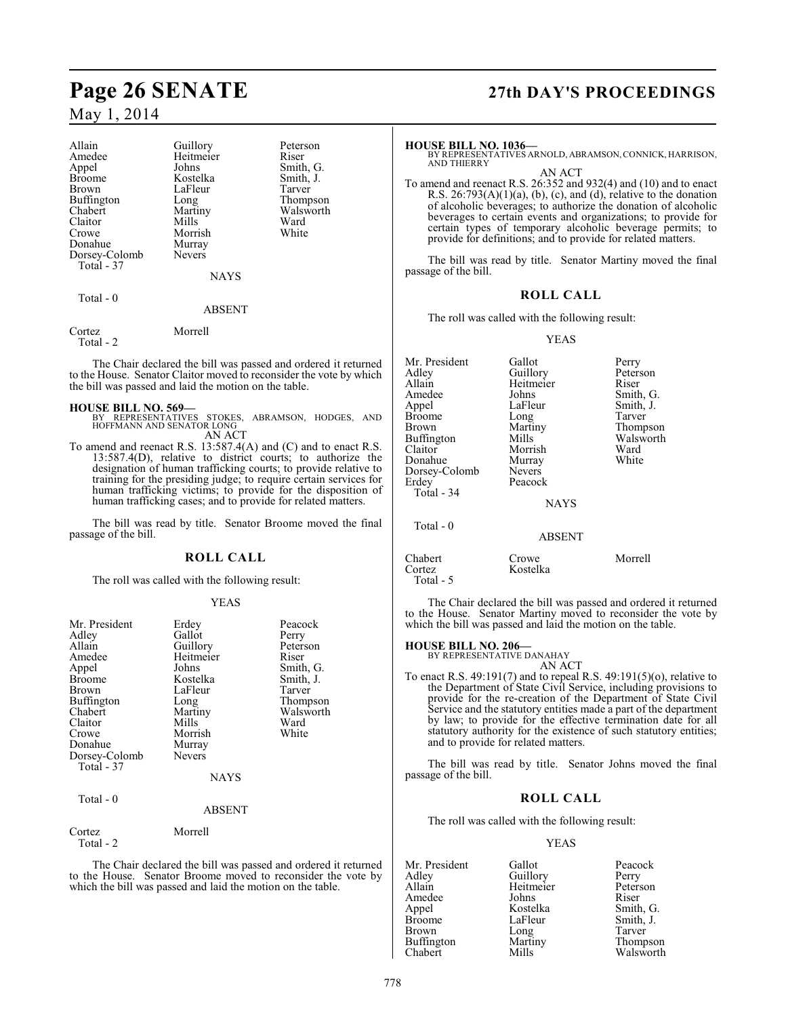| Allain<br>Amedee<br>Appel<br>Broome<br>Brown<br>Buffington<br>Chabert<br>Claitor<br>Crowe<br>Donahue | Guillory<br>Heitmeier<br>Johns<br>Kostelka<br>LaFleur<br>Long<br>Martiny<br>Mills<br>Morrish<br>Murray<br><b>Nevers</b> | Peterson<br>Riser<br>Smith, G.<br>Smith, J.<br>Tarver<br>Thompson<br>Walsworth<br>Ward<br>White |
|------------------------------------------------------------------------------------------------------|-------------------------------------------------------------------------------------------------------------------------|-------------------------------------------------------------------------------------------------|
| Dorsey-Colomb<br>Total - 37                                                                          |                                                                                                                         |                                                                                                 |
|                                                                                                      | <b>NAYS</b>                                                                                                             |                                                                                                 |
| Total - 0                                                                                            | ABSENT                                                                                                                  |                                                                                                 |

The Chair declared the bill was passed and ordered it returned to the House. Senator Claitor moved to reconsider the vote by which the bill was passed and laid the motion on the table.

Cortez Morrell

Total - 2

**HOUSE BILL NO. 569—** BY REPRESENTATIVES STOKES, ABRAMSON, HODGES, AND HOFFMANN AND SENATOR LONG AN ACT

To amend and reenact R.S. 13:587.4(A) and (C) and to enact R.S. 13:587.4(D), relative to district courts; to authorize the designation of human trafficking courts; to provide relative to training for the presiding judge; to require certain services for human trafficking victims; to provide for the disposition of human trafficking cases; and to provide for related matters.

The bill was read by title. Senator Broome moved the final passage of the bill.

#### **ROLL CALL**

The roll was called with the following result:

#### YEAS

| Mr. President<br>Adley<br>Allain<br>Amedee<br>Appel<br>Broome<br>Brown<br>Buffington<br>Chabert<br>Claitor<br>Crowe<br>Donahue<br>Dorsey-Colomb<br>Total - 37<br>Total - 0 | Erdey<br>Gallot<br>Guillory<br>Heitmeier<br>Johns<br>Kostelka<br>LaFleur<br>Long<br>Martiny<br>Mills<br>Morrish<br>Murray<br>Nevers<br><b>NAYS</b><br><b>ABSENT</b> | Peacock<br>Perry<br>Peterson<br>Riser<br>Smith, G.<br>Smith, J.<br>Tarver<br>Thompson<br>Walsworth<br>Ward<br>White |
|----------------------------------------------------------------------------------------------------------------------------------------------------------------------------|---------------------------------------------------------------------------------------------------------------------------------------------------------------------|---------------------------------------------------------------------------------------------------------------------|
|                                                                                                                                                                            |                                                                                                                                                                     |                                                                                                                     |
| Cortez<br>Total - 2                                                                                                                                                        | Morrell                                                                                                                                                             |                                                                                                                     |

The Chair declared the bill was passed and ordered it returned to the House. Senator Broome moved to reconsider the vote by which the bill was passed and laid the motion on the table.

## **Page 26 SENATE 27th DAY'S PROCEEDINGS**

#### **HOUSE BILL NO. 1036—**

BY REPRESENTATIVES ARNOLD, ABRAMSON, CONNICK, HARRISON, AND THIERRY

AN ACT

To amend and reenact R.S. 26:352 and 932(4) and (10) and to enact R.S.  $26:793(A)(1)(a)$ , (b), (c), and (d), relative to the donation of alcoholic beverages; to authorize the donation of alcoholic beverages to certain events and organizations; to provide for certain types of temporary alcoholic beverage permits; to provide for definitions; and to provide for related matters.

The bill was read by title. Senator Martiny moved the final passage of the bill.

#### **ROLL CALL**

The roll was called with the following result:

#### YEAS

| Mr. President<br>Adley<br>Allain<br>Amedee<br>Appel<br><b>Broome</b><br><b>Brown</b><br><b>Buffington</b><br>Claitor<br>Donahue<br>Dorsey-Colomb<br>Erdey | Gallot<br>Guillory<br>Heitmeier<br>Johns<br>LaFleur<br>Long<br>Martiny<br>Mills<br>Morrish<br>Murray<br><b>Nevers</b><br>Peacock | Perry<br>Peterson<br>Riser<br>Smith, G.<br>Smith, J.<br>Tarver<br>Thompson<br>Walsworth<br>Ward<br>White |
|-----------------------------------------------------------------------------------------------------------------------------------------------------------|----------------------------------------------------------------------------------------------------------------------------------|----------------------------------------------------------------------------------------------------------|
| Total - 34                                                                                                                                                | <b>NAYS</b>                                                                                                                      |                                                                                                          |
| Total - 0                                                                                                                                                 | <b>ABSENT</b>                                                                                                                    |                                                                                                          |

| Chabert    | Crowe    | Morrell |
|------------|----------|---------|
| Cortez     | Kostelka |         |
| Total $-5$ |          |         |

The Chair declared the bill was passed and ordered it returned to the House. Senator Martiny moved to reconsider the vote by which the bill was passed and laid the motion on the table.

## **HOUSE BILL NO. 206—** BY REPRESENTATIVE DANAHAY

AN ACT

To enact R.S. 49:191(7) and to repeal R.S. 49:191(5)(o), relative to the Department of State Civil Service, including provisions to provide for the re-creation of the Department of State Civil Service and the statutory entities made a part of the department by law; to provide for the effective termination date for all statutory authority for the existence of such statutory entities; and to provide for related matters.

The bill was read by title. Senator Johns moved the final passage of the bill.

#### **ROLL CALL**

The roll was called with the following result:

#### YEAS

| Mr. President | Gallot    | Peacock   |
|---------------|-----------|-----------|
| Adley         | Guillory  | Perry     |
| Allain        | Heitmeier | Peterson  |
| Amedee        | Johns     | Riser     |
| Appel         | Kostelka  | Smith, G. |
| <b>Broome</b> | LaFleur   | Smith, J. |
| Brown         | Long      | Tarver    |
| Buffington    | Martiny   | Thompson  |
| Chabert       | Mills     | Walsworth |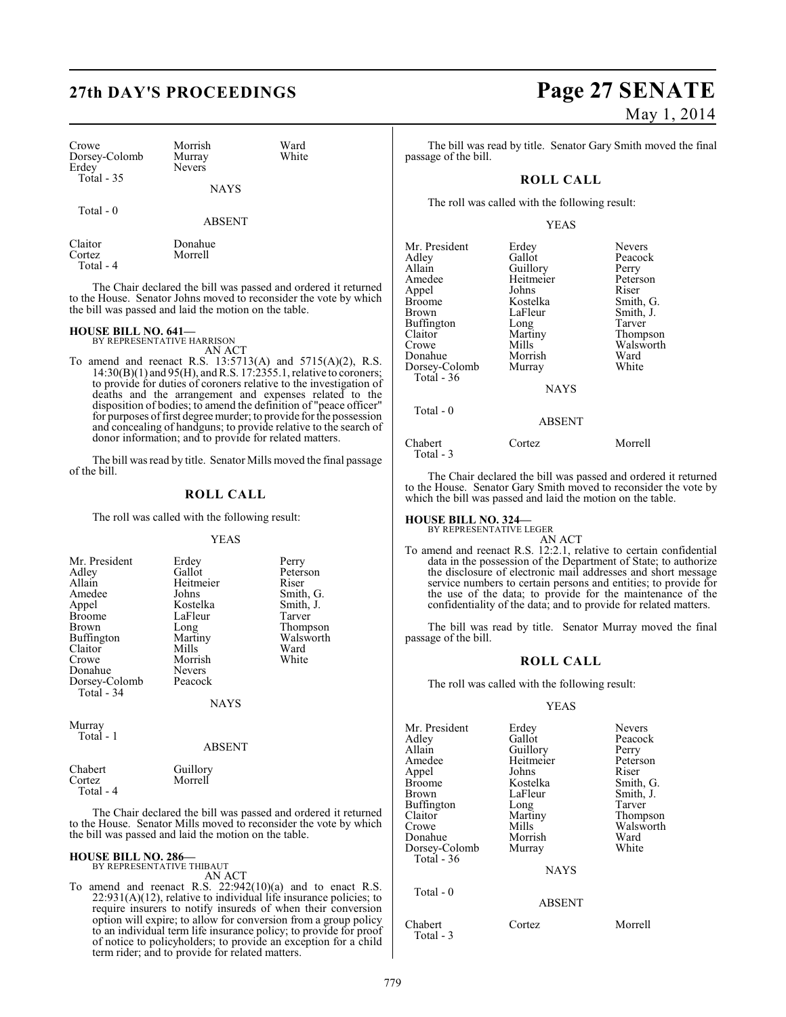| Crowe<br>Dorsey-Colomb<br>Erdey<br>Total $-35$ | Morrish<br>Murray<br><b>Nevers</b> | Ward<br>White |
|------------------------------------------------|------------------------------------|---------------|
|                                                | <b>NAYS</b>                        |               |
| Total - 0                                      | <b>ABSENT</b>                      |               |

Claitor Donahue Morrell Total - 4

The Chair declared the bill was passed and ordered it returned to the House. Senator Johns moved to reconsider the vote by which the bill was passed and laid the motion on the table.

### **HOUSE BILL NO. 641—** BY REPRESENTATIVE HARRISON

AN ACT

To amend and reenact R.S. 13:5713(A) and 5715(A)(2), R.S. 14:30(B)(1) and 95(H), and R.S. 17:2355.1, relative to coroners; to provide for duties of coroners relative to the investigation of deaths and the arrangement and expenses related to the disposition of bodies; to amend the definition of "peace officer" for purposes of first degree murder; to provide for the possession and concealing of handguns; to provide relative to the search of donor information; and to provide for related matters.

The bill was read by title. Senator Mills moved the final passage of the bill.

### **ROLL CALL**

The roll was called with the following result:

#### YEAS

| Mr. President | Erdey         | Perry     |
|---------------|---------------|-----------|
| Adley         | Gallot        | Peterson  |
| Allain        | Heitmeier     | Riser     |
| Amedee        | Johns         | Smith, G. |
| Appel         | Kostelka      | Smith, J. |
| <b>Broome</b> | LaFleur       | Tarver    |
| <b>Brown</b>  | Long          | Thompson  |
| Buffington    | Martiny       | Walsworth |
| Claitor       | Mills         | Ward      |
| Crowe         | Morrish       | White     |
| Donahue       | <b>Nevers</b> |           |
| Dorsey-Colomb | Peacock       |           |
| Total - 34    |               |           |
|               | <b>NAYS</b>   |           |
|               |               |           |

Murray Total - 1

#### ABSENT

| Chabert   | Guillory |
|-----------|----------|
| Cortez    | Morrell  |
| Total - 4 |          |

The Chair declared the bill was passed and ordered it returned to the House. Senator Mills moved to reconsider the vote by which the bill was passed and laid the motion on the table.

#### **HOUSE BILL NO. 286—** BY REPRESENTATIVE THIBAUT

AN ACT

To amend and reenact R.S. 22:942(10)(a) and to enact R.S.  $22:931(A)(12)$ , relative to individual life insurance policies; to require insurers to notify insureds of when their conversion option will expire; to allow for conversion from a group policy to an individual term life insurance policy; to provide for proof of notice to policyholders; to provide an exception for a child term rider; and to provide for related matters.

## **27th DAY'S PROCEEDINGS Page 27 SENATE** May 1, 2014

The bill was read by title. Senator Gary Smith moved the final passage of the bill.

### **ROLL CALL**

The roll was called with the following result:

YEAS

| Mr. President<br>Adley<br>Allain<br>Amedee<br>Appel<br>Broome<br>Brown<br>Buffington<br>Claitor<br>Crowe<br>Donahue<br>Dorsey-Colomb<br>Total - 36<br>Total - 0 | Erdey<br>Gallot<br>Guillory<br>Heitmeier<br>Johns<br>Kostelka<br>LaFleur<br>Long<br>Martiny<br>Mills<br>Morrish<br>Murray<br><b>NAYS</b><br><b>ABSENT</b> | <b>Nevers</b><br>Peacock<br>Perry<br>Peterson<br>Riser<br>Smith, G.<br>Smith, J.<br>Tarver<br>Thompson<br>Walsworth<br>Ward<br>White |
|-----------------------------------------------------------------------------------------------------------------------------------------------------------------|-----------------------------------------------------------------------------------------------------------------------------------------------------------|--------------------------------------------------------------------------------------------------------------------------------------|
|                                                                                                                                                                 |                                                                                                                                                           |                                                                                                                                      |
| Chabert<br>Total - 3                                                                                                                                            | Cortez                                                                                                                                                    | Morrell                                                                                                                              |

The Chair declared the bill was passed and ordered it returned to the House. Senator Gary Smith moved to reconsider the vote by which the bill was passed and laid the motion on the table.

### **HOUSE BILL NO. 324—** BY REPRESENTATIVE LEGER

AN ACT To amend and reenact R.S. 12:2.1, relative to certain confidential data in the possession of the Department of State; to authorize the disclosure of electronic mail addresses and short message service numbers to certain persons and entities; to provide for the use of the data; to provide for the maintenance of the confidentiality of the data; and to provide for related matters.

The bill was read by title. Senator Murray moved the final passage of the bill.

#### **ROLL CALL**

The roll was called with the following result:

#### YEAS

| Mr. President | Erdey         | <b>Nevers</b> |
|---------------|---------------|---------------|
| Adlev         | Gallot        | Peacock       |
| Allain        | Guillory      | Perry         |
| Amedee        | Heitmeier     | Peterson      |
| Appel         | Johns         | Riser         |
| Broome        | Kostelka      | Smith, G.     |
| Brown         | LaFleur       | Smith, J.     |
| Buffington    | Long          | Tarver        |
| Claitor       | Martiny       | Thompson      |
| Crowe         | Mills         | Walsworth     |
| Donahue       | Morrish       | Ward          |
| Dorsey-Colomb | Murray        | White         |
| Total $-36$   |               |               |
|               | <b>NAYS</b>   |               |
| Total $-0$    |               |               |
|               | <b>ABSENT</b> |               |
|               |               |               |

Chabert Cortez Morrell Total - 3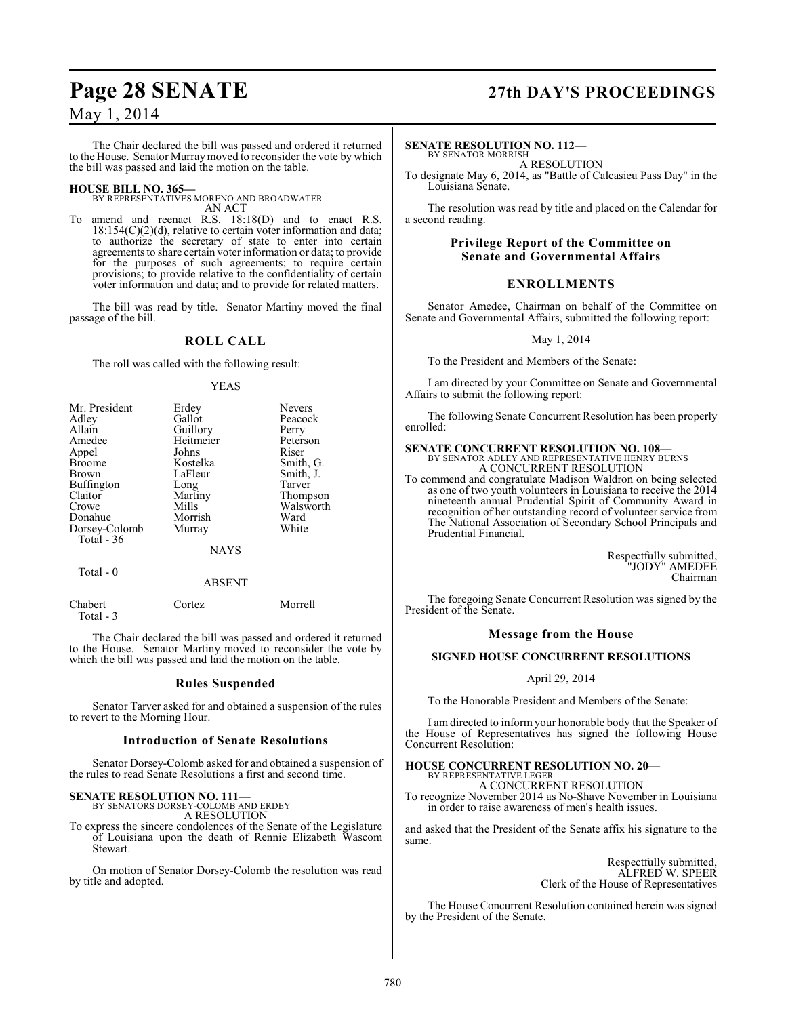## **Page 28 SENATE 27th DAY'S PROCEEDINGS**

### May 1, 2014

The Chair declared the bill was passed and ordered it returned to the House. Senator Murraymoved to reconsider the vote by which the bill was passed and laid the motion on the table.

#### **HOUSE BILL NO. 365—**

BY REPRESENTATIVES MORENO AND BROADWATER AN ACT

To amend and reenact R.S. 18:18(D) and to enact R.S.  $18:154(C)(2)(d)$ , relative to certain voter information and data; to authorize the secretary of state to enter into certain agreements to share certain voter information or data; to provide for the purposes of such agreements; to require certain provisions; to provide relative to the confidentiality of certain voter information and data; and to provide for related matters.

The bill was read by title. Senator Martiny moved the final passage of the bill.

#### **ROLL CALL**

The roll was called with the following result:

#### YEAS

| Mr. President | Erdey       | <b>Nevers</b> |
|---------------|-------------|---------------|
| Adley         | Gallot      | Peacock       |
| Allain        | Guillory    | Perry         |
| Amedee        | Heitmeier   | Peterson      |
| Appel         | Johns       | Riser         |
| <b>Broome</b> | Kostelka    | Smith, G.     |
| <b>Brown</b>  | LaFleur     | Smith, J.     |
| Buffington    | Long        | Tarver        |
| Claitor       | Martiny     | Thompson      |
| Crowe         | Mills       | Walsworth     |
| Donahue       | Morrish     | Ward          |
| Dorsey-Colomb | Murray      | White         |
| Total - 36    |             |               |
|               | <b>NAYS</b> |               |
| Total - 0     |             |               |

Chabert Cortez Morrell Total - 3

The Chair declared the bill was passed and ordered it returned to the House. Senator Martiny moved to reconsider the vote by which the bill was passed and laid the motion on the table.

ABSENT

#### **Rules Suspended**

Senator Tarver asked for and obtained a suspension of the rules to revert to the Morning Hour.

#### **Introduction of Senate Resolutions**

Senator Dorsey-Colomb asked for and obtained a suspension of the rules to read Senate Resolutions a first and second time.

#### **SENATE RESOLUTION NO. 111—**

BY SENATORS DORSEY-COLOMB AND ERDEY A RESOLUTION

To express the sincere condolences of the Senate of the Legislature of Louisiana upon the death of Rennie Elizabeth Wascom Stewart.

On motion of Senator Dorsey-Colomb the resolution was read by title and adopted.

#### **SENATE RESOLUTION NO. 112—**

BY SENATOR MORRISH A RESOLUTION

To designate May 6, 2014, as "Battle of Calcasieu Pass Day" in the Louisiana Senate.

The resolution was read by title and placed on the Calendar for a second reading.

#### **Privilege Report of the Committee on Senate and Governmental Affairs**

#### **ENROLLMENTS**

Senator Amedee, Chairman on behalf of the Committee on Senate and Governmental Affairs, submitted the following report:

May 1, 2014

To the President and Members of the Senate:

I am directed by your Committee on Senate and Governmental Affairs to submit the following report:

The following Senate Concurrent Resolution has been properly enrolled:

## **SENATE CONCURRENT RESOLUTION NO. 108—** BY SENATOR ADLEY AND REPRESENTATIVE HENRY BURNS

A CONCURRENT RESOLUTION

To commend and congratulate Madison Waldron on being selected as one of two youth volunteers in Louisiana to receive the 2014 nineteenth annual Prudential Spirit of Community Award in recognition of her outstanding record of volunteer service from The National Association of Secondary School Principals and Prudential Financial.

> Respectfully submitted, "JODY" AMEDEE Chairman

The foregoing Senate Concurrent Resolution was signed by the President of the Senate.

#### **Message from the House**

#### **SIGNED HOUSE CONCURRENT RESOLUTIONS**

#### April 29, 2014

To the Honorable President and Members of the Senate:

I am directed to inform your honorable body that the Speaker of the House of Representatives has signed the following House Concurrent Resolution:

#### **HOUSE CONCURRENT RESOLUTION NO. 20—**

BY REPRESENTATIVE LEGER A CONCURRENT RESOLUTION

To recognize November 2014 as No-Shave November in Louisiana in order to raise awareness of men's health issues.

and asked that the President of the Senate affix his signature to the same.

> Respectfully submitted, ALFRED W. SPEER Clerk of the House of Representatives

The House Concurrent Resolution contained herein was signed by the President of the Senate.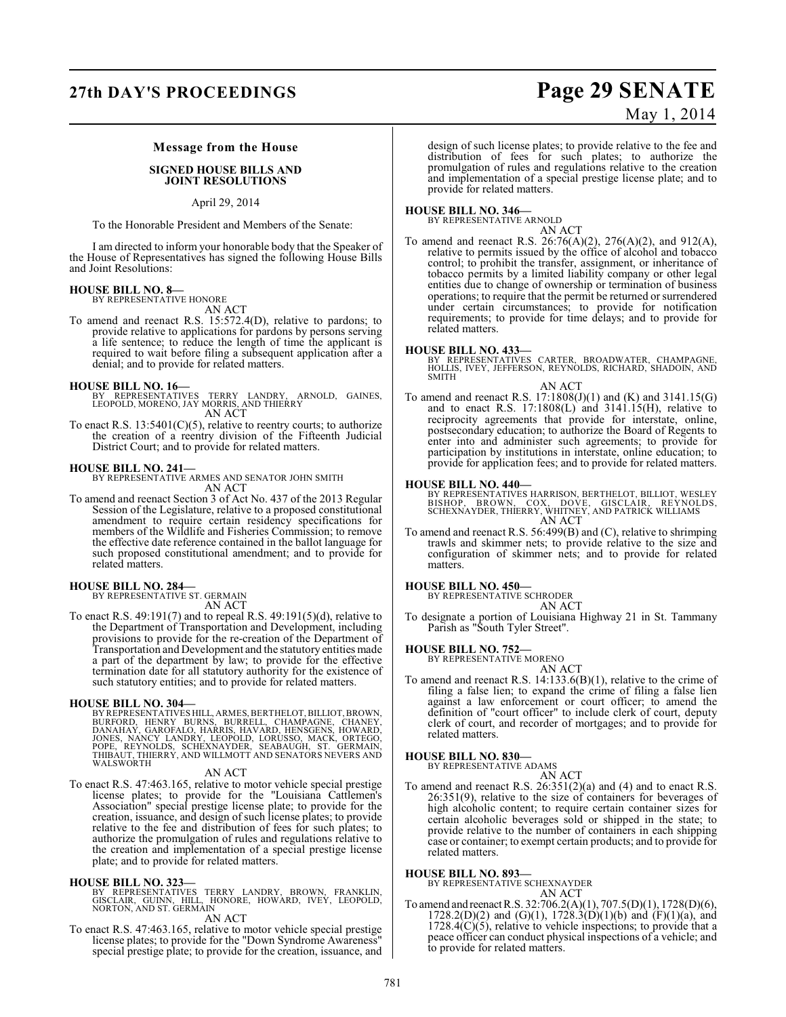## **27th DAY'S PROCEEDINGS Page 29 SENATE**

### May 1, 2014

#### **Message from the House**

#### **SIGNED HOUSE BILLS AND JOINT RESOLUTIONS**

April 29, 2014

To the Honorable President and Members of the Senate:

I am directed to inform your honorable body that the Speaker of the House of Representatives has signed the following House Bills and Joint Resolutions:

### **HOUSE BILL NO. 8—**

BY REPRESENTATIVE HONORE AN ACT

To amend and reenact R.S. 15:572.4(D), relative to pardons; to provide relative to applications for pardons by persons serving a life sentence; to reduce the length of time the applicant is required to wait before filing a subsequent application after a denial; and to provide for related matters.

**HOUSE BILL NO. 16—** BY REPRESENTATIVES TERRY LANDRY, ARNOLD, GAINES, LEOPOLD, MORENO, JAY MORRIS, AND THIERRY AN ACT

To enact R.S.  $13:5401(C)(5)$ , relative to reentry courts; to authorize the creation of a reentry division of the Fifteenth Judicial District Court; and to provide for related matters.

#### **HOUSE BILL NO. 241—**

BY REPRESENTATIVE ARMES AND SENATOR JOHN SMITH AN ACT

To amend and reenact Section 3 of Act No. 437 of the 2013 Regular Session of the Legislature, relative to a proposed constitutional amendment to require certain residency specifications for members of the Wildlife and Fisheries Commission; to remove the effective date reference contained in the ballot language for such proposed constitutional amendment; and to provide for related matters.

#### **HOUSE BILL NO. 284—**

BY REPRESENTATIVE ST. GERMAIN AN ACT

To enact R.S. 49:191(7) and to repeal R.S. 49:191(5)(d), relative to the Department of Transportation and Development, including provisions to provide for the re-creation of the Department of Transportation and Development and the statutory entities made a part of the department by law; to provide for the effective termination date for all statutory authority for the existence of such statutory entities; and to provide for related matters.

HOUSE BILL NO. 304—<br>BY REPRESENTATIVES HILL, ARMES, BERTHELOT, BILLIOT, BROWN, BURFORD, HENRY BURNS, BURRELL, CHAMPAGNE, CHANEY,<br>DANAHAY, GAROFALO, HARRIS, HAVARD, HENSGENS, HOWARD,<br>JONES, NÁNCY LANDRY, LEOPOLD, LORUSSO, M

#### AN ACT

To enact R.S. 47:463.165, relative to motor vehicle special prestige license plates; to provide for the "Louisiana Cattlemen's Association" special prestige license plate; to provide for the creation, issuance, and design of such license plates; to provide relative to the fee and distribution of fees for such plates; to authorize the promulgation of rules and regulations relative to the creation and implementation of a special prestige license plate; and to provide for related matters.

#### **HOUSE BILL NO. 323—**

BY REPRESENTATIVES TERRY LANDRY, BROWN, FRANKLIN,<br>GISCLAIR, GUINN, HILL, HONORE, HOWARD, IVEY, LEOPOLD,<br>NORTON,AND ST. GERMAIN

### AN ACT

To enact R.S. 47:463.165, relative to motor vehicle special prestige license plates; to provide for the "Down Syndrome Awareness" special prestige plate; to provide for the creation, issuance, and design of such license plates; to provide relative to the fee and distribution of fees for such plates; to authorize the promulgation of rules and regulations relative to the creation and implementation of a special prestige license plate; and to provide for related matters.

## **HOUSE BILL NO. 346—** BY REPRESENTATIVE ARNOLD

AN ACT

To amend and reenact R.S. 26:76(A)(2), 276(A)(2), and 912(A), relative to permits issued by the office of alcohol and tobacco control; to prohibit the transfer, assignment, or inheritance of tobacco permits by a limited liability company or other legal entities due to change of ownership or termination of business operations; to require that the permit be returned or surrendered under certain circumstances; to provide for notification requirements; to provide for time delays; and to provide for related matters.

**HOUSE BILL NO. 433—** BY REPRESENTATIVES CARTER, BROADWATER, CHAMPAGNE, HOLLIS, IVEY, JEFFERSON, REYNOLDS, RICHARD, SHADOIN, AND SMITH

#### AN ACT

To amend and reenact R.S. 17:1808(J)(1) and (K) and 3141.15(G) and to enact R.S. 17:1808(L) and 3141.15(H), relative to reciprocity agreements that provide for interstate, online, postsecondary education; to authorize the Board of Regents to enter into and administer such agreements; to provide for participation by institutions in interstate, online education; to provide for application fees; and to provide for related matters.

#### **HOUSE BILL NO. 440—**

BY REPRESENTATIVES HARRISON, BERTHELOT, BILLIOT, WESLEY<br>BISHOP, BROWN, COX, DOVE, GISCLAIR, REYNOLDS,<br>SCHEXNAYDER, THIERRY, WHITNEY, AND PATRICK WILLIAMS AN ACT

To amend and reenact R.S. 56:499(B) and (C), relative to shrimping trawls and skimmer nets; to provide relative to the size and configuration of skimmer nets; and to provide for related matters.

#### **HOUSE BILL NO. 450—**

BY REPRESENTATIVE SCHRODER AN ACT

To designate a portion of Louisiana Highway 21 in St. Tammany Parish as "South Tyler Street".

#### **HOUSE BILL NO. 752—**

BY REPRESENTATIVE MORENO AN ACT

To amend and reenact R.S. 14:133.6(B)(1), relative to the crime of filing a false lien; to expand the crime of filing a false lien against a law enforcement or court officer; to amend the definition of "court officer" to include clerk of court, deputy clerk of court, and recorder of mortgages; and to provide for related matters.

#### **HOUSE BILL NO. 830—**

BY REPRESENTATIVE ADAMS AN ACT

To amend and reenact R.S. 26:351(2)(a) and (4) and to enact R.S. 26:351(9), relative to the size of containers for beverages of high alcoholic content; to require certain container sizes for certain alcoholic beverages sold or shipped in the state; to provide relative to the number of containers in each shipping case or container; to exempt certain products; and to provide for related matters.

**HOUSE BILL NO. 893—**

BY REPRESENTATIVE SCHEXNAYDER AN ACT

To amend and reenact R.S. 32:706.2(A)(1), 707.5(D)(1), 1728(D)(6),  $1728.2(D)(2)$  and  $(G)(1)$ ,  $1728.3(D)(1)(b)$  and  $(F)(1)(a)$ , and  $1728.4(C)(5)$ , relative to vehicle inspections; to provide that a peace officer can conduct physical inspections of a vehicle; and to provide for related matters.